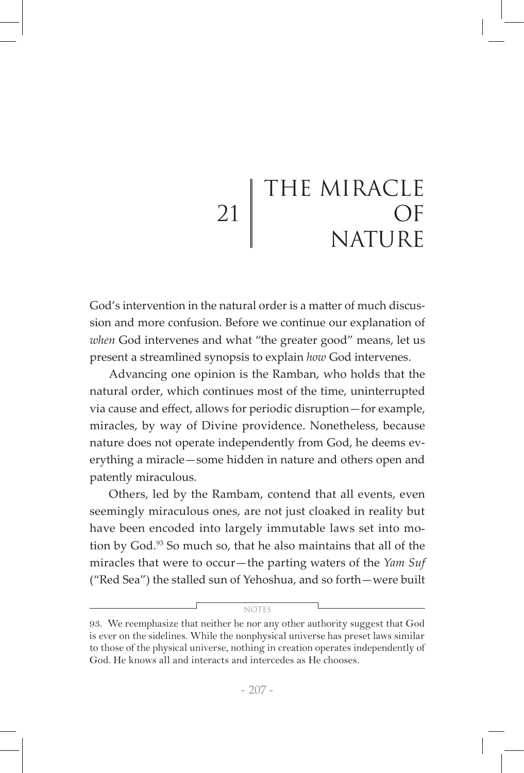# The Miracle of JATURE 21

God's intervention in the natural order is a matter of much discussion and more confusion. Before we continue our explanation of *when* God intervenes and what "the greater good" means, let us present a streamlined synopsis to explain *how* God intervenes.

Advancing one opinion is the Ramban, who holds that the natural order, which continues most of the time, uninterrupted via cause and effect, allows for periodic disruption—for example, miracles, by way of Divine providence. Nonetheless, because nature does not operate independently from God, he deems everything a miracle—some hidden in nature and others open and patently miraculous.

Others, led by the Rambam, contend that all events, even seemingly miraculous ones, are not just cloaked in reality but have been encoded into largely immutable laws set into motion by God.93 So much so, that he also maintains that all of the miracles that were to occur—the parting waters of the *Yam Suf* ("Red Sea") the stalled sun of Yehoshua, and so forth—were built

<sup>93.</sup> We reemphasize that neither he nor any other authority suggest that God is ever on the sidelines. While the nonphysical universe has preset laws similar to those of the physical universe, nothing in creation operates independently of God. He knows all and interacts and intercedes as He chooses.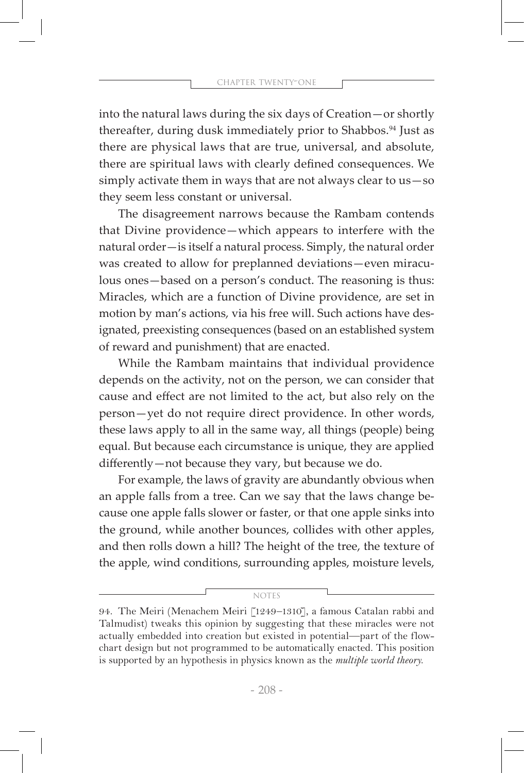into the natural laws during the six days of Creation—or shortly thereafter, during dusk immediately prior to Shabbos.<sup>94</sup> Just as there are physical laws that are true, universal, and absolute, there are spiritual laws with clearly defined consequences. We simply activate them in ways that are not always clear to  $us$ –so they seem less constant or universal.

The disagreement narrows because the Rambam contends that Divine providence—which appears to interfere with the natural order—is itself a natural process. Simply, the natural order was created to allow for preplanned deviations—even miraculous ones—based on a person's conduct. The reasoning is thus: Miracles, which are a function of Divine providence, are set in motion by man's actions, via his free will. Such actions have designated, preexisting consequences (based on an established system of reward and punishment) that are enacted.

While the Rambam maintains that individual providence depends on the activity, not on the person, we can consider that cause and effect are not limited to the act, but also rely on the person—yet do not require direct providence. In other words, these laws apply to all in the same way, all things (people) being equal. But because each circumstance is unique, they are applied differently—not because they vary, but because we do.

For example, the laws of gravity are abundantly obvious when an apple falls from a tree. Can we say that the laws change because one apple falls slower or faster, or that one apple sinks into the ground, while another bounces, collides with other apples, and then rolls down a hill? The height of the tree, the texture of the apple, wind conditions, surrounding apples, moisture levels,

<sup>94.</sup> The Meiri (Menachem Meiri [1249–1310], a famous Catalan rabbi and Talmudist) tweaks this opinion by suggesting that these miracles were not actually embedded into creation but existed in potential—part of the flowchart design but not programmed to be automatically enacted. This position is supported by an hypothesis in physics known as the *multiple world theory*.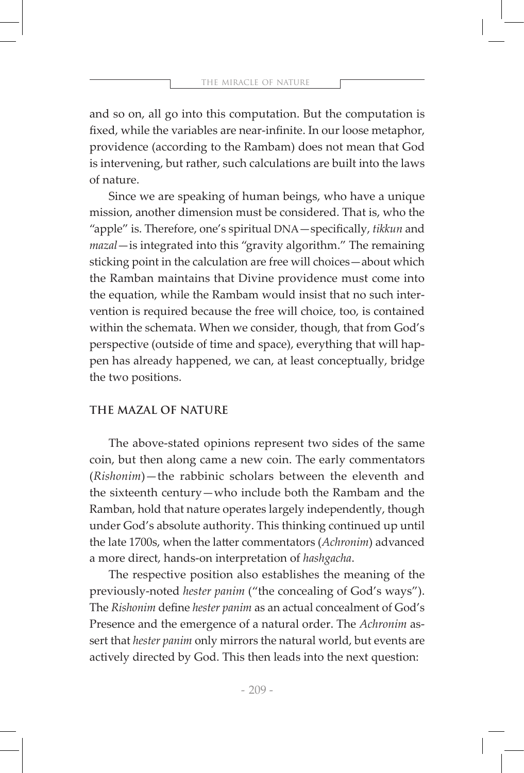and so on, all go into this computation. But the computation is fixed, while the variables are near-infinite. In our loose metaphor, providence (according to the Rambam) does not mean that God is intervening, but rather, such calculations are built into the laws of nature.

Since we are speaking of human beings, who have a unique mission, another dimension must be considered. That is, who the "apple" is. Therefore, one's spiritual DNA—specifically, *tikkun* and *mazal*—is integrated into this "gravity algorithm." The remaining sticking point in the calculation are free will choices—about which the Ramban maintains that Divine providence must come into the equation, while the Rambam would insist that no such intervention is required because the free will choice, too, is contained within the schemata. When we consider, though, that from God's perspective (outside of time and space), everything that will happen has already happened, we can, at least conceptually, bridge the two positions.

# **THE MAZAL OF NATURE**

The above-stated opinions represent two sides of the same coin, but then along came a new coin. The early commentators (*Rishonim*)—the rabbinic scholars between the eleventh and the sixteenth century—who include both the Rambam and the Ramban, hold that nature operates largely independently, though under God's absolute authority. This thinking continued up until the late 1700s, when the latter commentators (*Achronim*) advanced a more direct, hands-on interpretation of *hashgacha*.

The respective position also establishes the meaning of the previously-noted *hester panim* ("the concealing of God's ways"). The *Rishonim* define *hester panim* as an actual concealment of God's Presence and the emergence of a natural order. The *Achronim* assert that *hester panim* only mirrors the natural world, but events are actively directed by God. This then leads into the next question: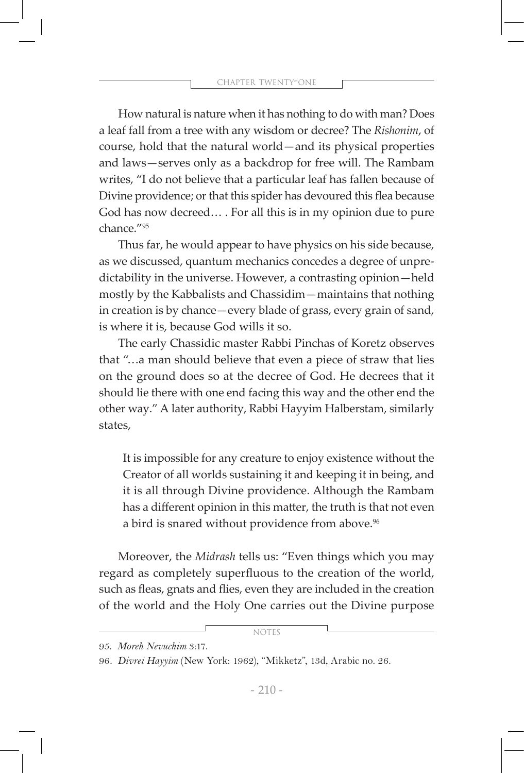How natural is nature when it has nothing to do with man? Does a leaf fall from a tree with any wisdom or decree? The *Rishonim*, of course, hold that the natural world—and its physical properties and laws—serves only as a backdrop for free will. The Rambam writes, "I do not believe that a particular leaf has fallen because of Divine providence; or that this spider has devoured this flea because God has now decreed… . For all this is in my opinion due to pure chance."95

Thus far, he would appear to have physics on his side because, as we discussed, quantum mechanics concedes a degree of unpredictability in the universe. However, a contrasting opinion—held mostly by the Kabbalists and Chassidim—maintains that nothing in creation is by chance—every blade of grass, every grain of sand, is where it is, because God wills it so.

The early Chassidic master Rabbi Pinchas of Koretz observes that "…a man should believe that even a piece of straw that lies on the ground does so at the decree of God. He decrees that it should lie there with one end facing this way and the other end the other way." A later authority, Rabbi Hayyim Halberstam, similarly states,

It is impossible for any creature to enjoy existence without the Creator of all worlds sustaining it and keeping it in being, and it is all through Divine providence. Although the Rambam has a different opinion in this matter, the truth is that not even a bird is snared without providence from above.<sup>96</sup>

Moreover, the *Midrash* tells us: "Even things which you may regard as completely superfluous to the creation of the world, such as fleas, gnats and flies, even they are included in the creation of the world and the Holy One carries out the Divine purpose

<sup>95.</sup> *Moreh Nevuchim* 3:17.

<sup>96.</sup> *Divrei Hayyim* (New York: 1962), "Mikketz", 13d, Arabic no. 26.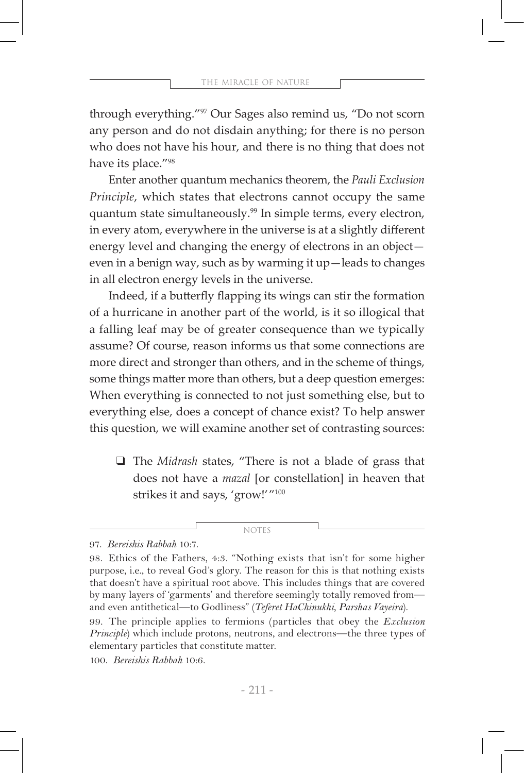through everything."97 Our Sages also remind us, "Do not scorn any person and do not disdain anything; for there is no person who does not have his hour, and there is no thing that does not have its place."98

Enter another quantum mechanics theorem, the *Pauli Exclusion Principle*, which states that electrons cannot occupy the same quantum state simultaneously.<sup>99</sup> In simple terms, every electron, in every atom, everywhere in the universe is at a slightly different energy level and changing the energy of electrons in an object even in a benign way, such as by warming it up—leads to changes in all electron energy levels in the universe.

Indeed, if a butterfly flapping its wings can stir the formation of a hurricane in another part of the world, is it so illogical that a falling leaf may be of greater consequence than we typically assume? Of course, reason informs us that some connections are more direct and stronger than others, and in the scheme of things, some things matter more than others, but a deep question emerges: When everything is connected to not just something else, but to everything else, does a concept of chance exist? To help answer this question, we will examine another set of contrasting sources:

❑ The *Midrash* states, "There is not a blade of grass that does not have a *mazal* [or constellation] in heaven that strikes it and says, 'grow!'"<sup>100</sup>

#### notes

100. *Bereishis Rabbah* 10:6.

<sup>97.</sup> *Bereishis Rabbah* 10:7.

<sup>98.</sup> Ethics of the Fathers, 4:3. "Nothing exists that isn't for some higher purpose, i.e., to reveal God's glory. The reason for this is that nothing exists that doesn't have a spiritual root above. This includes things that are covered by many layers of 'garments' and therefore seemingly totally removed from and even antithetical—to Godliness" (*Teferet HaChinukhi, Parshas Vayeira*).

<sup>99.</sup> The principle applies to fermions (particles that obey the *Exclusion Principle*) which include protons, neutrons, and electrons—the three types of elementary particles that constitute matter.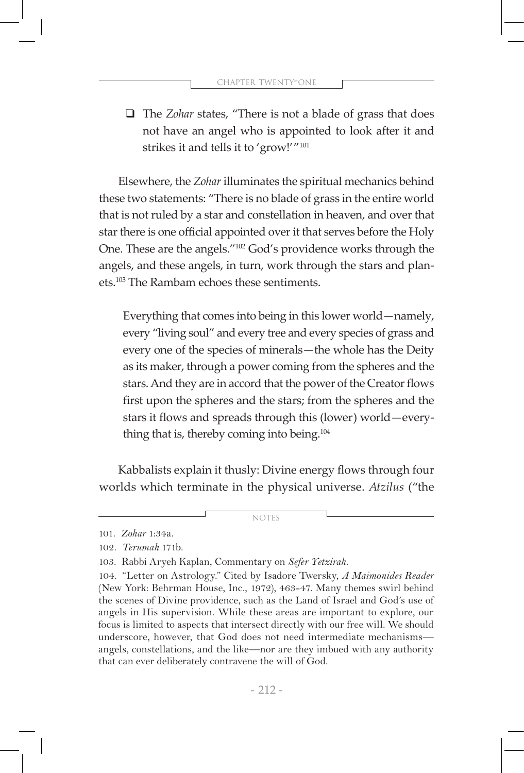#### chapter twenty-one

❑ The *Zohar* states, "There is not a blade of grass that does not have an angel who is appointed to look after it and strikes it and tells it to 'grow!'"<sup>101</sup>

Elsewhere, the *Zohar* illuminates the spiritual mechanics behind these two statements: "There is no blade of grass in the entire world that is not ruled by a star and constellation in heaven, and over that star there is one official appointed over it that serves before the Holy One. These are the angels."102 God's providence works through the angels, and these angels, in turn, work through the stars and planets.103 The Rambam echoes these sentiments.

Everything that comes into being in this lower world—namely, every "living soul" and every tree and every species of grass and every one of the species of minerals—the whole has the Deity as its maker, through a power coming from the spheres and the stars. And they are in accord that the power of the Creator flows first upon the spheres and the stars; from the spheres and the stars it flows and spreads through this (lower) world—everything that is, thereby coming into being.<sup>104</sup>

Kabbalists explain it thusly: Divine energy flows through four worlds which terminate in the physical universe. *Atzilus* ("the

notes

<sup>101.</sup> *Zohar* 1:34a.

<sup>102.</sup> *Terumah* 171b.

<sup>103.</sup> Rabbi Aryeh Kaplan, Commentary on *Sefer Yetzirah.*

<sup>104.</sup> "Letter on Astrology." Cited by Isadore Twersky, *A Maimonides Reader* (New York: Behrman House, Inc., 1972), 463-47. Many themes swirl behind the scenes of Divine providence, such as the Land of Israel and God's use of angels in His supervision. While these areas are important to explore, our focus is limited to aspects that intersect directly with our free will. We should underscore, however, that God does not need intermediate mechanisms angels, constellations, and the like—nor are they imbued with any authority that can ever deliberately contravene the will of God.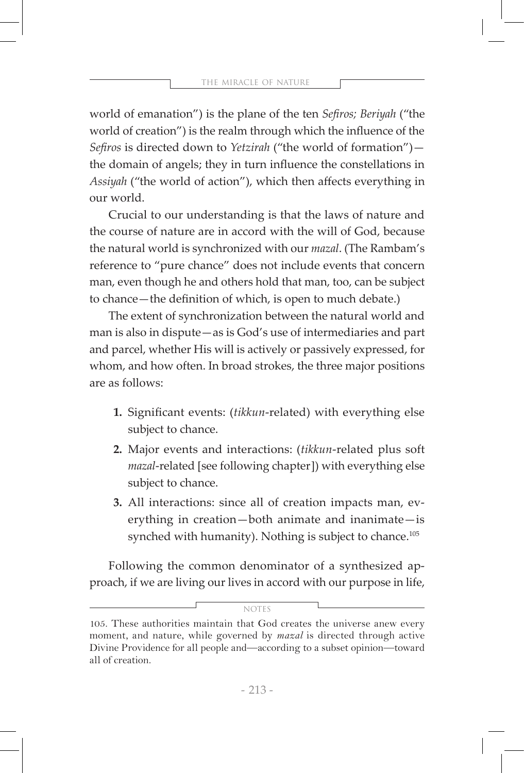world of emanation") is the plane of the ten *Sefiros; Beriyah* ("the world of creation") is the realm through which the influence of the *Sefiros* is directed down to *Yetzirah* ("the world of formation") the domain of angels; they in turn influence the constellations in *Assiyah* ("the world of action"), which then affects everything in our world.

Crucial to our understanding is that the laws of nature and the course of nature are in accord with the will of God, because the natural world is synchronized with our *mazal*. (The Rambam's reference to "pure chance" does not include events that concern man, even though he and others hold that man, too, can be subject to chance—the definition of which, is open to much debate.)

The extent of synchronization between the natural world and man is also in dispute—as is God's use of intermediaries and part and parcel, whether His will is actively or passively expressed, for whom, and how often. In broad strokes, the three major positions are as follows:

- **1.** Significant events: (*tikkun*-related) with everything else subject to chance.
- **2.** Major events and interactions: (*tikkun*-related plus soft *mazal*-related [see following chapter]) with everything else subject to chance.
- **3.** All interactions: since all of creation impacts man, everything in creation—both animate and inanimate—is synched with humanity). Nothing is subject to chance.<sup>105</sup>

Following the common denominator of a synthesized approach, if we are living our lives in accord with our purpose in life,

<sup>105.</sup> These authorities maintain that God creates the universe anew every moment, and nature, while governed by *mazal* is directed through active Divine Providence for all people and—according to a subset opinion—toward all of creation.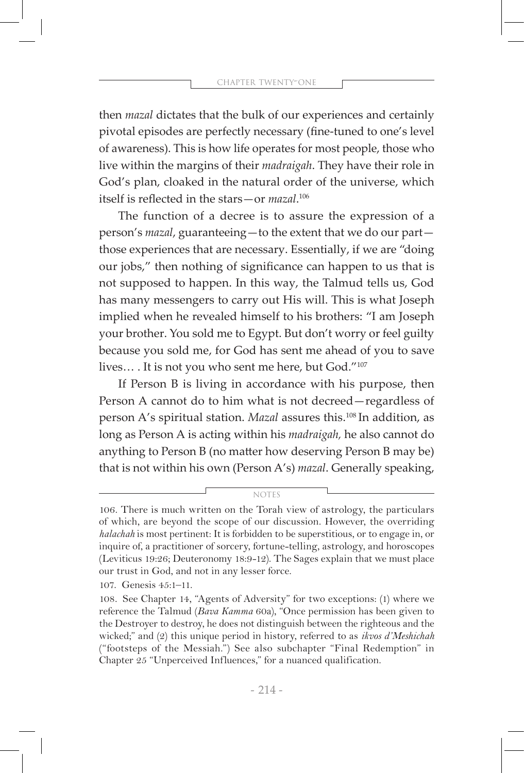then *mazal* dictates that the bulk of our experiences and certainly pivotal episodes are perfectly necessary (fine-tuned to one's level of awareness). This is how life operates for most people, those who live within the margins of their *madraigah*. They have their role in God's plan, cloaked in the natural order of the universe, which itself is reflected in the stars—or *mazal*. 106

The function of a decree is to assure the expression of a person's *mazal*, guaranteeing—to the extent that we do our part those experiences that are necessary. Essentially, if we are "doing our jobs," then nothing of significance can happen to us that is not supposed to happen. In this way, the Talmud tells us, God has many messengers to carry out His will. This is what Joseph implied when he revealed himself to his brothers: "I am Joseph your brother. You sold me to Egypt. But don't worry or feel guilty because you sold me, for God has sent me ahead of you to save lives… . It is not you who sent me here, but God."107

If Person B is living in accordance with his purpose, then Person A cannot do to him what is not decreed—regardless of person A's spiritual station. *Mazal* assures this.108 In addition, as long as Person A is acting within his *madraigah,* he also cannot do anything to Person B (no matter how deserving Person B may be) that is not within his own (Person A's) *mazal*. Generally speaking,

<sup>106.</sup> There is much written on the Torah view of astrology, the particulars of which, are beyond the scope of our discussion. However, the overriding *halachah* is most pertinent: It is forbidden to be superstitious, or to engage in, or inquire of, a practitioner of sorcery, fortune-telling, astrology, and horoscopes (Leviticus 19:26; Deuteronomy 18:9-12). The Sages explain that we must place our trust in God, and not in any lesser force.

<sup>107.</sup> Genesis 45:1–11.

<sup>108.</sup> See Chapter 14, "Agents of Adversity" for two exceptions: (1) where we reference the Talmud (*Bava Kamma* 60a), "Once permission has been given to the Destroyer to destroy, he does not distinguish between the righteous and the wicked;" and (2) this unique period in history, referred to as *ikvos d'Meshichah* ("footsteps of the Messiah.") See also subchapter "Final Redemption" in Chapter 25 "Unperceived Influences," for a nuanced qualification.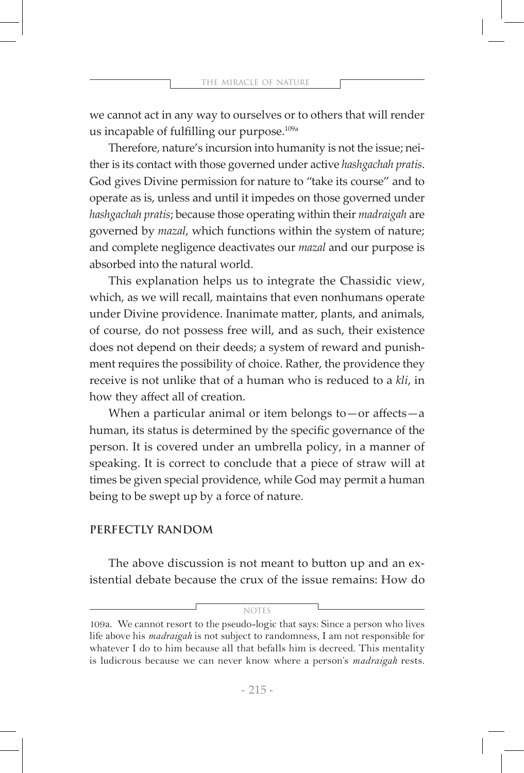we cannot act in any way to ourselves or to others that will render us incapable of fulfilling our purpose. $109a$ 

Therefore, nature's incursion into humanity is not the issue; neither is its contact with those governed under active *hashgachah pratis*. God gives Divine permission for nature to "take its course" and to operate as is, unless and until it impedes on those governed under *hashgachah pratis*; because those operating within their *madraigah* are governed by *mazal*, which functions within the system of nature; and complete negligence deactivates our *mazal* and our purpose is absorbed into the natural world.

This explanation helps us to integrate the Chassidic view, which, as we will recall, maintains that even nonhumans operate under Divine providence. Inanimate matter, plants, and animals, of course, do not possess free will, and as such, their existence does not depend on their deeds; a system of reward and punishment requires the possibility of choice. Rather, the providence they receive is not unlike that of a human who is reduced to a *kli*, in how they affect all of creation.

When a particular animal or item belongs to—or affects—a human, its status is determined by the specific governance of the person. It is covered under an umbrella policy, in a manner of speaking. It is correct to conclude that a piece of straw will at times be given special providence, while God may permit a human being to be swept up by a force of nature.

# **PERFECTLY RANDOM**

The above discussion is not meant to button up and an existential debate because the crux of the issue remains: How do

<sup>109</sup>a. We cannot resort to the pseudo-logic that says: Since a person who lives life above his *madraigah* is not subject to randomness, I am not responsible for whatever I do to him because all that befalls him is decreed. This mentality is ludicrous because we can never know where a person's *madraigah* rests.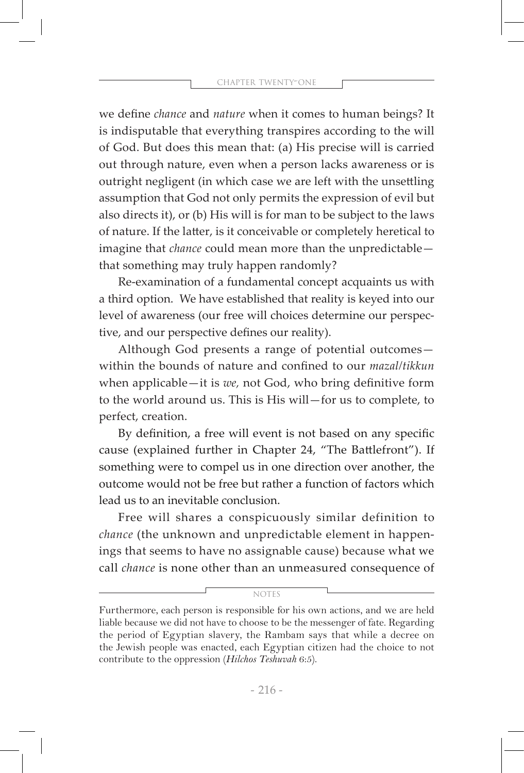we define *chance* and *nature* when it comes to human beings? It is indisputable that everything transpires according to the will of God. But does this mean that: (a) His precise will is carried out through nature, even when a person lacks awareness or is outright negligent (in which case we are left with the unsettling assumption that God not only permits the expression of evil but also directs it), or (b) His will is for man to be subject to the laws of nature. If the latter, is it conceivable or completely heretical to imagine that *chance* could mean more than the unpredictable that something may truly happen randomly?

Re-examination of a fundamental concept acquaints us with a third option. We have established that reality is keyed into our level of awareness (our free will choices determine our perspective, and our perspective defines our reality).

Although God presents a range of potential outcomes within the bounds of nature and confined to our *mazal/tikkun*  when applicable—it is *we,* not God, who bring definitive form to the world around us. This is His will—for us to complete, to perfect, creation.

By definition, a free will event is not based on any specific cause (explained further in Chapter 24, "The Battlefront"). If something were to compel us in one direction over another, the outcome would not be free but rather a function of factors which lead us to an inevitable conclusion.

Free will shares a conspicuously similar definition to *chance* (the unknown and unpredictable element in happenings that seems to have no assignable cause) because what we call *chance* is none other than an unmeasured consequence of

Furthermore, each person is responsible for his own actions, and we are held liable because we did not have to choose to be the messenger of fate. Regarding the period of Egyptian slavery, the Rambam says that while a decree on the Jewish people was enacted, each Egyptian citizen had the choice to not contribute to the oppression (*Hilchos Teshuvah* 6:5).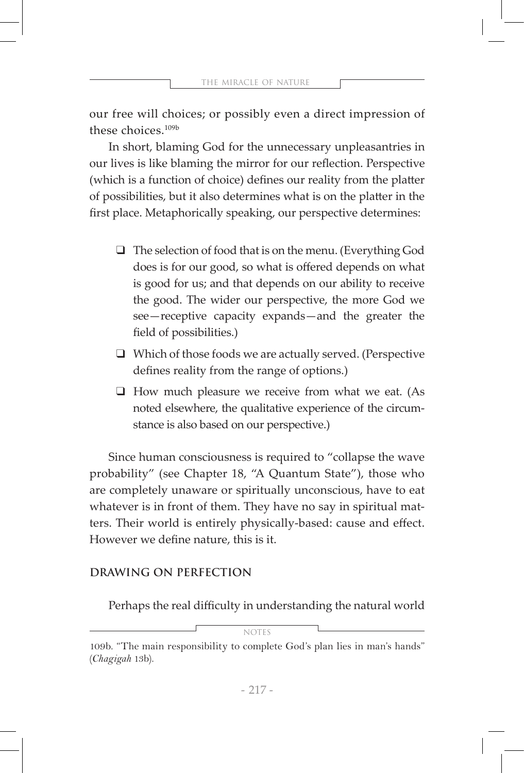our free will choices; or possibly even a direct impression of these choices.109b

In short, blaming God for the unnecessary unpleasantries in our lives is like blaming the mirror for our reflection. Perspective (which is a function of choice) defines our reality from the platter of possibilities, but it also determines what is on the platter in the first place. Metaphorically speaking, our perspective determines:

- ❑ The selection of food that is on the menu. (Everything God does is for our good, so what is offered depends on what is good for us; and that depends on our ability to receive the good. The wider our perspective, the more God we see—receptive capacity expands—and the greater the field of possibilities.)
- ❑ Which of those foods we are actually served. (Perspective defines reality from the range of options.)
- ❑ How much pleasure we receive from what we eat. (As noted elsewhere, the qualitative experience of the circumstance is also based on our perspective.)

Since human consciousness is required to "collapse the wave probability" (see Chapter 18, "A Quantum State"), those who are completely unaware or spiritually unconscious, have to eat whatever is in front of them. They have no say in spiritual matters. Their world is entirely physically-based: cause and effect. However we define nature, this is it.

# **DRAWING ON PERFECTION**

Perhaps the real difficulty in understanding the natural world

109b. "The main responsibility to complete God's plan lies in man's hands" (*Chagigah* 13b).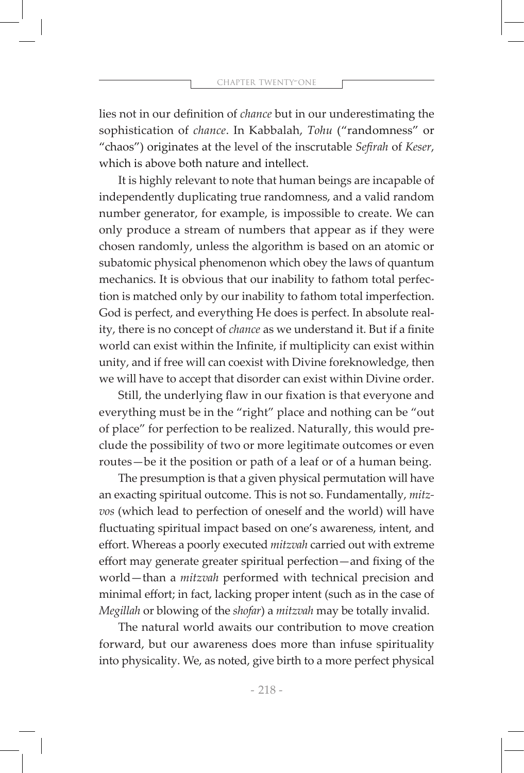lies not in our definition of *chance* but in our underestimating the sophistication of *chance*. In Kabbalah, *Tohu* ("randomness" or "chaos") originates at the level of the inscrutable *Sefirah* of *Keser*, which is above both nature and intellect.

It is highly relevant to note that human beings are incapable of independently duplicating true randomness, and a valid random number generator, for example, is impossible to create. We can only produce a stream of numbers that appear as if they were chosen randomly, unless the algorithm is based on an atomic or subatomic physical phenomenon which obey the laws of quantum mechanics. It is obvious that our inability to fathom total perfection is matched only by our inability to fathom total imperfection. God is perfect, and everything He does is perfect. In absolute reality, there is no concept of *chance* as we understand it. But if a finite world can exist within the Infinite, if multiplicity can exist within unity, and if free will can coexist with Divine foreknowledge, then we will have to accept that disorder can exist within Divine order.

Still, the underlying flaw in our fixation is that everyone and everything must be in the "right" place and nothing can be "out of place" for perfection to be realized. Naturally, this would preclude the possibility of two or more legitimate outcomes or even routes—be it the position or path of a leaf or of a human being.

The presumption is that a given physical permutation will have an exacting spiritual outcome. This is not so. Fundamentally, *mitzvos* (which lead to perfection of oneself and the world) will have fluctuating spiritual impact based on one's awareness, intent, and effort. Whereas a poorly executed *mitzvah* carried out with extreme effort may generate greater spiritual perfection—and fixing of the world—than a *mitzvah* performed with technical precision and minimal effort; in fact, lacking proper intent (such as in the case of *Megillah* or blowing of the *shofar*) a *mitzvah* may be totally invalid.

The natural world awaits our contribution to move creation forward, but our awareness does more than infuse spirituality into physicality. We, as noted, give birth to a more perfect physical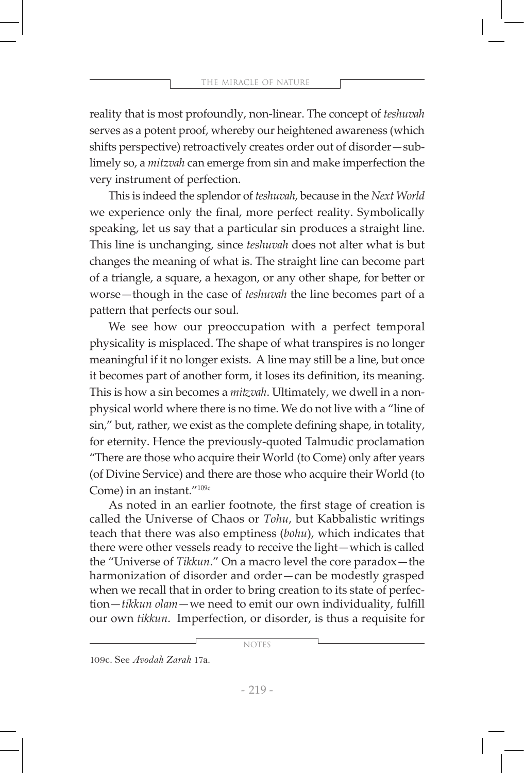reality that is most profoundly, non-linear. The concept of *teshuvah* serves as a potent proof, whereby our heightened awareness (which shifts perspective) retroactively creates order out of disorder—sublimely so, a *mitzvah* can emerge from sin and make imperfection the very instrument of perfection.

This is indeed the splendor of *teshuvah*, because in the *Next World* we experience only the final, more perfect reality. Symbolically speaking, let us say that a particular sin produces a straight line. This line is unchanging, since *teshuvah* does not alter what is but changes the meaning of what is. The straight line can become part of a triangle, a square, a hexagon, or any other shape, for better or worse—though in the case of *teshuvah* the line becomes part of a pattern that perfects our soul.

We see how our preoccupation with a perfect temporal physicality is misplaced. The shape of what transpires is no longer meaningful if it no longer exists. A line may still be a line, but once it becomes part of another form, it loses its definition, its meaning. This is how a sin becomes a *mitzvah*. Ultimately, we dwell in a nonphysical world where there is no time. We do not live with a "line of sin," but, rather, we exist as the complete defining shape, in totality, for eternity. Hence the previously-quoted Talmudic proclamation "There are those who acquire their World (to Come) only after years (of Divine Service) and there are those who acquire their World (to Come) in an instant."109c

As noted in an earlier footnote, the first stage of creation is called the Universe of Chaos or *Tohu*, but Kabbalistic writings teach that there was also emptiness (*bohu*), which indicates that there were other vessels ready to receive the light—which is called the "Universe of *Tikkun*." On a macro level the core paradox—the harmonization of disorder and order—can be modestly grasped when we recall that in order to bring creation to its state of perfection—*tikkun olam*—we need to emit our own individuality, fulfill our own *tikkun*. Imperfection, or disorder, is thus a requisite for

notes

109c. See *Avodah Zarah* 17a.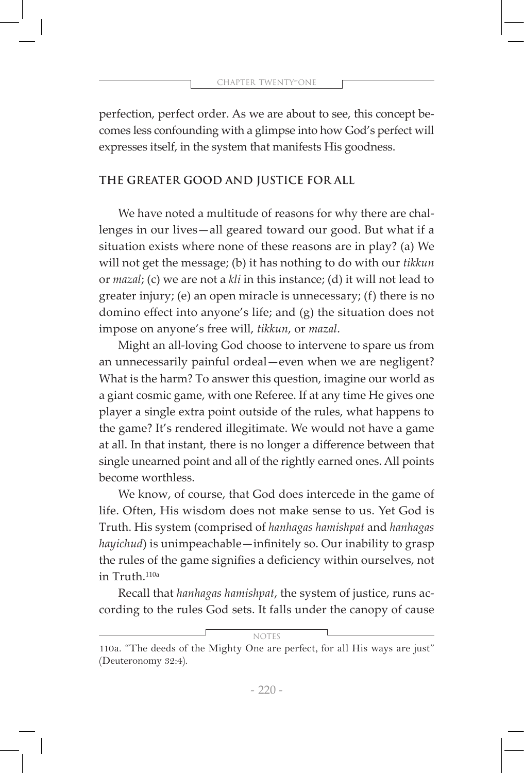perfection, perfect order. As we are about to see, this concept becomes less confounding with a glimpse into how God's perfect will expresses itself, in the system that manifests His goodness.

## **THE GREATER GOOD AND JUSTICE FOR ALL**

We have noted a multitude of reasons for why there are challenges in our lives—all geared toward our good. But what if a situation exists where none of these reasons are in play? (a) We will not get the message; (b) it has nothing to do with our *tikkun* or *mazal*; (c) we are not a *kli* in this instance; (d) it will not lead to greater injury; (e) an open miracle is unnecessary; (f) there is no domino effect into anyone's life; and (g) the situation does not impose on anyone's free will, *tikkun*, or *mazal*.

Might an all-loving God choose to intervene to spare us from an unnecessarily painful ordeal—even when we are negligent? What is the harm? To answer this question, imagine our world as a giant cosmic game, with one Referee. If at any time He gives one player a single extra point outside of the rules, what happens to the game? It's rendered illegitimate. We would not have a game at all. In that instant, there is no longer a difference between that single unearned point and all of the rightly earned ones. All points become worthless.

We know, of course, that God does intercede in the game of life. Often, His wisdom does not make sense to us. Yet God is Truth. His system (comprised of *hanhagas hamishpat* and *hanhagas hayichud*) is unimpeachable—infinitely so. Our inability to grasp the rules of the game signifies a deficiency within ourselves, not in Truth.110a

Recall that *hanhagas hamishpat*, the system of justice, runs according to the rules God sets. It falls under the canopy of cause

<sup>110</sup>a. "The deeds of the Mighty One are perfect, for all His ways are just" (Deuteronomy 32:4).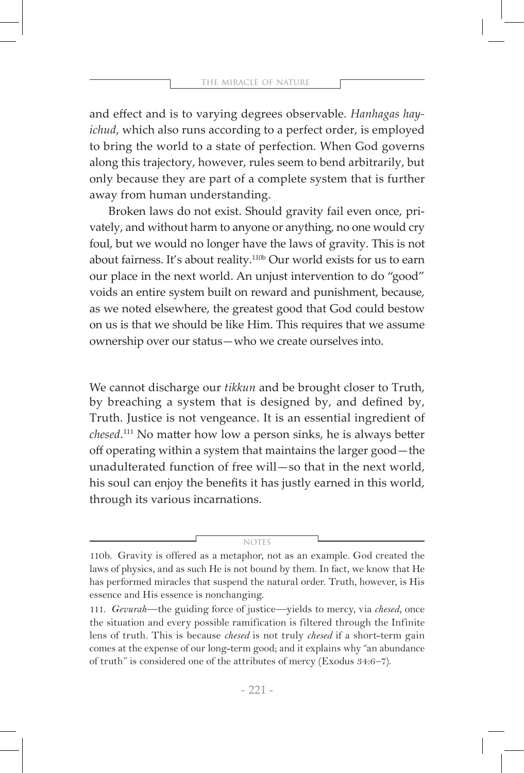and effect and is to varying degrees observable*. Hanhagas hayichud*, which also runs according to a perfect order, is employed to bring the world to a state of perfection. When God governs along this trajectory, however, rules seem to bend arbitrarily, but only because they are part of a complete system that is further away from human understanding.

Broken laws do not exist. Should gravity fail even once, privately, and without harm to anyone or anything, no one would cry foul, but we would no longer have the laws of gravity. This is not about fairness. It's about reality.<sup>110b</sup> Our world exists for us to earn our place in the next world. An unjust intervention to do "good" voids an entire system built on reward and punishment, because, as we noted elsewhere, the greatest good that God could bestow on us is that we should be like Him. This requires that we assume ownership over our status—who we create ourselves into.

We cannot discharge our *tikkun* and be brought closer to Truth, by breaching a system that is designed by, and defined by, Truth. Justice is not vengeance. It is an essential ingredient of *chesed*. <sup>111</sup> No matter how low a person sinks, he is always better off operating within a system that maintains the larger good—the unadulterated function of free will—so that in the next world, his soul can enjoy the benefits it has justly earned in this world, through its various incarnations.

<sup>110</sup>b. Gravity is offered as a metaphor, not as an example. God created the laws of physics, and as such He is not bound by them. In fact, we know that He has performed miracles that suspend the natural order. Truth, however, is His essence and His essence is nonchanging.

<sup>111.</sup> *Gevurah*—the guiding force of justice—yields to mercy, via *chesed*, once the situation and every possible ramification is filtered through the Infinite lens of truth. This is because *chesed* is not truly *chesed* if a short-term gain comes at the expense of our long-term good; and it explains why "an abundance of truth" is considered one of the attributes of mercy (Exodus 34:6–7).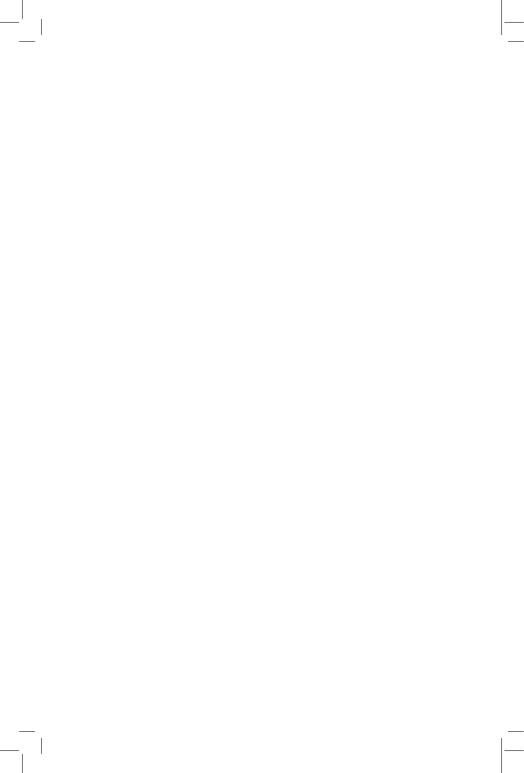$\begin{array}{ccc} \begin{array}{ccc} \end{array} & \begin{array}{ccc} \end{array} & \end{array}$  $\frac{1}{\sqrt{2}}$ 

Ξ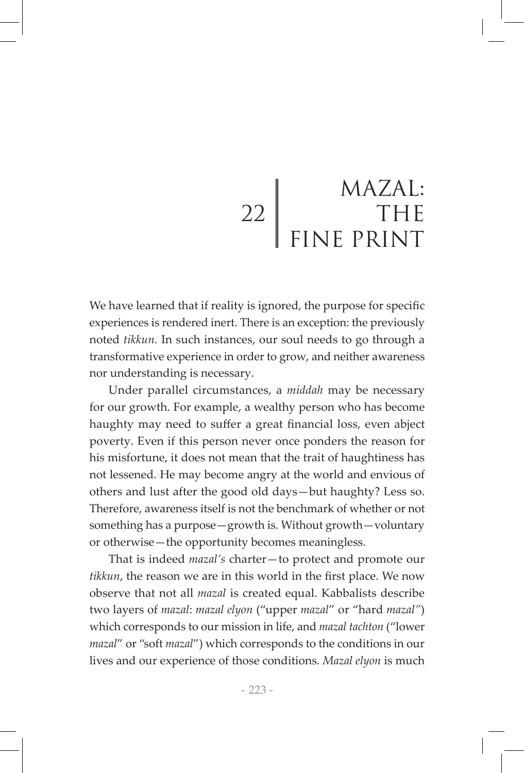# Mazal: **THE** Fine Print 22

We have learned that if reality is ignored, the purpose for specific experiences is rendered inert. There is an exception: the previously noted *tikkun.* In such instances, our soul needs to go through a transformative experience in order to grow, and neither awareness nor understanding is necessary.

Under parallel circumstances, a *middah* may be necessary for our growth. For example, a wealthy person who has become haughty may need to suffer a great financial loss, even abject poverty. Even if this person never once ponders the reason for his misfortune, it does not mean that the trait of haughtiness has not lessened. He may become angry at the world and envious of others and lust after the good old days—but haughty? Less so. Therefore, awareness itself is not the benchmark of whether or not something has a purpose—growth is. Without growth—voluntary or otherwise—the opportunity becomes meaningless.

That is indeed *mazal's* charter—to protect and promote our *tikkun*, the reason we are in this world in the first place. We now observe that not all *mazal* is created equal. Kabbalists describe two layers of *mazal*: *mazal elyon* ("upper *mazal*" or "hard *mazal"*) which corresponds to our mission in life, and *mazal tachton* ("lower *mazal*" or "soft *mazal*") which corresponds to the conditions in our lives and our experience of those conditions. *Mazal elyon* is much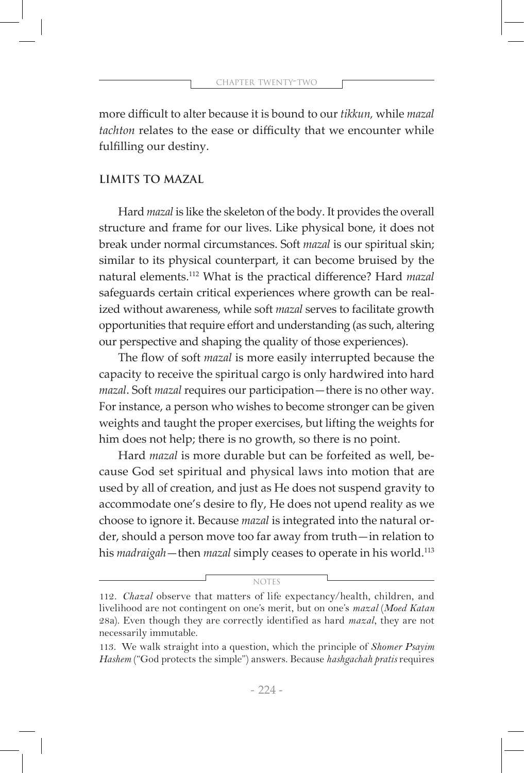| CHAPTER TWENTY-TWO |  |
|--------------------|--|
|--------------------|--|

more difficult to alter because it is bound to our *tikkun,* while *mazal tachton* relates to the ease or difficulty that we encounter while fulfilling our destiny.

# **LIMITS TO MAZAL**

Hard *mazal* is like the skeleton of the body. It provides the overall structure and frame for our lives. Like physical bone, it does not break under normal circumstances. Soft *mazal* is our spiritual skin; similar to its physical counterpart, it can become bruised by the natural elements.112 What is the practical difference? Hard *mazal* safeguards certain critical experiences where growth can be realized without awareness, while soft *mazal* serves to facilitate growth opportunities that require effort and understanding (as such, altering our perspective and shaping the quality of those experiences).

The flow of soft *mazal* is more easily interrupted because the capacity to receive the spiritual cargo is only hardwired into hard *mazal*. Soft *mazal* requires our participation—there is no other way. For instance, a person who wishes to become stronger can be given weights and taught the proper exercises, but lifting the weights for him does not help; there is no growth, so there is no point.

Hard *mazal* is more durable but can be forfeited as well, because God set spiritual and physical laws into motion that are used by all of creation, and just as He does not suspend gravity to accommodate one's desire to fly, He does not upend reality as we choose to ignore it. Because *mazal* is integrated into the natural order, should a person move too far away from truth—in relation to his *madraigah*—then *mazal* simply ceases to operate in his world.113

<sup>112.</sup> *Chazal* observe that matters of life expectancy/health, children, and livelihood are not contingent on one's merit, but on one's *mazal* (*Moed Katan* 28a). Even though they are correctly identified as hard *mazal*, they are not necessarily immutable.

<sup>113.</sup> We walk straight into a question, which the principle of *Shomer Psayim Hashem* ("God protects the simple") answers. Because *hashgachah pratis* requires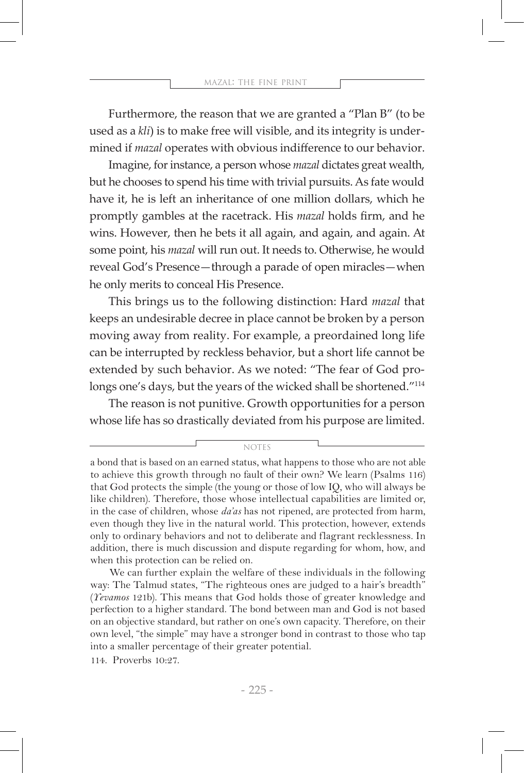Furthermore, the reason that we are granted a "Plan B" (to be used as a *kli*) is to make free will visible, and its integrity is undermined if *mazal* operates with obvious indifference to our behavior.

Imagine, for instance, a person whose *mazal* dictates great wealth, but he chooses to spend his time with trivial pursuits. As fate would have it, he is left an inheritance of one million dollars, which he promptly gambles at the racetrack. His *mazal* holds firm, and he wins. However, then he bets it all again, and again, and again. At some point, his *mazal* will run out. It needs to. Otherwise, he would reveal God's Presence—through a parade of open miracles—when he only merits to conceal His Presence.

This brings us to the following distinction: Hard *mazal* that keeps an undesirable decree in place cannot be broken by a person moving away from reality. For example, a preordained long life can be interrupted by reckless behavior, but a short life cannot be extended by such behavior. As we noted: "The fear of God prolongs one's days, but the years of the wicked shall be shortened."<sup>114</sup>

The reason is not punitive. Growth opportunities for a person whose life has so drastically deviated from his purpose are limited.

#### notes

We can further explain the welfare of these individuals in the following way: The Talmud states, "The righteous ones are judged to a hair's breadth" (*Yevamos* 121b). This means that God holds those of greater knowledge and perfection to a higher standard. The bond between man and God is not based on an objective standard, but rather on one's own capacity. Therefore, on their own level, "the simple" may have a stronger bond in contrast to those who tap into a smaller percentage of their greater potential.

114. Proverbs 10:27.

a bond that is based on an earned status, what happens to those who are not able to achieve this growth through no fault of their own? We learn (Psalms 116) that God protects the simple (the young or those of low IQ, who will always be like children). Therefore, those whose intellectual capabilities are limited or, in the case of children, whose *da'as* has not ripened, are protected from harm, even though they live in the natural world. This protection, however, extends only to ordinary behaviors and not to deliberate and flagrant recklessness. In addition, there is much discussion and dispute regarding for whom, how, and when this protection can be relied on.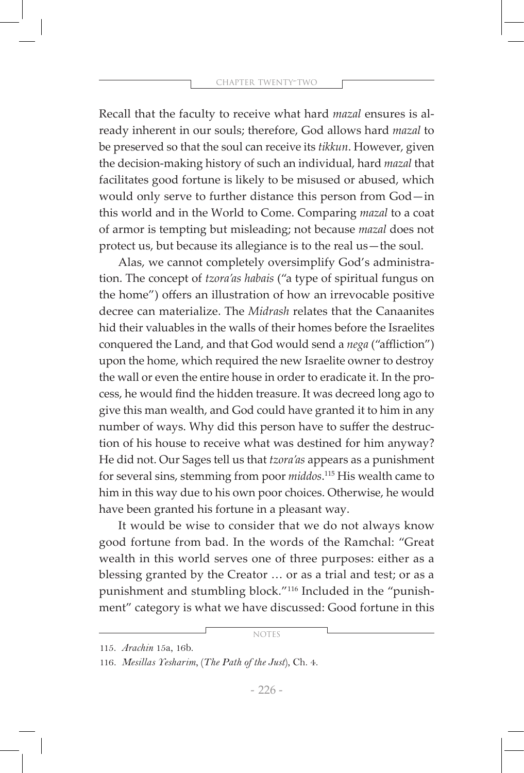#### chapter twenty-two

Recall that the faculty to receive what hard *mazal* ensures is already inherent in our souls; therefore, God allows hard *mazal* to be preserved so that the soul can receive its *tikkun*. However, given the decision-making history of such an individual, hard *mazal* that facilitates good fortune is likely to be misused or abused, which would only serve to further distance this person from God—in this world and in the World to Come. Comparing *mazal* to a coat of armor is tempting but misleading; not because *mazal* does not protect us, but because its allegiance is to the real us—the soul.

Alas, we cannot completely oversimplify God's administration. The concept of *tzora'as habais* ("a type of spiritual fungus on the home") offers an illustration of how an irrevocable positive decree can materialize. The *Midrash* relates that the Canaanites hid their valuables in the walls of their homes before the Israelites conquered the Land, and that God would send a *nega* ("affliction") upon the home, which required the new Israelite owner to destroy the wall or even the entire house in order to eradicate it. In the process, he would find the hidden treasure. It was decreed long ago to give this man wealth, and God could have granted it to him in any number of ways. Why did this person have to suffer the destruction of his house to receive what was destined for him anyway? He did not. Our Sages tell us that *tzora'as* appears as a punishment for several sins, stemming from poor *middos*. 115 His wealth came to him in this way due to his own poor choices. Otherwise, he would have been granted his fortune in a pleasant way.

It would be wise to consider that we do not always know good fortune from bad. In the words of the Ramchal: "Great wealth in this world serves one of three purposes: either as a blessing granted by the Creator … or as a trial and test; or as a punishment and stumbling block."116 Included in the "punishment" category is what we have discussed: Good fortune in this

<sup>115.</sup> *Arachin* 15a, 16b.

<sup>116.</sup> *Mesillas Yesharim,* (*The Path of the Just*), Ch. 4.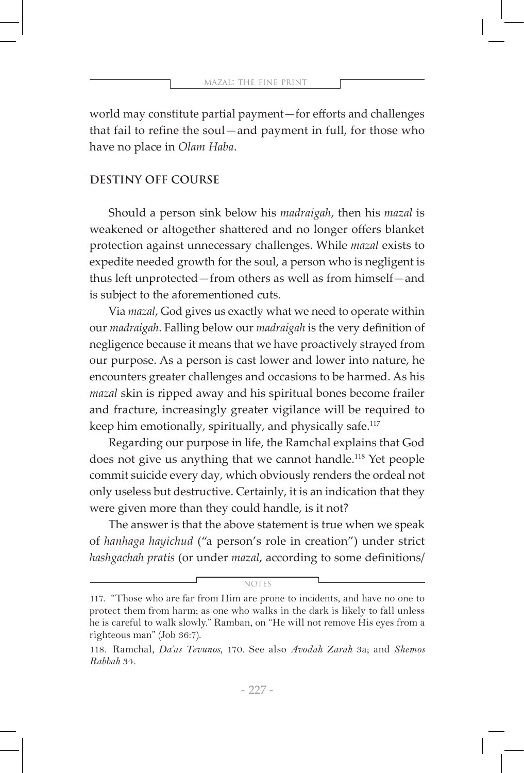world may constitute partial payment—for efforts and challenges that fail to refine the soul—and payment in full, for those who have no place in *Olam Haba*.

# **Destiny off course**

Should a person sink below his *madraigah*, then his *mazal* is weakened or altogether shattered and no longer offers blanket protection against unnecessary challenges. While *mazal* exists to expedite needed growth for the soul, a person who is negligent is thus left unprotected—from others as well as from himself—and is subject to the aforementioned cuts.

Via *mazal*, God gives us exactly what we need to operate within our *madraigah*. Falling below our *madraigah* is the very definition of negligence because it means that we have proactively strayed from our purpose. As a person is cast lower and lower into nature, he encounters greater challenges and occasions to be harmed. As his *mazal* skin is ripped away and his spiritual bones become frailer and fracture, increasingly greater vigilance will be required to keep him emotionally, spiritually, and physically safe.<sup>117</sup>

Regarding our purpose in life, the Ramchal explains that God does not give us anything that we cannot handle.<sup>118</sup> Yet people commit suicide every day, which obviously renders the ordeal not only useless but destructive. Certainly, it is an indication that they were given more than they could handle, is it not?

The answer is that the above statement is true when we speak of *hanhaga hayichud* ("a person's role in creation") under strict *hashgachah pratis* (or under *mazal*, according to some definitions/

<sup>117.</sup> "Those who are far from Him are prone to incidents, and have no one to protect them from harm; as one who walks in the dark is likely to fall unless he is careful to walk slowly." Ramban, on "He will not remove His eyes from a righteous man" (Job 36:7).

<sup>118.</sup> Ramchal*, Da'as Tevunos*, 170. See also *Avodah Zarah* 3a; and *Shemos Rabbah* 34.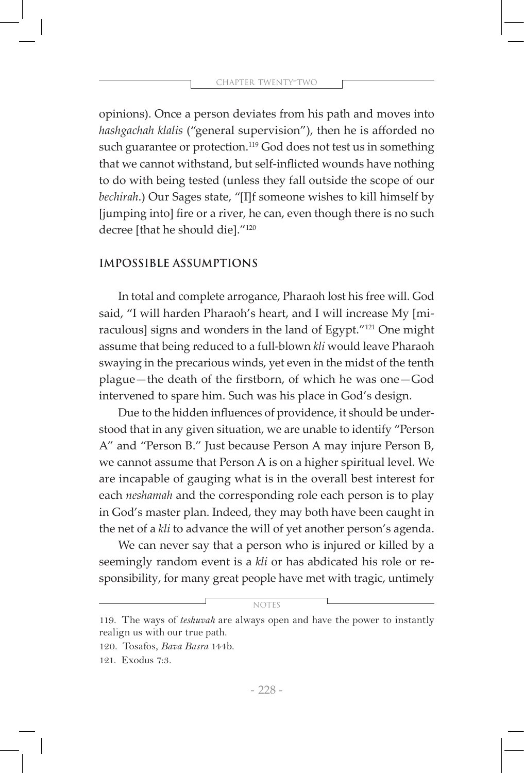opinions). Once a person deviates from his path and moves into *hashgachah klalis* ("general supervision"), then he is afforded no such guarantee or protection.<sup>119</sup> God does not test us in something that we cannot withstand, but self-inflicted wounds have nothing to do with being tested (unless they fall outside the scope of our *bechirah*.) Our Sages state, "[I]f someone wishes to kill himself by [jumping into] fire or a river, he can, even though there is no such decree [that he should die]."120

## **IMPOSSIBLE ASSUMPTIONS**

In total and complete arrogance, Pharaoh lost his free will. God said, "I will harden Pharaoh's heart, and I will increase My [miraculous] signs and wonders in the land of Egypt."121 One might assume that being reduced to a full-blown *kli* would leave Pharaoh swaying in the precarious winds, yet even in the midst of the tenth plague—the death of the firstborn, of which he was one—God intervened to spare him. Such was his place in God's design.

Due to the hidden influences of providence, it should be understood that in any given situation, we are unable to identify "Person A" and "Person B." Just because Person A may injure Person B, we cannot assume that Person A is on a higher spiritual level. We are incapable of gauging what is in the overall best interest for each *neshamah* and the corresponding role each person is to play in God's master plan. Indeed, they may both have been caught in the net of a *kli* to advance the will of yet another person's agenda.

We can never say that a person who is injured or killed by a seemingly random event is a *kli* or has abdicated his role or responsibility, for many great people have met with tragic, untimely

<sup>119.</sup> The ways of *teshuvah* are always open and have the power to instantly realign us with our true path.

<sup>120.</sup> Tosafos, *Bava Basra* 144b.

<sup>121.</sup> Exodus 7:3.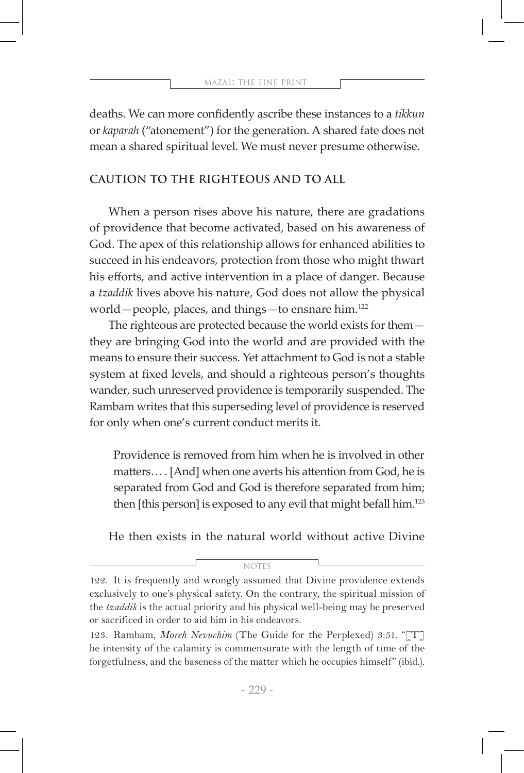deaths. We can more confidently ascribe these instances to a *tikkun* or *kaparah* ("atonement") for the generation. A shared fate does not mean a shared spiritual level. We must never presume otherwise.

# **CAUTION TO THE RIGHTEOUS AND TO ALL**

When a person rises above his nature, there are gradations of providence that become activated, based on his awareness of God. The apex of this relationship allows for enhanced abilities to succeed in his endeavors, protection from those who might thwart his efforts, and active intervention in a place of danger. Because a *tzaddik* lives above his nature, God does not allow the physical world—people, places, and things—to ensnare him.<sup>122</sup>

The righteous are protected because the world exists for them they are bringing God into the world and are provided with the means to ensure their success. Yet attachment to God is not a stable system at fixed levels, and should a righteous person's thoughts wander, such unreserved providence is temporarily suspended. The Rambam writes that this superseding level of providence is reserved for only when one's current conduct merits it.

Providence is removed from him when he is involved in other matters… . [And] when one averts his attention from God, he is separated from God and God is therefore separated from him; then [this person] is exposed to any evil that might befall him.<sup>123</sup>

He then exists in the natural world without active Divine

notes

<sup>122.</sup> It is frequently and wrongly assumed that Divine providence extends exclusively to one's physical safety. On the contrary, the spiritual mission of the *tzaddik* is the actual priority and his physical well-being may be preserved or sacrificed in order to aid him in his endeavors.

<sup>123.</sup> Rambam, *Moreh Nevuchim* (The Guide for the Perplexed) 3:51. "[T] he intensity of the calamity is commensurate with the length of time of the forgetfulness, and the baseness of the matter which he occupies himself" (ibid.).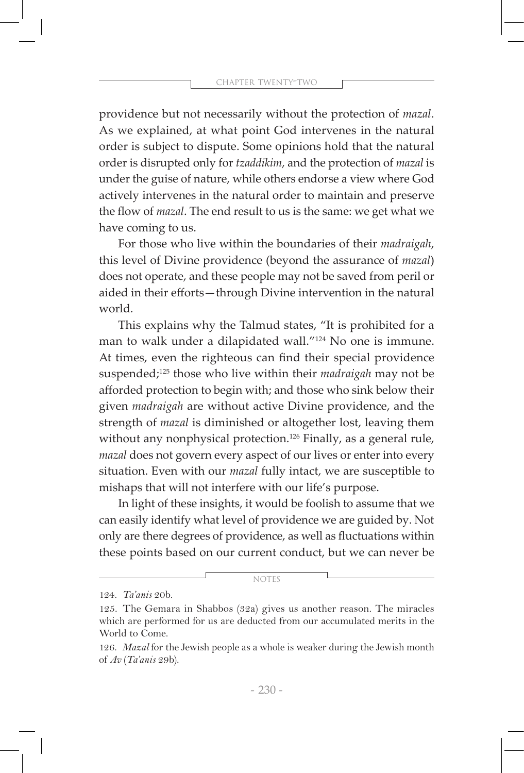#### chapter twenty-two

providence but not necessarily without the protection of *mazal*. As we explained, at what point God intervenes in the natural order is subject to dispute. Some opinions hold that the natural order is disrupted only for *tzaddikim*, and the protection of *mazal* is under the guise of nature, while others endorse a view where God actively intervenes in the natural order to maintain and preserve the flow of *mazal*. The end result to us is the same: we get what we have coming to us.

For those who live within the boundaries of their *madraigah*, this level of Divine providence (beyond the assurance of *mazal*) does not operate, and these people may not be saved from peril or aided in their efforts—through Divine intervention in the natural world.

This explains why the Talmud states, "It is prohibited for a man to walk under a dilapidated wall."124 No one is immune. At times, even the righteous can find their special providence suspended;125 those who live within their *madraigah* may not be afforded protection to begin with; and those who sink below their given *madraigah* are without active Divine providence, and the strength of *mazal* is diminished or altogether lost, leaving them without any nonphysical protection.<sup>126</sup> Finally, as a general rule, *mazal* does not govern every aspect of our lives or enter into every situation. Even with our *mazal* fully intact, we are susceptible to mishaps that will not interfere with our life's purpose.

In light of these insights, it would be foolish to assume that we can easily identify what level of providence we are guided by. Not only are there degrees of providence, as well as fluctuations within these points based on our current conduct, but we can never be

<sup>124.</sup> *Ta'anis* 20b.

<sup>125.</sup> The Gemara in Shabbos (32a) gives us another reason. The miracles which are performed for us are deducted from our accumulated merits in the World to Come.

<sup>126.</sup> *Mazal* for the Jewish people as a whole is weaker during the Jewish month of *Av* (*Ta'anis* 29b).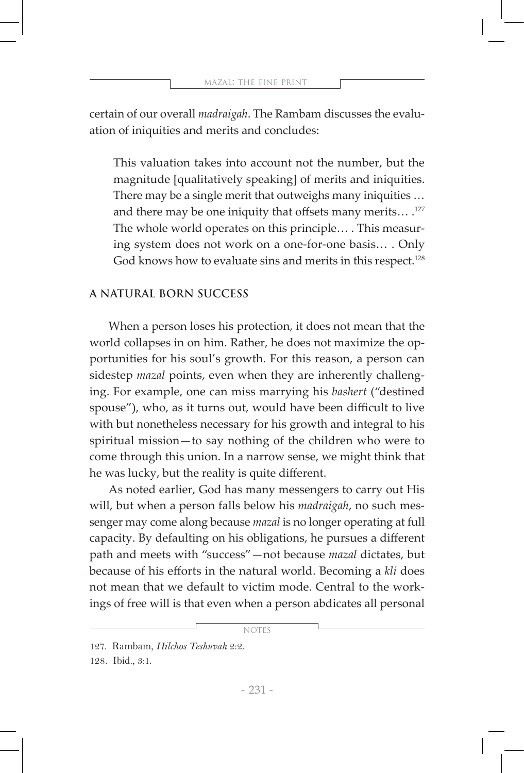certain of our overall *madraigah*. The Rambam discusses the evaluation of iniquities and merits and concludes:

This valuation takes into account not the number, but the magnitude [qualitatively speaking] of merits and iniquities. There may be a single merit that outweighs many iniquities … and there may be one iniquity that offsets many merits...  $.^{127}$ The whole world operates on this principle… . This measuring system does not work on a one-for-one basis… . Only God knows how to evaluate sins and merits in this respect.<sup>128</sup>

## **A NATURAL BORN SUCCESS**

When a person loses his protection, it does not mean that the world collapses in on him. Rather, he does not maximize the opportunities for his soul's growth. For this reason, a person can sidestep *mazal* points, even when they are inherently challenging. For example, one can miss marrying his *bashert* ("destined spouse"), who, as it turns out, would have been difficult to live with but nonetheless necessary for his growth and integral to his spiritual mission—to say nothing of the children who were to come through this union. In a narrow sense, we might think that he was lucky, but the reality is quite different.

As noted earlier, God has many messengers to carry out His will, but when a person falls below his *madraigah*, no such messenger may come along because *mazal* is no longer operating at full capacity. By defaulting on his obligations, he pursues a different path and meets with "success"—not because *mazal* dictates, but because of his efforts in the natural world. Becoming a *kli* does not mean that we default to victim mode. Central to the workings of free will is that even when a person abdicates all personal

NOTES

<sup>127.</sup> Rambam, *Hilchos Teshuvah* 2:2.

<sup>128.</sup> Ibid., 3:1.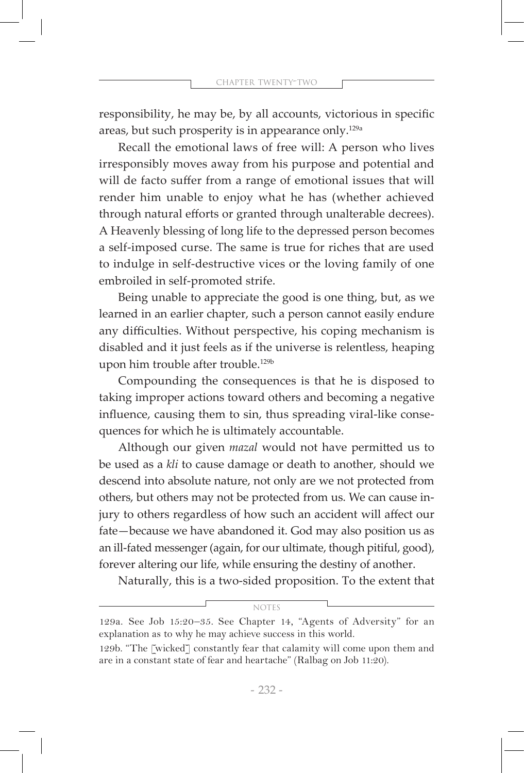responsibility, he may be, by all accounts, victorious in specific areas, but such prosperity is in appearance only.<sup>129a</sup>

Recall the emotional laws of free will: A person who lives irresponsibly moves away from his purpose and potential and will de facto suffer from a range of emotional issues that will render him unable to enjoy what he has (whether achieved through natural efforts or granted through unalterable decrees). A Heavenly blessing of long life to the depressed person becomes a self-imposed curse. The same is true for riches that are used to indulge in self-destructive vices or the loving family of one embroiled in self-promoted strife.

Being unable to appreciate the good is one thing, but, as we learned in an earlier chapter, such a person cannot easily endure any difficulties. Without perspective, his coping mechanism is disabled and it just feels as if the universe is relentless, heaping upon him trouble after trouble.<sup>129b</sup>

Compounding the consequences is that he is disposed to taking improper actions toward others and becoming a negative influence, causing them to sin, thus spreading viral-like consequences for which he is ultimately accountable.

Although our given *mazal* would not have permitted us to be used as a *kli* to cause damage or death to another, should we descend into absolute nature, not only are we not protected from others, but others may not be protected from us. We can cause injury to others regardless of how such an accident will affect our fate—because we have abandoned it. God may also position us as an ill-fated messenger (again, for our ultimate, though pitiful, good), forever altering our life, while ensuring the destiny of another.

Naturally, this is a two-sided proposition. To the extent that

NOTES

<sup>129</sup>a. See Job 15:20–35. See Chapter 14, "Agents of Adversity" for an explanation as to why he may achieve success in this world.

<sup>129</sup>b. "The [wicked] constantly fear that calamity will come upon them and are in a constant state of fear and heartache" (Ralbag on Job 11:20).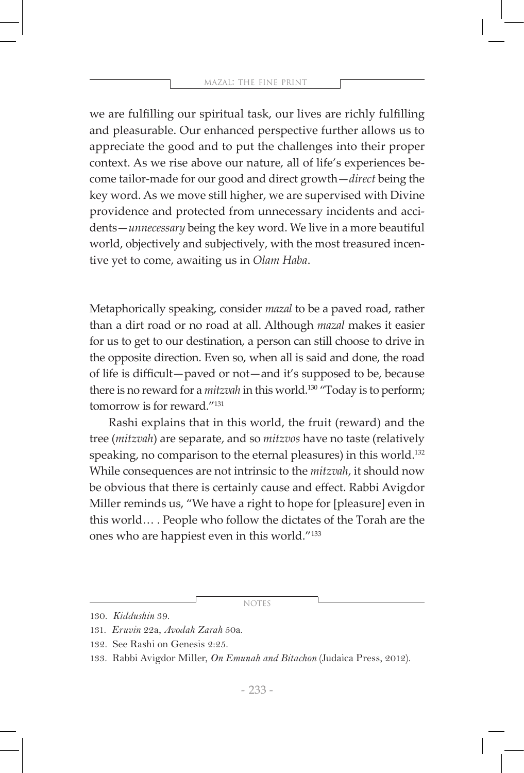we are fulfilling our spiritual task, our lives are richly fulfilling and pleasurable. Our enhanced perspective further allows us to appreciate the good and to put the challenges into their proper context. As we rise above our nature, all of life's experiences become tailor-made for our good and direct growth—*direct* being the key word. As we move still higher, we are supervised with Divine providence and protected from unnecessary incidents and accidents—*unnecessary* being the key word. We live in a more beautiful world, objectively and subjectively, with the most treasured incentive yet to come, awaiting us in *Olam Haba*.

Metaphorically speaking, consider *mazal* to be a paved road, rather than a dirt road or no road at all. Although *mazal* makes it easier for us to get to our destination, a person can still choose to drive in the opposite direction. Even so, when all is said and done, the road of life is difficult—paved or not—and it's supposed to be, because there is no reward for a *mitzvah* in this world.<sup>130</sup> "Today is to perform; tomorrow is for reward."131

Rashi explains that in this world, the fruit (reward) and the tree (*mitzvah*) are separate, and so *mitzvos* have no taste (relatively speaking, no comparison to the eternal pleasures) in this world.<sup>132</sup> While consequences are not intrinsic to the *mitzvah*, it should now be obvious that there is certainly cause and effect. Rabbi Avigdor Miller reminds us, "We have a right to hope for [pleasure] even in this world… . People who follow the dictates of the Torah are the ones who are happiest even in this world."133

**NOTES** 

<sup>130.</sup> *Kiddushin* 39.

<sup>131.</sup> *Eruvin* 22a, *Avodah Zarah* 50a.

<sup>132.</sup> See Rashi on Genesis 2:25.

<sup>133.</sup> Rabbi Avigdor Miller, *On Emunah and Bitachon* (Judaica Press, 2012).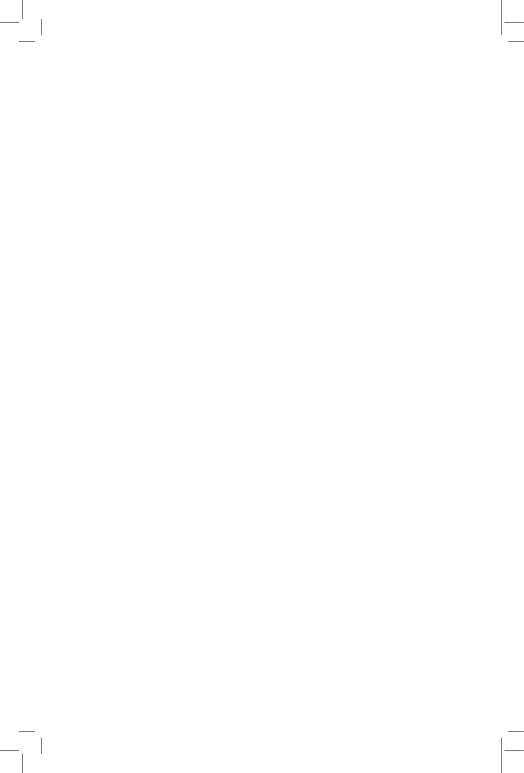$\begin{array}{ccc} \begin{array}{ccc} \end{array} & \begin{array}{ccc} \end{array} & \end{array}$  $\frac{1}{\sqrt{2}}$ 

Ξ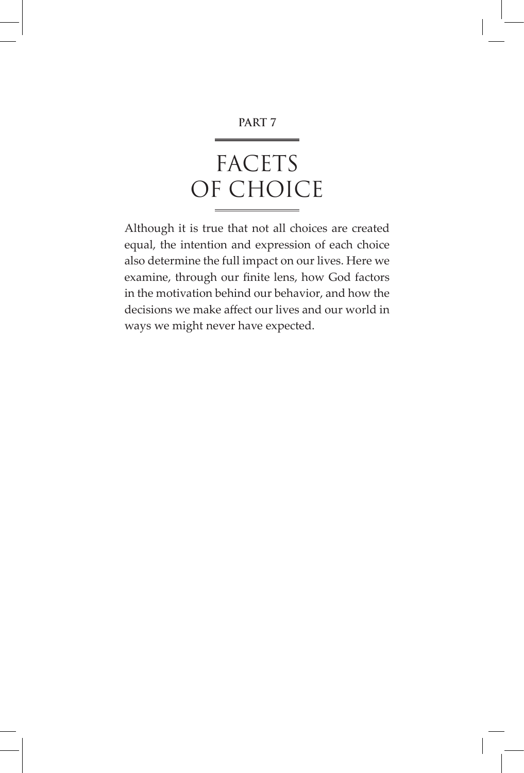# **part 7**

# FACETS of choice

Although it is true that not all choices are created equal, the intention and expression of each choice also determine the full impact on our lives. Here we examine, through our finite lens, how God factors in the motivation behind our behavior, and how the decisions we make affect our lives and our world in ways we might never have expected.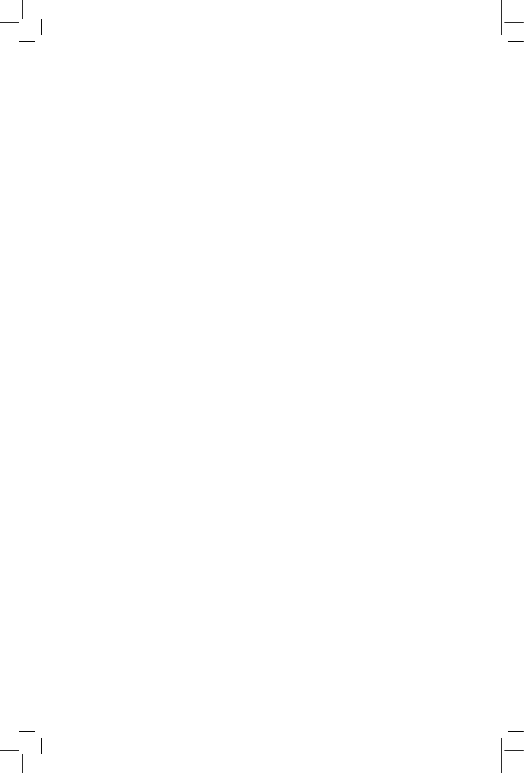$\begin{array}{ccc} \begin{array}{ccc} \end{array} & \begin{array}{ccc} \end{array} & \end{array}$  $\frac{1}{\sqrt{2}}$ 

Ξ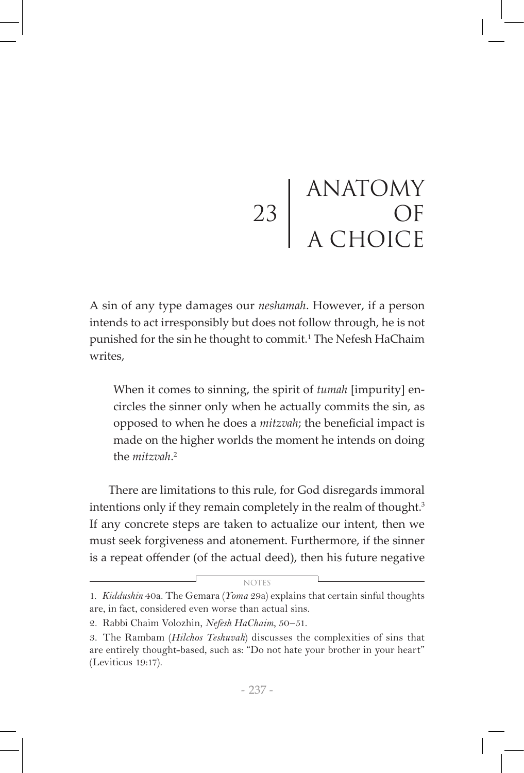# Anatomy of a Choice 23

A sin of any type damages our *neshamah*. However, if a person intends to act irresponsibly but does not follow through, he is not punished for the sin he thought to commit.<sup>1</sup> The Nefesh HaChaim writes,

When it comes to sinning, the spirit of *tumah* [impurity] encircles the sinner only when he actually commits the sin, as opposed to when he does a *mitzvah*; the beneficial impact is made on the higher worlds the moment he intends on doing the *mitzvah*. 2

There are limitations to this rule, for God disregards immoral intentions only if they remain completely in the realm of thought.<sup>3</sup> If any concrete steps are taken to actualize our intent, then we must seek forgiveness and atonement. Furthermore, if the sinner is a repeat offender (of the actual deed), then his future negative

<sup>1.</sup> *Kiddushin* 40a. The Gemara (*Yoma* 29a) explains that certain sinful thoughts are, in fact, considered even worse than actual sins.

<sup>2.</sup> Rabbi Chaim Volozhin, *Nefesh HaChaim,* 50–51.

<sup>3.</sup> The Rambam (*Hilchos Teshuvah*) discusses the complexities of sins that are entirely thought-based, such as: "Do not hate your brother in your heart" (Leviticus 19:17).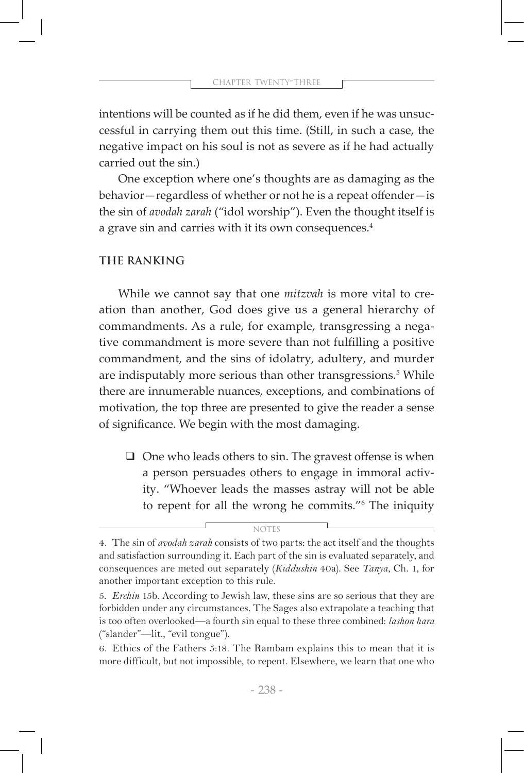intentions will be counted as if he did them, even if he was unsuccessful in carrying them out this time. (Still, in such a case, the negative impact on his soul is not as severe as if he had actually carried out the sin.)

One exception where one's thoughts are as damaging as the behavior—regardless of whether or not he is a repeat offender—is the sin of *avodah zarah* ("idol worship"). Even the thought itself is a grave sin and carries with it its own consequences.<sup>4</sup>

# **THE RANKING**

While we cannot say that one *mitzvah* is more vital to creation than another, God does give us a general hierarchy of commandments. As a rule, for example, transgressing a negative commandment is more severe than not fulfilling a positive commandment, and the sins of idolatry, adultery, and murder are indisputably more serious than other transgressions.<sup>5</sup> While there are innumerable nuances, exceptions, and combinations of motivation, the top three are presented to give the reader a sense of significance. We begin with the most damaging.

❑ One who leads others to sin. The gravest offense is when a person persuades others to engage in immoral activity. "Whoever leads the masses astray will not be able to repent for all the wrong he commits."6 The iniquity

NOTES

<sup>4.</sup> The sin of *avodah zarah* consists of two parts: the act itself and the thoughts and satisfaction surrounding it. Each part of the sin is evaluated separately, and consequences are meted out separately (*Kiddushin* 40a). See *Tanya*, Ch. 1, for another important exception to this rule.

<sup>5.</sup> *Erchin* 15b. According to Jewish law, these sins are so serious that they are forbidden under any circumstances. The Sages also extrapolate a teaching that is too often overlooked—a fourth sin equal to these three combined: *lashon hara*  ("slander"—lit., "evil tongue").

<sup>6.</sup> Ethics of the Fathers 5:18. The Rambam explains this to mean that it is more difficult, but not impossible, to repent. Elsewhere, we learn that one who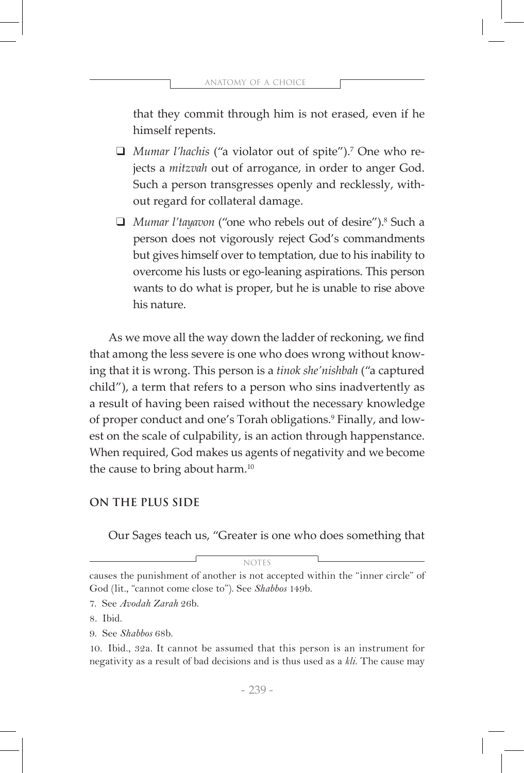that they commit through him is not erased, even if he himself repents.

- □ *Mumar l'hachis* ("a violator out of spite").<sup>7</sup> One who rejects a *mitzvah* out of arrogance, in order to anger God. Such a person transgresses openly and recklessly, without regard for collateral damage.
- □ *Mumar l'tayavon* ("one who rebels out of desire").<sup>8</sup> Such a person does not vigorously reject God's commandments but gives himself over to temptation, due to his inability to overcome his lusts or ego-leaning aspirations. This person wants to do what is proper, but he is unable to rise above his nature.

As we move all the way down the ladder of reckoning, we find that among the less severe is one who does wrong without knowing that it is wrong. This person is a *tinok she'nishbah* ("a captured child"), a term that refers to a person who sins inadvertently as a result of having been raised without the necessary knowledge of proper conduct and one's Torah obligations.<sup>9</sup> Finally, and lowest on the scale of culpability, is an action through happenstance. When required, God makes us agents of negativity and we become the cause to bring about harm. $10$ 

#### **ON THE PLUS SIDE**

Our Sages teach us, "Greater is one who does something that

causes the punishment of another is not accepted within the "inner circle" of God (lit., "cannot come close to"). See *Shabbos* 149b.

<sup>7.</sup> See *Avodah Zarah* 26b.

<sup>8.</sup> Ibid.

<sup>9.</sup> See *Shabbos* 68b.

<sup>10.</sup> Ibid., 32a. It cannot be assumed that this person is an instrument for negativity as a result of bad decisions and is thus used as a *kli*. The cause may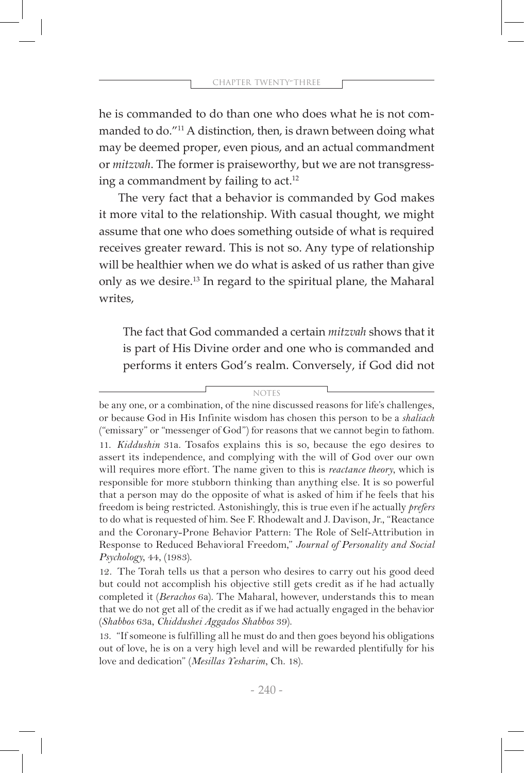he is commanded to do than one who does what he is not commanded to do."11 A distinction, then, is drawn between doing what may be deemed proper, even pious, and an actual commandment or *mitzvah*. The former is praiseworthy, but we are not transgressing a commandment by failing to act.<sup>12</sup>

The very fact that a behavior is commanded by God makes it more vital to the relationship. With casual thought, we might assume that one who does something outside of what is required receives greater reward. This is not so. Any type of relationship will be healthier when we do what is asked of us rather than give only as we desire.13 In regard to the spiritual plane, the Maharal writes,

The fact that God commanded a certain *mitzvah* shows that it is part of His Divine order and one who is commanded and performs it enters God's realm. Conversely, if God did not

#### notes

be any one, or a combination, of the nine discussed reasons for life's challenges, or because God in His Infinite wisdom has chosen this person to be a *shaliach* ("emissary" or "messenger of God") for reasons that we cannot begin to fathom. 11. *Kiddushin* 31a. Tosafos explains this is so, because the ego desires to assert its independence, and complying with the will of God over our own will requires more effort. The name given to this is *reactance theory*, which is responsible for more stubborn thinking than anything else. It is so powerful that a person may do the opposite of what is asked of him if he feels that his freedom is being restricted. Astonishingly, this is true even if he actually *prefers* to do what is requested of him. See F. Rhodewalt and J. Davison, Jr., "Reactance and the Coronary-Prone Behavior Pattern: The Role of Self-Attribution in Response to Reduced Behavioral Freedom," *Journal of Personality and Social Psychology*, 44, (1983).

12. The Torah tells us that a person who desires to carry out his good deed but could not accomplish his objective still gets credit as if he had actually completed it (*Berachos* 6a). The Maharal, however, understands this to mean that we do not get all of the credit as if we had actually engaged in the behavior (*Shabbos* 63a, *Chiddushei Aggados Shabbos* 39).

13. "If someone is fulfilling all he must do and then goes beyond his obligations out of love, he is on a very high level and will be rewarded plentifully for his love and dedication" (*Mesillas Yesharim*, Ch. 18).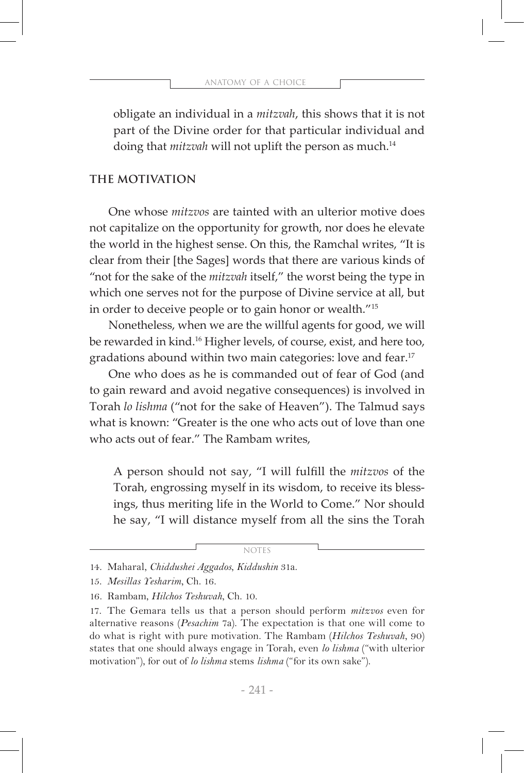obligate an individual in a *mitzvah*, this shows that it is not part of the Divine order for that particular individual and doing that *mitzvah* will not uplift the person as much.<sup>14</sup>

# **THE MOTIVATION**

One whose *mitzvos* are tainted with an ulterior motive does not capitalize on the opportunity for growth, nor does he elevate the world in the highest sense. On this, the Ramchal writes, "It is clear from their [the Sages] words that there are various kinds of "not for the sake of the *mitzvah* itself," the worst being the type in which one serves not for the purpose of Divine service at all, but in order to deceive people or to gain honor or wealth."15

Nonetheless, when we are the willful agents for good, we will be rewarded in kind.<sup>16</sup> Higher levels, of course, exist, and here too, gradations abound within two main categories: love and fear.<sup>17</sup>

One who does as he is commanded out of fear of God (and to gain reward and avoid negative consequences) is involved in Torah *lo lishma* ("not for the sake of Heaven"). The Talmud says what is known: "Greater is the one who acts out of love than one who acts out of fear." The Rambam writes.

A person should not say, "I will fulfill the *mitzvos* of the Torah, engrossing myself in its wisdom, to receive its blessings, thus meriting life in the World to Come." Nor should he say, "I will distance myself from all the sins the Torah

notes

<sup>14.</sup> Maharal, *Chiddushei Aggados*, *Kiddushin* 31a.

<sup>15.</sup> *Mesillas Yesharim,* Ch. 16.

<sup>16.</sup> Rambam, *Hilchos Teshuvah*, Ch. 10.

<sup>17.</sup> The Gemara tells us that a person should perform *mitzvos* even for alternative reasons (*Pesachim* 7a). The expectation is that one will come to do what is right with pure motivation. The Rambam (*Hilchos Teshuvah*, 90) states that one should always engage in Torah, even *lo lishma* ("with ulterior motivation"), for out of *lo lishma* stems *lishma* ("for its own sake").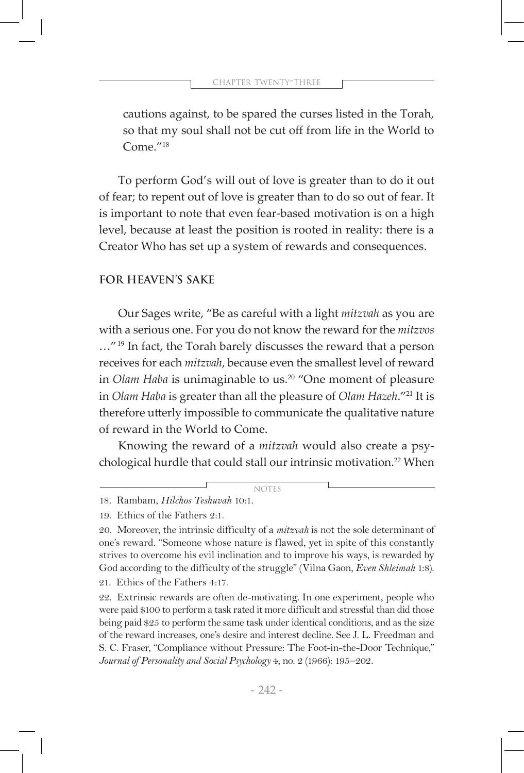cautions against, to be spared the curses listed in the Torah, so that my soul shall not be cut off from life in the World to Come."18

To perform God's will out of love is greater than to do it out of fear; to repent out of love is greater than to do so out of fear. It is important to note that even fear-based motivation is on a high level, because at least the position is rooted in reality: there is a Creator Who has set up a system of rewards and consequences.

# **FOR HEAVEN'S SAKE**

Our Sages write, "Be as careful with a light *mitzvah* as you are with a serious one. For you do not know the reward for the *mitzvos* ..."<sup>19</sup> In fact, the Torah barely discusses the reward that a person receives for each *mitzvah*, because even the smallest level of reward in *Olam Haba* is unimaginable to us.<sup>20</sup> "One moment of pleasure in *Olam Haba* is greater than all the pleasure of *Olam Hazeh*."21 It is therefore utterly impossible to communicate the qualitative nature of reward in the World to Come.

Knowing the reward of a *mitzvah* would also create a psychological hurdle that could stall our intrinsic motivation.<sup>22</sup> When

21. Ethics of the Fathers 4:17.

notes

<sup>18.</sup> Rambam, *Hilchos Teshuvah* 10:1.

<sup>19.</sup> Ethics of the Fathers 2:1.

<sup>20.</sup> Moreover, the intrinsic difficulty of a *mitzvah* is not the sole determinant of one's reward. "Someone whose nature is flawed, yet in spite of this constantly strives to overcome his evil inclination and to improve his ways, is rewarded by God according to the difficulty of the struggle" (Vilna Gaon, *Even Shleimah* 1:8).

<sup>22.</sup> Extrinsic rewards are often de-motivating. In one experiment, people who were paid \$100 to perform a task rated it more difficult and stressful than did those being paid \$25 to perform the same task under identical conditions, and as the size of the reward increases, one's desire and interest decline. See J. L. Freedman and S. C. Fraser, "Compliance without Pressure: The Foot-in-the-Door Technique," *Journal of Personality and Social Psychology* 4, no. 2 (1966): 195–202.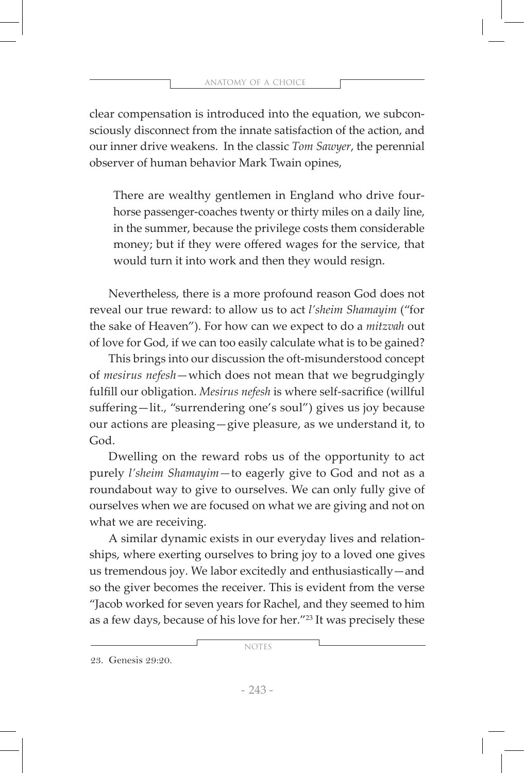clear compensation is introduced into the equation, we subconsciously disconnect from the innate satisfaction of the action, and our inner drive weakens. In the classic *Tom Sawyer*, the perennial observer of human behavior Mark Twain opines,

There are wealthy gentlemen in England who drive fourhorse passenger-coaches twenty or thirty miles on a daily line, in the summer, because the privilege costs them considerable money; but if they were offered wages for the service, that would turn it into work and then they would resign.

Nevertheless, there is a more profound reason God does not reveal our true reward: to allow us to act *l'sheim Shamayim* ("for the sake of Heaven"). For how can we expect to do a *mitzvah* out of love for God, if we can too easily calculate what is to be gained?

This brings into our discussion the oft-misunderstood concept of *mesirus nefesh*—which does not mean that we begrudgingly fulfill our obligation. *Mesirus nefesh* is where self-sacrifice (willful suffering—lit., "surrendering one's soul") gives us joy because our actions are pleasing—give pleasure, as we understand it, to God.

Dwelling on the reward robs us of the opportunity to act purely *l'sheim Shamayim—*to eagerly give to God and not as a roundabout way to give to ourselves. We can only fully give of ourselves when we are focused on what we are giving and not on what we are receiving.

A similar dynamic exists in our everyday lives and relationships, where exerting ourselves to bring joy to a loved one gives us tremendous joy. We labor excitedly and enthusiastically—and so the giver becomes the receiver. This is evident from the verse "Jacob worked for seven years for Rachel, and they seemed to him as a few days, because of his love for her."<sup>23</sup> It was precisely these

<sup>23.</sup> Genesis 29:20.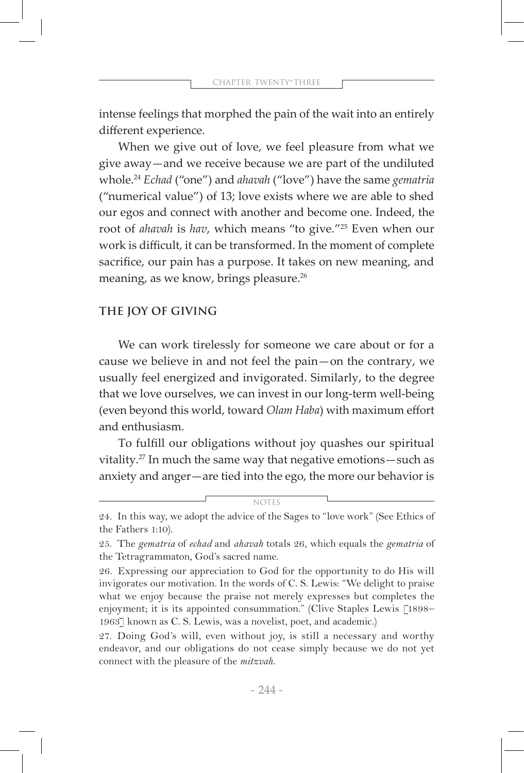intense feelings that morphed the pain of the wait into an entirely different experience.

When we give out of love, we feel pleasure from what we give away—and we receive because we are part of the undiluted whole.24 *Echad* ("one") and *ahavah* ("love") have the same *gematria* ("numerical value") of 13; love exists where we are able to shed our egos and connect with another and become one. Indeed, the root of *ahavah* is *hav*, which means "to give."25 Even when our work is difficult, it can be transformed. In the moment of complete sacrifice, our pain has a purpose. It takes on new meaning, and meaning, as we know, brings pleasure.<sup>26</sup>

#### **THE JOY OF GIVING**

We can work tirelessly for someone we care about or for a cause we believe in and not feel the pain—on the contrary, we usually feel energized and invigorated. Similarly, to the degree that we love ourselves, we can invest in our long-term well-being (even beyond this world, toward *Olam Haba*) with maximum effort and enthusiasm.

To fulfill our obligations without joy quashes our spiritual vitality.27 In much the same way that negative emotions—such as anxiety and anger—are tied into the ego, the more our behavior is

<sup>24.</sup> In this way, we adopt the advice of the Sages to "love work" (See Ethics of the Fathers 1:10).

<sup>25.</sup> The *gematria* of *echad* and *ahavah* totals 26, which equals the *gematria* of the Tetragrammaton, God's sacred name.

<sup>26.</sup> Expressing our appreciation to God for the opportunity to do His will invigorates our motivation. In the words of C. S. Lewis: "We delight to praise what we enjoy because the praise not merely expresses but completes the enjoyment; it is its appointed consummation." (Clive Staples Lewis [1898– 1963] known as C. S. Lewis, was a novelist, poet, and academic.)

<sup>27.</sup> Doing God's will, even without joy, is still a necessary and worthy endeavor, and our obligations do not cease simply because we do not yet connect with the pleasure of the *mitzvah*.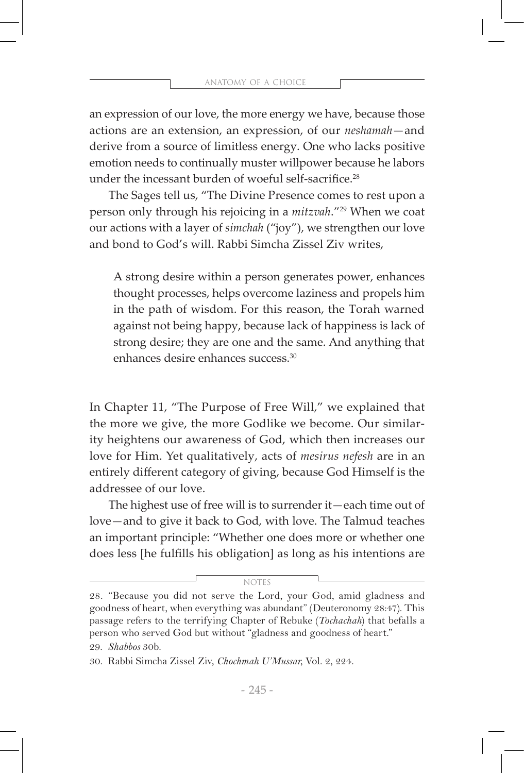an expression of our love, the more energy we have, because those actions are an extension, an expression, of our *neshamah*—and derive from a source of limitless energy. One who lacks positive emotion needs to continually muster willpower because he labors under the incessant burden of woeful self-sacrifice.<sup>28</sup>

The Sages tell us, "The Divine Presence comes to rest upon a person only through his rejoicing in a *mitzvah*."29 When we coat our actions with a layer of *simchah* ("joy"), we strengthen our love and bond to God's will. Rabbi Simcha Zissel Ziv writes,

A strong desire within a person generates power, enhances thought processes, helps overcome laziness and propels him in the path of wisdom. For this reason, the Torah warned against not being happy, because lack of happiness is lack of strong desire; they are one and the same. And anything that enhances desire enhances success.30

In Chapter 11, "The Purpose of Free Will," we explained that the more we give, the more Godlike we become. Our similarity heightens our awareness of God, which then increases our love for Him. Yet qualitatively, acts of *mesirus nefesh* are in an entirely different category of giving, because God Himself is the addressee of our love.

The highest use of free will is to surrender it—each time out of love—and to give it back to God, with love. The Talmud teaches an important principle: "Whether one does more or whether one does less [he fulfills his obligation] as long as his intentions are

notes

29. *Shabbos* 30b.

<sup>28.</sup> "Because you did not serve the Lord, your God, amid gladness and goodness of heart, when everything was abundant" (Deuteronomy 28:47). This passage refers to the terrifying Chapter of Rebuke (*Tochachah*) that befalls a person who served God but without "gladness and goodness of heart."

<sup>30.</sup> Rabbi Simcha Zissel Ziv, *Chochmah U'Mussar*, Vol. 2, 224.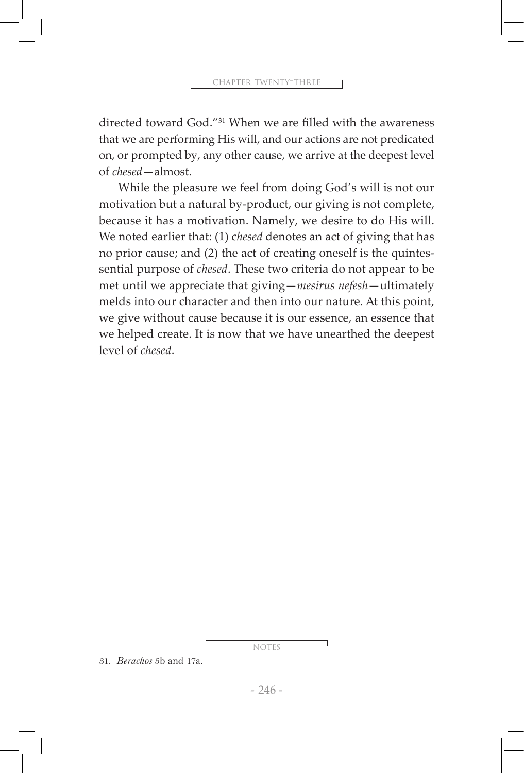directed toward God."31 When we are filled with the awareness that we are performing His will, and our actions are not predicated on, or prompted by, any other cause, we arrive at the deepest level of *chesed*—almost.

While the pleasure we feel from doing God's will is not our motivation but a natural by-product, our giving is not complete, because it has a motivation. Namely, we desire to do His will. We noted earlier that: (1) c*hesed* denotes an act of giving that has no prior cause; and (2) the act of creating oneself is the quintessential purpose of *chesed*. These two criteria do not appear to be met until we appreciate that giving—*mesirus nefesh*—ultimately melds into our character and then into our nature. At this point, we give without cause because it is our essence, an essence that we helped create. It is now that we have unearthed the deepest level of *chesed*.

31. *Berachos* 5b and 17a.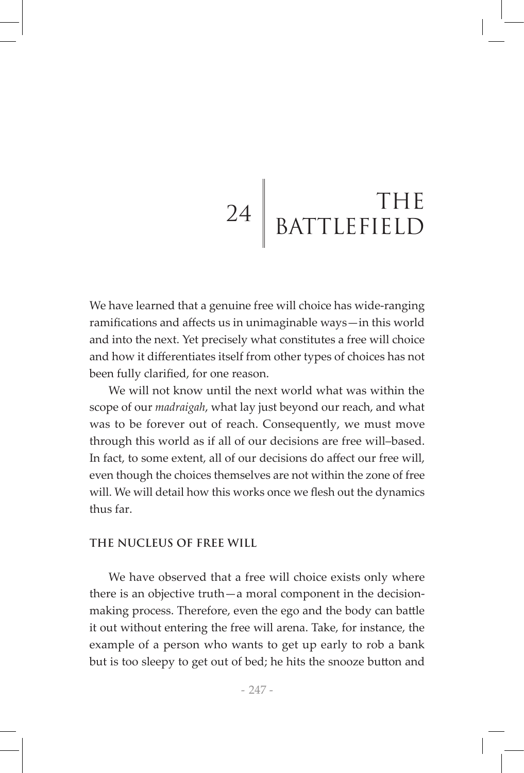# **THE**  $24$  Battlefield

We have learned that a genuine free will choice has wide-ranging ramifications and affects us in unimaginable ways—in this world and into the next. Yet precisely what constitutes a free will choice and how it differentiates itself from other types of choices has not been fully clarified, for one reason.

We will not know until the next world what was within the scope of our *madraigah*, what lay just beyond our reach, and what was to be forever out of reach. Consequently, we must move through this world as if all of our decisions are free will–based. In fact, to some extent, all of our decisions do affect our free will, even though the choices themselves are not within the zone of free will. We will detail how this works once we flesh out the dynamics thus far.

#### **THE NUCLEUS OF FREE WILL**

We have observed that a free will choice exists only where there is an objective truth—a moral component in the decisionmaking process. Therefore, even the ego and the body can battle it out without entering the free will arena. Take, for instance, the example of a person who wants to get up early to rob a bank but is too sleepy to get out of bed; he hits the snooze button and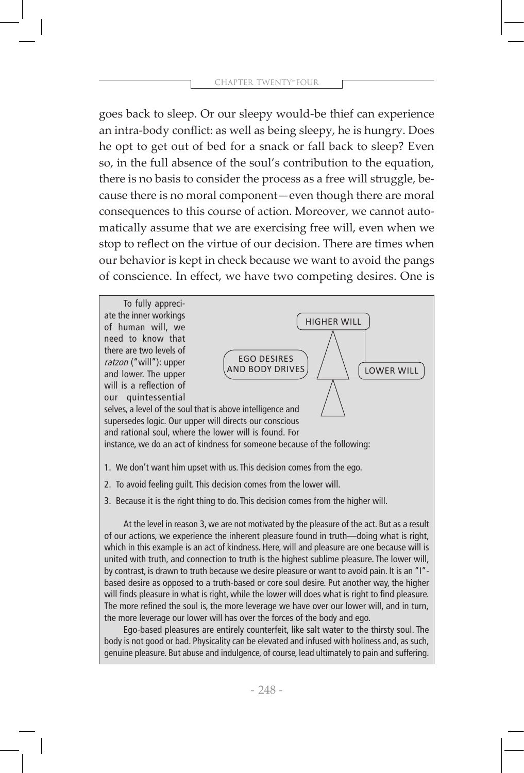#### chapter twenty-four

goes back to sleep. Or our sleepy would-be thief can experience an intra-body conflict: as well as being sleepy, he is hungry. Does he opt to get out of bed for a snack or fall back to sleep? Even so, in the full absence of the soul's contribution to the equation, there is no basis to consider the process as a free will struggle, because there is no moral component—even though there are moral consequences to this course of action. Moreover, we cannot automatically assume that we are exercising free will, even when we stop to reflect on the virtue of our decision. There are times when our behavior is kept in check because we want to avoid the pangs of conscience. In effect, we have two competing desires. One is



The more refined the soul is, the more leverage we have over our lower will, and in turn, the more leverage our lower will has over the forces of the body and ego. Ego-based pleasures are entirely counterfeit, like salt water to the thirsty soul. The body is not good or bad. Physicality can be elevated and infused with holiness and, as such,

genuine pleasure. But abuse and indulgence, of course, lead ultimately to pain and suffering.

- 248 -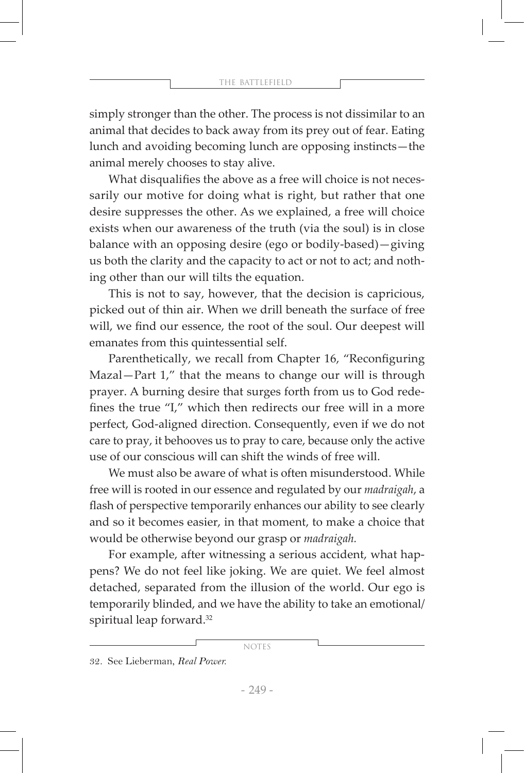simply stronger than the other. The process is not dissimilar to an animal that decides to back away from its prey out of fear. Eating lunch and avoiding becoming lunch are opposing instincts—the animal merely chooses to stay alive.

What disqualifies the above as a free will choice is not necessarily our motive for doing what is right, but rather that one desire suppresses the other. As we explained, a free will choice exists when our awareness of the truth (via the soul) is in close balance with an opposing desire (ego or bodily-based)—giving us both the clarity and the capacity to act or not to act; and nothing other than our will tilts the equation.

This is not to say, however, that the decision is capricious, picked out of thin air. When we drill beneath the surface of free will, we find our essence, the root of the soul. Our deepest will emanates from this quintessential self.

Parenthetically, we recall from Chapter 16, "Reconfiguring Mazal—Part 1," that the means to change our will is through prayer. A burning desire that surges forth from us to God redefines the true "I," which then redirects our free will in a more perfect, God-aligned direction. Consequently, even if we do not care to pray, it behooves us to pray to care, because only the active use of our conscious will can shift the winds of free will.

We must also be aware of what is often misunderstood. While free will is rooted in our essence and regulated by our *madraigah*, a flash of perspective temporarily enhances our ability to see clearly and so it becomes easier, in that moment, to make a choice that would be otherwise beyond our grasp or *madraigah.* 

For example, after witnessing a serious accident, what happens? We do not feel like joking. We are quiet. We feel almost detached, separated from the illusion of the world. Our ego is temporarily blinded, and we have the ability to take an emotional/ spiritual leap forward.<sup>32</sup>

**NOTES** 

<sup>32.</sup> See Lieberman, *Real Power*.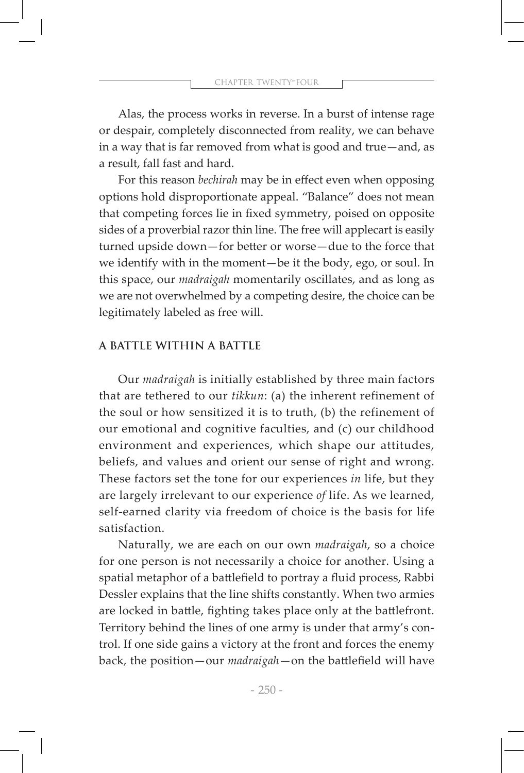Alas, the process works in reverse. In a burst of intense rage or despair, completely disconnected from reality, we can behave in a way that is far removed from what is good and true—and, as a result, fall fast and hard.

For this reason *bechirah* may be in effect even when opposing options hold disproportionate appeal. "Balance" does not mean that competing forces lie in fixed symmetry, poised on opposite sides of a proverbial razor thin line. The free will applecart is easily turned upside down—for better or worse—due to the force that we identify with in the moment—be it the body, ego, or soul. In this space, our *madraigah* momentarily oscillates, and as long as we are not overwhelmed by a competing desire, the choice can be legitimately labeled as free will.

#### **A BATTLE WITHIN A BATTLE**

Our *madraigah* is initially established by three main factors that are tethered to our *tikkun*: (a) the inherent refinement of the soul or how sensitized it is to truth, (b) the refinement of our emotional and cognitive faculties, and (c) our childhood environment and experiences, which shape our attitudes, beliefs, and values and orient our sense of right and wrong. These factors set the tone for our experiences *in* life, but they are largely irrelevant to our experience *of* life. As we learned, self-earned clarity via freedom of choice is the basis for life satisfaction.

Naturally, we are each on our own *madraigah*, so a choice for one person is not necessarily a choice for another. Using a spatial metaphor of a battlefield to portray a fluid process, Rabbi Dessler explains that the line shifts constantly. When two armies are locked in battle, fighting takes place only at the battlefront. Territory behind the lines of one army is under that army's control. If one side gains a victory at the front and forces the enemy back, the position—our *madraigah—*on the battlefield will have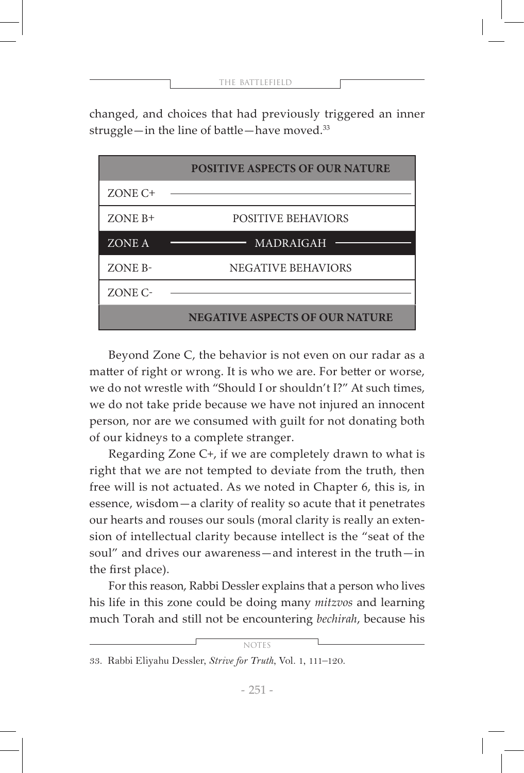changed, and choices that had previously triggered an inner struggle—in the line of battle—have moved.<sup>33</sup>



Beyond Zone C, the behavior is not even on our radar as a matter of right or wrong. It is who we are. For better or worse, we do not wrestle with "Should I or shouldn't I?" At such times, we do not take pride because we have not injured an innocent person, nor are we consumed with guilt for not donating both of our kidneys to a complete stranger.

Regarding Zone C+, if we are completely drawn to what is right that we are not tempted to deviate from the truth, then free will is not actuated. As we noted in Chapter 6, this is, in essence, wisdom—a clarity of reality so acute that it penetrates our hearts and rouses our souls (moral clarity is really an extension of intellectual clarity because intellect is the "seat of the soul" and drives our awareness—and interest in the truth—in the first place).

For this reason, Rabbi Dessler explains that a person who lives his life in this zone could be doing many *mitzvos* and learning much Torah and still not be encountering *bechirah*, because his

notes

<sup>33.</sup> Rabbi Eliyahu Dessler, *Strive for Truth*, Vol. 1, 111–120.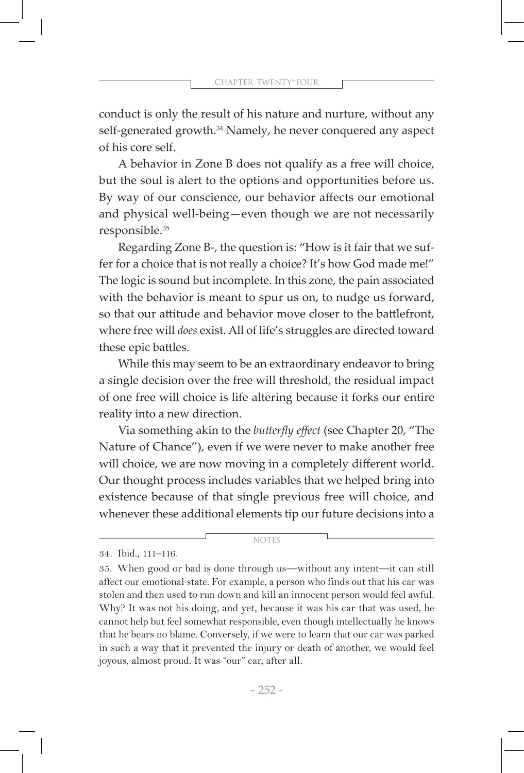conduct is only the result of his nature and nurture, without any self-generated growth.<sup>34</sup> Namely, he never conquered any aspect of his core self.

A behavior in Zone B does not qualify as a free will choice, but the soul is alert to the options and opportunities before us. By way of our conscience, our behavior affects our emotional and physical well-being—even though we are not necessarily responsible.35

Regarding Zone B-, the question is: "How is it fair that we suffer for a choice that is not really a choice? It's how God made me!" The logic is sound but incomplete. In this zone, the pain associated with the behavior is meant to spur us on, to nudge us forward, so that our attitude and behavior move closer to the battlefront, where free will *does* exist. All of life's struggles are directed toward these epic battles.

While this may seem to be an extraordinary endeavor to bring a single decision over the free will threshold, the residual impact of one free will choice is life altering because it forks our entire reality into a new direction.

Via something akin to the *butterfly effect* (see Chapter 20, "The Nature of Chance"), even if we were never to make another free will choice, we are now moving in a completely different world. Our thought process includes variables that we helped bring into existence because of that single previous free will choice, and whenever these additional elements tip our future decisions into a

<sup>34.</sup> Ibid., 111–116.

<sup>35.</sup> When good or bad is done through us—without any intent—it can still affect our emotional state. For example, a person who finds out that his car was stolen and then used to run down and kill an innocent person would feel awful. Why? It was not his doing, and yet, because it was his car that was used, he cannot help but feel somewhat responsible, even though intellectually he knows that he bears no blame. Conversely, if we were to learn that our car was parked in such a way that it prevented the injury or death of another, we would feel joyous, almost proud. It was "our" car, after all.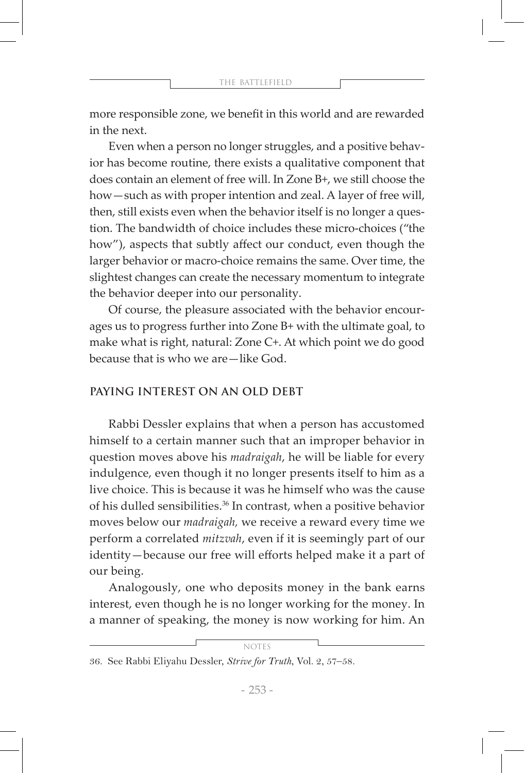more responsible zone, we benefit in this world and are rewarded in the next.

Even when a person no longer struggles, and a positive behavior has become routine, there exists a qualitative component that does contain an element of free will. In Zone B+, we still choose the how—such as with proper intention and zeal. A layer of free will, then, still exists even when the behavior itself is no longer a question. The bandwidth of choice includes these micro-choices ("the how"), aspects that subtly affect our conduct, even though the larger behavior or macro-choice remains the same. Over time, the slightest changes can create the necessary momentum to integrate the behavior deeper into our personality.

Of course, the pleasure associated with the behavior encourages us to progress further into Zone B+ with the ultimate goal, to make what is right, natural: Zone C+. At which point we do good because that is who we are—like God.

#### **PAYING INTEREST ON AN OLD DEBT**

Rabbi Dessler explains that when a person has accustomed himself to a certain manner such that an improper behavior in question moves above his *madraigah*, he will be liable for every indulgence, even though it no longer presents itself to him as a live choice. This is because it was he himself who was the cause of his dulled sensibilities.36 In contrast, when a positive behavior moves below our *madraigah,* we receive a reward every time we perform a correlated *mitzvah*, even if it is seemingly part of our identity—because our free will efforts helped make it a part of our being.

Analogously, one who deposits money in the bank earns interest, even though he is no longer working for the money. In a manner of speaking, the money is now working for him. An

<sup>36.</sup> See Rabbi Eliyahu Dessler, *Strive for Truth*, Vol. 2, 57–58.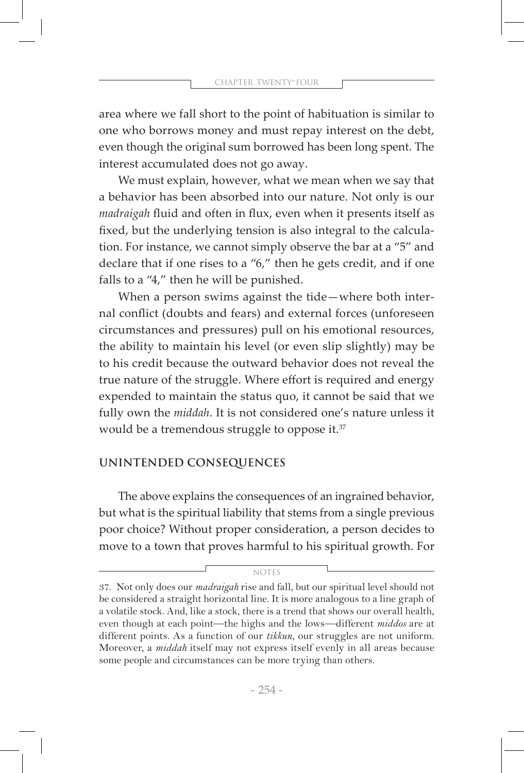area where we fall short to the point of habituation is similar to one who borrows money and must repay interest on the debt, even though the original sum borrowed has been long spent. The interest accumulated does not go away.

We must explain, however, what we mean when we say that a behavior has been absorbed into our nature. Not only is our *madraigah* fluid and often in flux, even when it presents itself as fixed, but the underlying tension is also integral to the calculation. For instance, we cannot simply observe the bar at a "5" and declare that if one rises to a "6," then he gets credit, and if one falls to a "4," then he will be punished.

When a person swims against the tide—where both internal conflict (doubts and fears) and external forces (unforeseen circumstances and pressures) pull on his emotional resources, the ability to maintain his level (or even slip slightly) may be to his credit because the outward behavior does not reveal the true nature of the struggle. Where effort is required and energy expended to maintain the status quo, it cannot be said that we fully own the *middah*. It is not considered one's nature unless it would be a tremendous struggle to oppose it.<sup>37</sup>

#### **UNINTENDED CONSeQUENCES**

The above explains the consequences of an ingrained behavior, but what is the spiritual liability that stems from a single previous poor choice? Without proper consideration, a person decides to move to a town that proves harmful to his spiritual growth. For

#### **NOTES**

<sup>37.</sup> Not only does our *madraigah* rise and fall, but our spiritual level should not be considered a straight horizontal line. It is more analogous to a line graph of a volatile stock. And, like a stock, there is a trend that shows our overall health, even though at each point—the highs and the lows—different *middos* are at different points. As a function of our *tikkun*, our struggles are not uniform. Moreover, a *middah* itself may not express itself evenly in all areas because some people and circumstances can be more trying than others.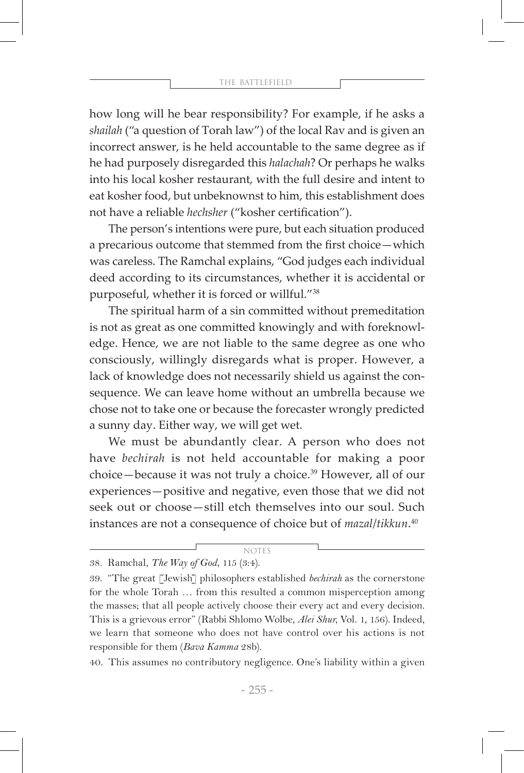how long will he bear responsibility? For example, if he asks a *shailah* ("a question of Torah law") of the local Rav and is given an incorrect answer, is he held accountable to the same degree as if he had purposely disregarded this *halachah*? Or perhaps he walks into his local kosher restaurant, with the full desire and intent to eat kosher food, but unbeknownst to him, this establishment does not have a reliable *hechsher* ("kosher certification").

The person's intentions were pure, but each situation produced a precarious outcome that stemmed from the first choice—which was careless. The Ramchal explains, "God judges each individual deed according to its circumstances, whether it is accidental or purposeful, whether it is forced or willful."38

The spiritual harm of a sin committed without premeditation is not as great as one committed knowingly and with foreknowledge. Hence, we are not liable to the same degree as one who consciously, willingly disregards what is proper. However, a lack of knowledge does not necessarily shield us against the consequence. We can leave home without an umbrella because we chose not to take one or because the forecaster wrongly predicted a sunny day. Either way, we will get wet.

We must be abundantly clear. A person who does not have *bechirah* is not held accountable for making a poor choice—because it was not truly a choice.39 However, all of our experiences—positive and negative, even those that we did not seek out or choose—still etch themselves into our soul. Such instances are not a consequence of choice but of *mazal*/*tikkun*. 40

40. This assumes no contributory negligence. One's liability within a given

notes

<sup>38.</sup> Ramchal, *The Way of God*, 115 (3:4).

<sup>39.</sup> "The great [Jewish] philosophers established *bechirah* as the cornerstone for the whole Torah … from this resulted a common misperception among the masses; that all people actively choose their every act and every decision. This is a grievous error" (Rabbi Shlomo Wolbe, *Alei Shur*, Vol. 1, 156). Indeed, we learn that someone who does not have control over his actions is not responsible for them (*Bava Kamma* 28b).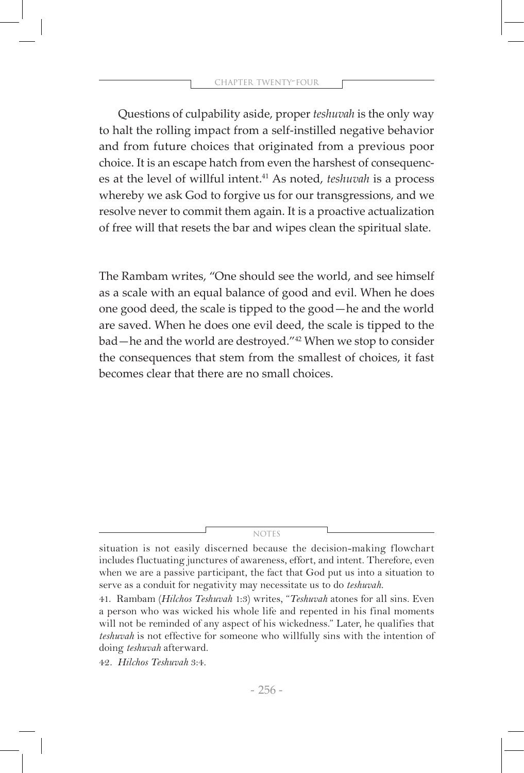Questions of culpability aside, proper *teshuvah* is the only way to halt the rolling impact from a self-instilled negative behavior and from future choices that originated from a previous poor choice. It is an escape hatch from even the harshest of consequences at the level of willful intent.41 As noted, *teshuvah* is a process whereby we ask God to forgive us for our transgressions, and we resolve never to commit them again. It is a proactive actualization of free will that resets the bar and wipes clean the spiritual slate.

The Rambam writes, "One should see the world, and see himself as a scale with an equal balance of good and evil. When he does one good deed, the scale is tipped to the good—he and the world are saved. When he does one evil deed, the scale is tipped to the bad—he and the world are destroyed."42 When we stop to consider the consequences that stem from the smallest of choices, it fast becomes clear that there are no small choices.

notes

42. *Hilchos Teshuvah* 3:4.

situation is not easily discerned because the decision-making flowchart includes fluctuating junctures of awareness, effort, and intent. Therefore, even when we are a passive participant, the fact that God put us into a situation to serve as a conduit for negativity may necessitate us to do *teshuvah*.

<sup>41.</sup> Rambam (*Hilchos Teshuvah* 1:3) writes, "*Teshuvah* atones for all sins. Even a person who was wicked his whole life and repented in his final moments will not be reminded of any aspect of his wickedness." Later, he qualifies that *teshuvah* is not effective for someone who willfully sins with the intention of doing *teshuvah* afterward.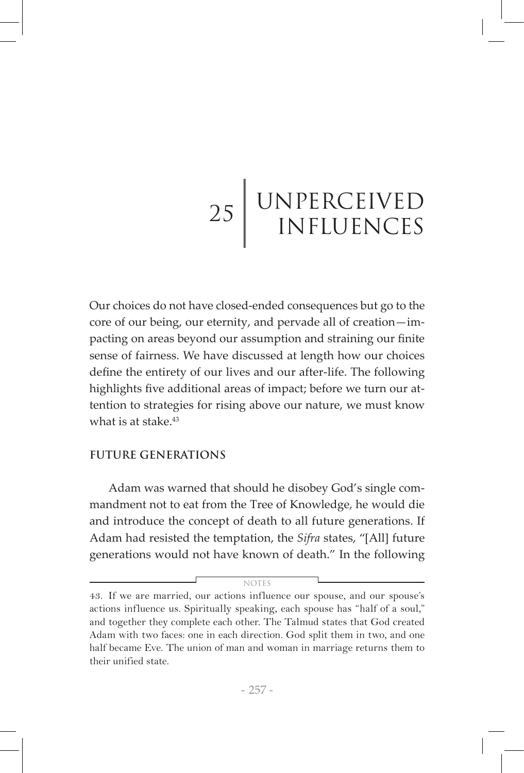# Unperceived 25 | INFLUENCES

Our choices do not have closed-ended consequences but go to the core of our being, our eternity, and pervade all of creation—impacting on areas beyond our assumption and straining our finite sense of fairness. We have discussed at length how our choices define the entirety of our lives and our after-life. The following highlights five additional areas of impact; before we turn our attention to strategies for rising above our nature, we must know what is at stake.<sup>43</sup>

#### **FUTURE GENERATIONS**

Adam was warned that should he disobey God's single commandment not to eat from the Tree of Knowledge, he would die and introduce the concept of death to all future generations. If Adam had resisted the temptation, the *Sifra* states, "[All] future generations would not have known of death." In the following

<sup>43.</sup> If we are married, our actions influence our spouse, and our spouse's actions influence us. Spiritually speaking, each spouse has "half of a soul," and together they complete each other. The Talmud states that God created Adam with two faces: one in each direction. God split them in two, and one half became Eve. The union of man and woman in marriage returns them to their unified state.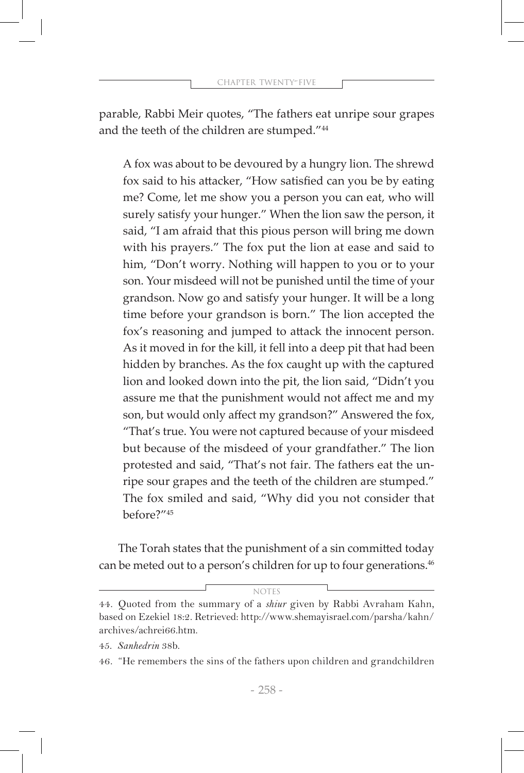parable, Rabbi Meir quotes, "The fathers eat unripe sour grapes and the teeth of the children are stumped."<sup>44</sup>

A fox was about to be devoured by a hungry lion. The shrewd fox said to his attacker, "How satisfied can you be by eating me? Come, let me show you a person you can eat, who will surely satisfy your hunger." When the lion saw the person, it said, "I am afraid that this pious person will bring me down with his prayers." The fox put the lion at ease and said to him, "Don't worry. Nothing will happen to you or to your son. Your misdeed will not be punished until the time of your grandson. Now go and satisfy your hunger. It will be a long time before your grandson is born." The lion accepted the fox's reasoning and jumped to attack the innocent person. As it moved in for the kill, it fell into a deep pit that had been hidden by branches. As the fox caught up with the captured lion and looked down into the pit, the lion said, "Didn't you assure me that the punishment would not affect me and my son, but would only affect my grandson?" Answered the fox, "That's true. You were not captured because of your misdeed but because of the misdeed of your grandfather." The lion protested and said, "That's not fair. The fathers eat the unripe sour grapes and the teeth of the children are stumped." The fox smiled and said, "Why did you not consider that before?"<sup>45</sup>

The Torah states that the punishment of a sin committed today can be meted out to a person's children for up to four generations.<sup>46</sup>

#### NOTES

<sup>44.</sup> Quoted from the summary of a *shiur* given by Rabbi Avraham Kahn, based on Ezekiel 18:2. Retrieved: http://www.shemayisrael.com/parsha/kahn/ archives/achrei66.htm.

<sup>45.</sup> *Sanhedrin* 38b.

<sup>46.</sup> "He remembers the sins of the fathers upon children and grandchildren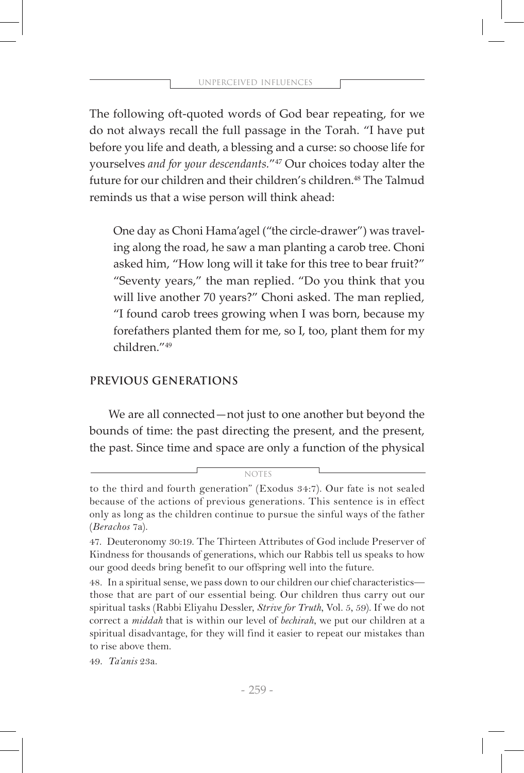The following oft-quoted words of God bear repeating, for we do not always recall the full passage in the Torah. "I have put before you life and death, a blessing and a curse: so choose life for yourselves *and for your descendants.*"47 Our choices today alter the future for our children and their children's children.<sup>48</sup> The Talmud reminds us that a wise person will think ahead:

One day as Choni Hama'agel ("the circle-drawer") was traveling along the road, he saw a man planting a carob tree. Choni asked him, "How long will it take for this tree to bear fruit?" "Seventy years," the man replied. "Do you think that you will live another 70 years?" Choni asked. The man replied, "I found carob trees growing when I was born, because my forefathers planted them for me, so I, too, plant them for my children."49

#### **PREVIOUS GENERATIONS**

We are all connected—not just to one another but beyond the bounds of time: the past directing the present, and the present, the past. Since time and space are only a function of the physical

49. *Ta'anis* 23a.

notes

to the third and fourth generation" (Exodus 34:7). Our fate is not sealed because of the actions of previous generations. This sentence is in effect only as long as the children continue to pursue the sinful ways of the father (*Berachos* 7a).

<sup>47.</sup> Deuteronomy 30:19. The Thirteen Attributes of God include Preserver of Kindness for thousands of generations, which our Rabbis tell us speaks to how our good deeds bring benefit to our offspring well into the future.

<sup>48.</sup> In a spiritual sense, we pass down to our children our chief characteristics those that are part of our essential being. Our children thus carry out our spiritual tasks (Rabbi Eliyahu Dessler, *Strive for Truth*, Vol. 5, 59). If we do not correct a *middah* that is within our level of *bechirah*, we put our children at a spiritual disadvantage, for they will find it easier to repeat our mistakes than to rise above them.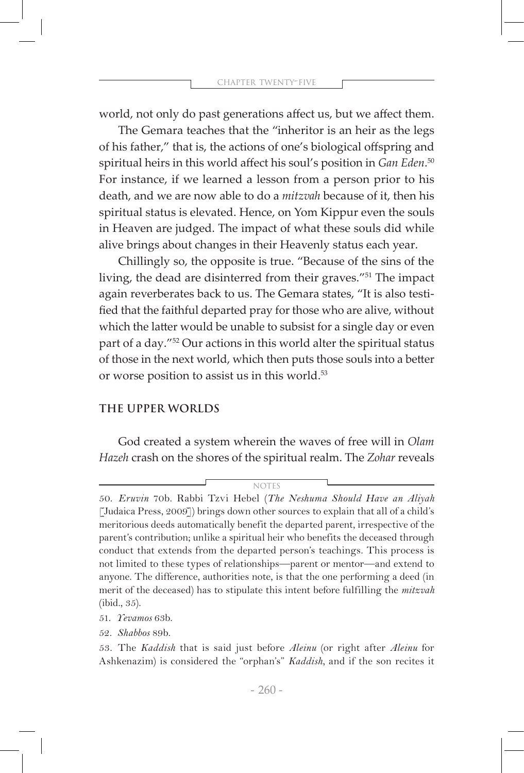world, not only do past generations affect us, but we affect them.

The Gemara teaches that the "inheritor is an heir as the legs of his father," that is, the actions of one's biological offspring and spiritual heirs in this world affect his soul's position in *Gan Eden*. 50 For instance, if we learned a lesson from a person prior to his death, and we are now able to do a *mitzvah* because of it, then his spiritual status is elevated. Hence, on Yom Kippur even the souls in Heaven are judged. The impact of what these souls did while alive brings about changes in their Heavenly status each year.

Chillingly so, the opposite is true. "Because of the sins of the living, the dead are disinterred from their graves."51 The impact again reverberates back to us. The Gemara states, "It is also testified that the faithful departed pray for those who are alive, without which the latter would be unable to subsist for a single day or even part of a day."52 Our actions in this world alter the spiritual status of those in the next world, which then puts those souls into a better or worse position to assist us in this world.<sup>53</sup>

#### **THE UPPER WORLDS**

God created a system wherein the waves of free will in *Olam Hazeh* crash on the shores of the spiritual realm. The *Zohar* reveals

52. *Shabbos* 89b.

53. The *Kaddish* that is said just before *Aleinu* (or right after *Aleinu* for Ashkenazim) is considered the "orphan's" *Kaddish,* and if the son recites it

notes

<sup>50.</sup> *Eruvin* 70b. Rabbi Tzvi Hebel (*The Neshuma Should Have an Aliyah* [Judaica Press, 2009]) brings down other sources to explain that all of a child's meritorious deeds automatically benefit the departed parent, irrespective of the parent's contribution; unlike a spiritual heir who benefits the deceased through conduct that extends from the departed person's teachings. This process is not limited to these types of relationships—parent or mentor—and extend to anyone. The difference, authorities note, is that the one performing a deed (in merit of the deceased) has to stipulate this intent before fulfilling the *mitzvah* (ibid., 35).

<sup>51.</sup> *Yevamos* 63b.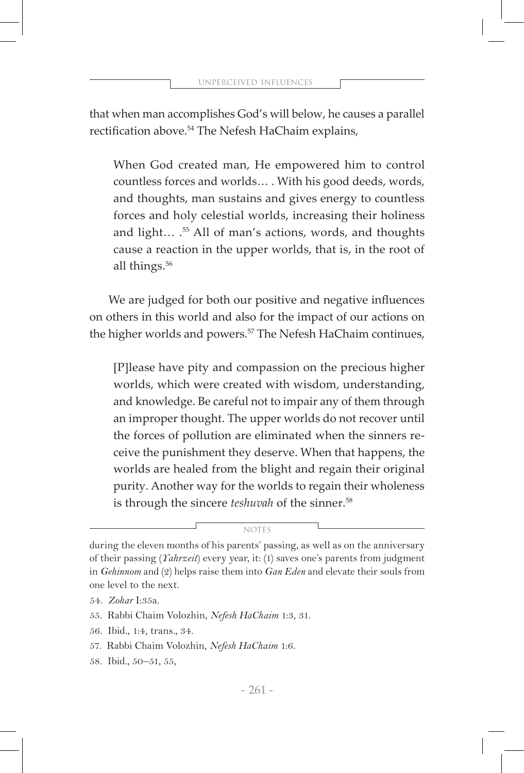that when man accomplishes God's will below, he causes a parallel rectification above.54 The Nefesh HaChaim explains,

When God created man, He empowered him to control countless forces and worlds… . With his good deeds, words, and thoughts, man sustains and gives energy to countless forces and holy celestial worlds, increasing their holiness and light... .<sup>55</sup> All of man's actions, words, and thoughts cause a reaction in the upper worlds, that is, in the root of all things.<sup>56</sup>

We are judged for both our positive and negative influences on others in this world and also for the impact of our actions on the higher worlds and powers.<sup>57</sup> The Nefesh HaChaim continues,

[P]lease have pity and compassion on the precious higher worlds, which were created with wisdom, understanding, and knowledge. Be careful not to impair any of them through an improper thought. The upper worlds do not recover until the forces of pollution are eliminated when the sinners receive the punishment they deserve. When that happens, the worlds are healed from the blight and regain their original purity. Another way for the worlds to regain their wholeness is through the sincere *teshuvah* of the sinner.<sup>58</sup>

#### NOTES

56. Ibid., 1:4, trans., 34.

58. Ibid., 50–51, 55,

during the eleven months of his parents' passing, as well as on the anniversary of their passing (*Yahrzeit*) every year, it: (1) saves one's parents from judgment in *Gehinnom* and (2) helps raise them into *Gan Eden* and elevate their souls from one level to the next.

<sup>54.</sup> *Zohar* I:35a.

<sup>55.</sup> Rabbi Chaim Volozhin, *Nefesh HaChaim* 1:3, 31.

<sup>57.</sup> Rabbi Chaim Volozhin, *Nefesh HaChaim* 1:6.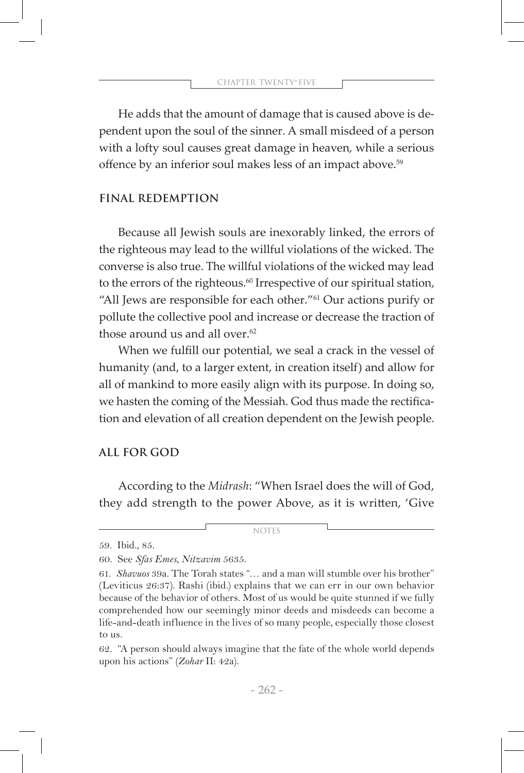He adds that the amount of damage that is caused above is dependent upon the soul of the sinner. A small misdeed of a person with a lofty soul causes great damage in heaven, while a serious offence by an inferior soul makes less of an impact above.<sup>59</sup>

#### **FINAL REDEMPTION**

Because all Jewish souls are inexorably linked, the errors of the righteous may lead to the willful violations of the wicked. The converse is also true. The willful violations of the wicked may lead to the errors of the righteous.<sup>60</sup> Irrespective of our spiritual station, "All Jews are responsible for each other."61 Our actions purify or pollute the collective pool and increase or decrease the traction of those around us and all over.<sup>62</sup>

When we fulfill our potential, we seal a crack in the vessel of humanity (and, to a larger extent, in creation itself) and allow for all of mankind to more easily align with its purpose. In doing so, we hasten the coming of the Messiah. God thus made the rectification and elevation of all creation dependent on the Jewish people.

#### **ALL FOR GOD**

According to the *Midrash*: "When Israel does the will of God, they add strength to the power Above, as it is written, 'Give

notes

<sup>59.</sup> Ibid., 85.

<sup>60.</sup> See *Sfas Emes, Nitzavim* 5635.

<sup>61.</sup> *Shavuos* 39a. The Torah states "… and a man will stumble over his brother" (Leviticus 26:37). Rashi (ibid.) explains that we can err in our own behavior because of the behavior of others. Most of us would be quite stunned if we fully comprehended how our seemingly minor deeds and misdeeds can become a life-and-death influence in the lives of so many people, especially those closest to us.

<sup>62.</sup> "A person should always imagine that the fate of the whole world depends upon his actions" (*Zohar* II: 42a).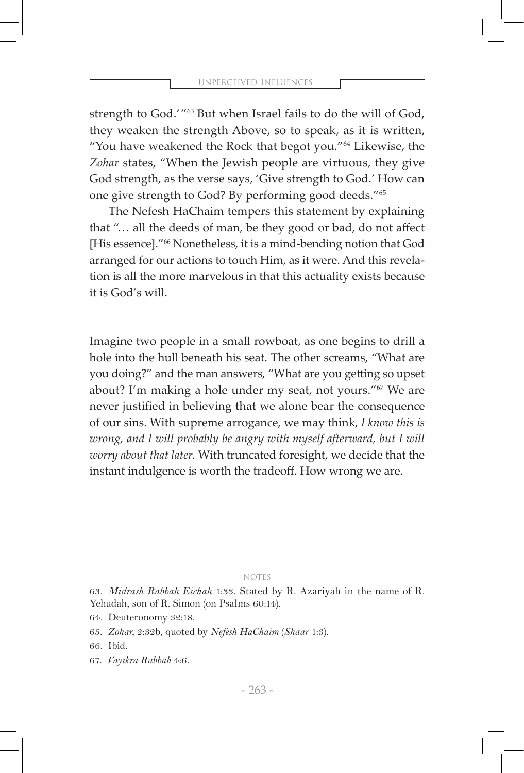strength to God.'"<sup>63</sup> But when Israel fails to do the will of God, they weaken the strength Above, so to speak, as it is written, "You have weakened the Rock that begot you."64 Likewise, the *Zohar* states, "When the Jewish people are virtuous, they give God strength, as the verse says, 'Give strength to God.' How can one give strength to God? By performing good deeds."<sup>65</sup>

The Nefesh HaChaim tempers this statement by explaining that "… all the deeds of man, be they good or bad, do not affect [His essence]."<sup>66</sup> Nonetheless, it is a mind-bending notion that God arranged for our actions to touch Him, as it were. And this revelation is all the more marvelous in that this actuality exists because it is God's will.

Imagine two people in a small rowboat, as one begins to drill a hole into the hull beneath his seat. The other screams, "What are you doing?" and the man answers, "What are you getting so upset about? I'm making a hole under my seat, not yours."67 We are never justified in believing that we alone bear the consequence of our sins. With supreme arrogance, we may think, *I know this is wrong, and I will probably be angry with myself afterward, but I will worry about that later.* With truncated foresight, we decide that the instant indulgence is worth the tradeoff. How wrong we are.

<sup>63.</sup> *Midrash Rabbah Eichah* 1:33. Stated by R. Azariyah in the name of R. Yehudah, son of R. Simon (on Psalms 60:14).

<sup>64.</sup> Deuteronomy 32:18.

<sup>65.</sup> *Zohar*, 2:32b, quoted by *Nefesh HaChaim* (*Shaar* 1:3).

<sup>66.</sup> Ibid.

<sup>67.</sup> *Vayikra Rabbah* 4:6.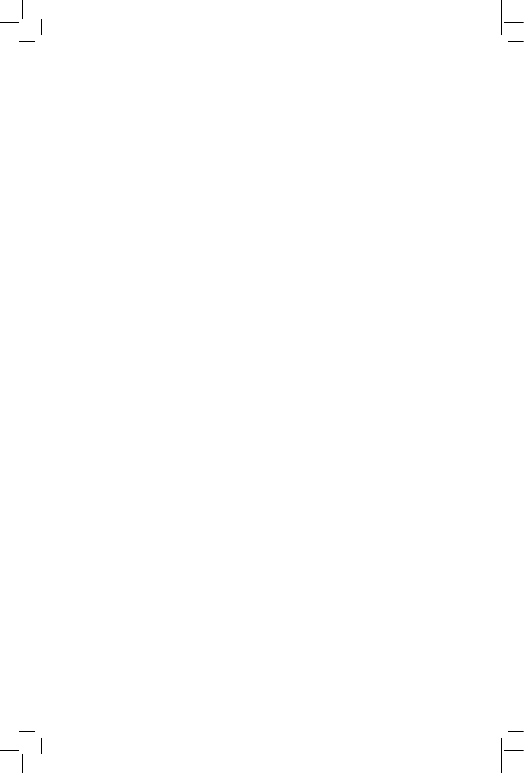$\begin{array}{ccc} \begin{array}{ccc} \end{array} & \begin{array}{ccc} \end{array} & \end{array}$  $\frac{1}{\sqrt{2}}$ 

Ξ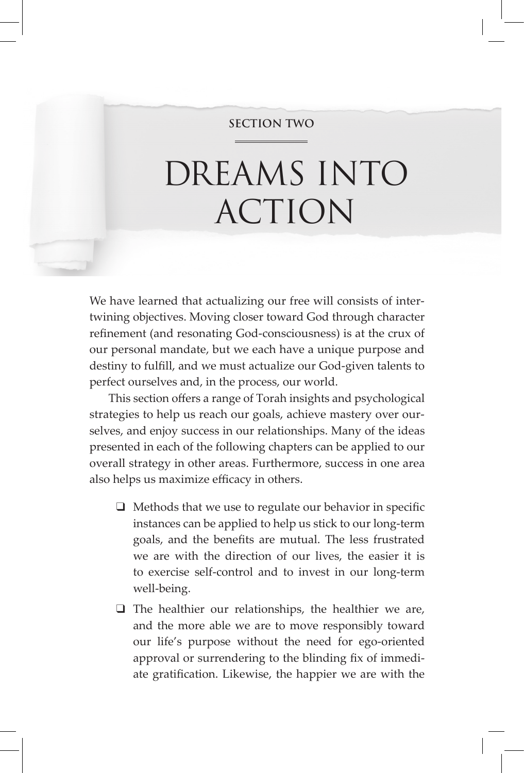#### **SECTION TWO**

# DREAMS INTO **ACTION**

We have learned that actualizing our free will consists of intertwining objectives. Moving closer toward God through character refinement (and resonating God-consciousness) is at the crux of our personal mandate, but we each have a unique purpose and destiny to fulfill, and we must actualize our God-given talents to perfect ourselves and, in the process, our world.

This section offers a range of Torah insights and psychological strategies to help us reach our goals, achieve mastery over ourselves, and enjoy success in our relationships. Many of the ideas presented in each of the following chapters can be applied to our overall strategy in other areas. Furthermore, success in one area also helps us maximize efficacy in others.

- ❑ Methods that we use to regulate our behavior in specific instances can be applied to help us stick to our long-term goals, and the benefits are mutual. The less frustrated we are with the direction of our lives, the easier it is to exercise self-control and to invest in our long-term well-being.
- $\Box$  The healthier our relationships, the healthier we are, and the more able we are to move responsibly toward our life's purpose without the need for ego-oriented approval or surrendering to the blinding fix of immediate gratification. Likewise, the happier we are with the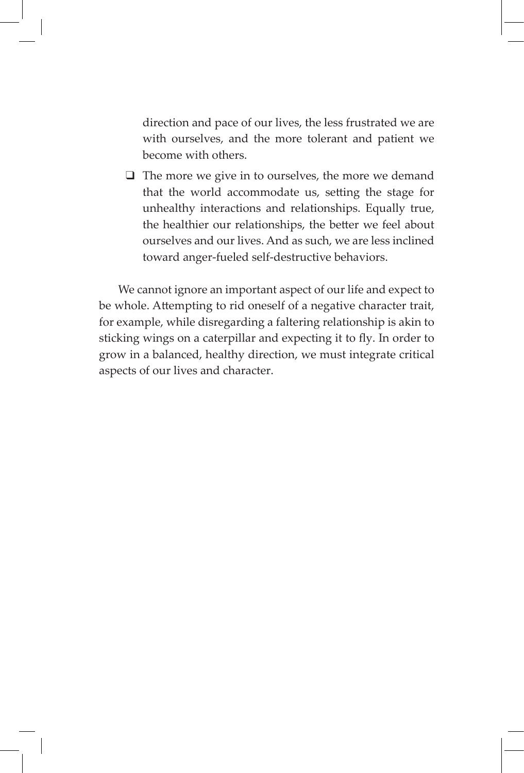direction and pace of our lives, the less frustrated we are with ourselves, and the more tolerant and patient we become with others.

❑ The more we give in to ourselves, the more we demand that the world accommodate us, setting the stage for unhealthy interactions and relationships. Equally true, the healthier our relationships, the better we feel about ourselves and our lives. And as such, we are less inclined toward anger-fueled self-destructive behaviors.

We cannot ignore an important aspect of our life and expect to be whole. Attempting to rid oneself of a negative character trait, for example, while disregarding a faltering relationship is akin to sticking wings on a caterpillar and expecting it to fly. In order to grow in a balanced, healthy direction, we must integrate critical aspects of our lives and character.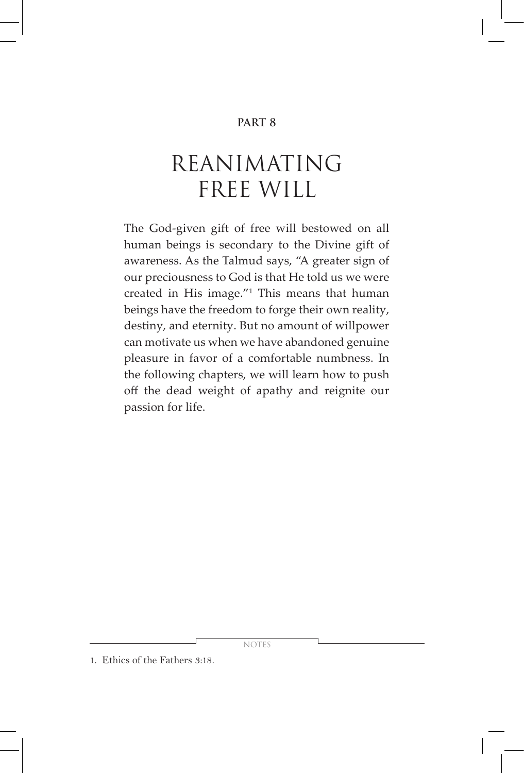#### **part 8**

### Reanimating Free Will

The God-given gift of free will bestowed on all human beings is secondary to the Divine gift of awareness. As the Talmud says, "A greater sign of our preciousness to God is that He told us we were created in His image."1 This means that human beings have the freedom to forge their own reality, destiny, and eternity. But no amount of willpower can motivate us when we have abandoned genuine pleasure in favor of a comfortable numbness. In the following chapters, we will learn how to push off the dead weight of apathy and reignite our passion for life.

notes

1. Ethics of the Fathers 3:18.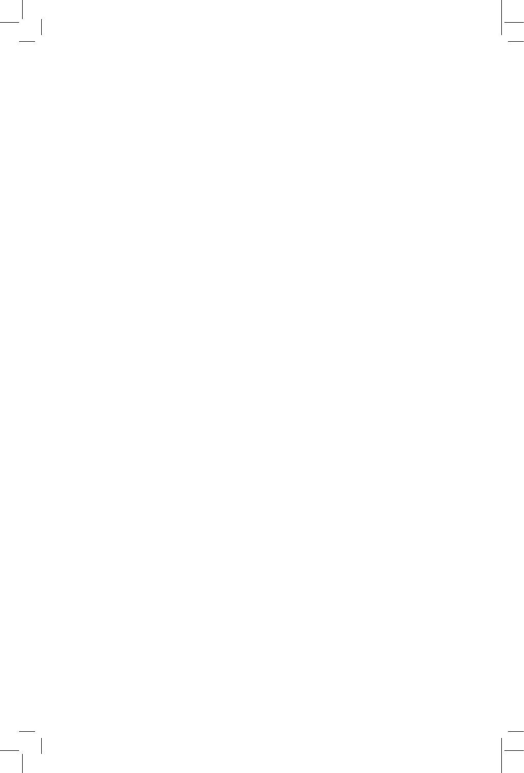$\begin{array}{ccc} \begin{array}{ccc} \end{array} & \begin{array}{ccc} \end{array} & \end{array}$  $\frac{1}{\sqrt{2}}$ 

Ξ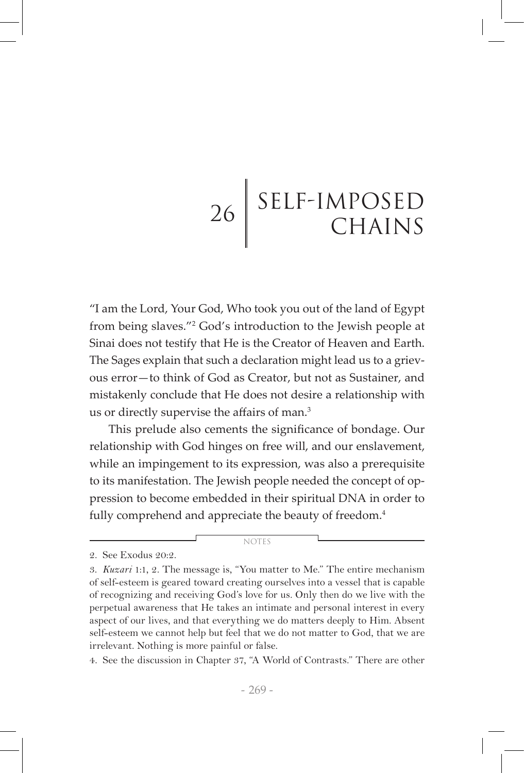# Self-Imposed 26 | <sup>SLLI</sup> INIOSED

"I am the Lord, Your God, Who took you out of the land of Egypt from being slaves."2 God's introduction to the Jewish people at Sinai does not testify that He is the Creator of Heaven and Earth. The Sages explain that such a declaration might lead us to a grievous error—to think of God as Creator, but not as Sustainer, and mistakenly conclude that He does not desire a relationship with us or directly supervise the affairs of man.<sup>3</sup>

This prelude also cements the significance of bondage. Our relationship with God hinges on free will, and our enslavement, while an impingement to its expression, was also a prerequisite to its manifestation. The Jewish people needed the concept of oppression to become embedded in their spiritual DNA in order to fully comprehend and appreciate the beauty of freedom.<sup>4</sup>

4. See the discussion in Chapter 37, "A World of Contrasts." There are other

notes

<sup>2.</sup> See Exodus 20:2.

<sup>3.</sup> *Kuzari* 1:1, 2. The message is, "You matter to Me." The entire mechanism of self-esteem is geared toward creating ourselves into a vessel that is capable of recognizing and receiving God's love for us. Only then do we live with the perpetual awareness that He takes an intimate and personal interest in every aspect of our lives, and that everything we do matters deeply to Him. Absent self-esteem we cannot help but feel that we do not matter to God, that we are irrelevant. Nothing is more painful or false.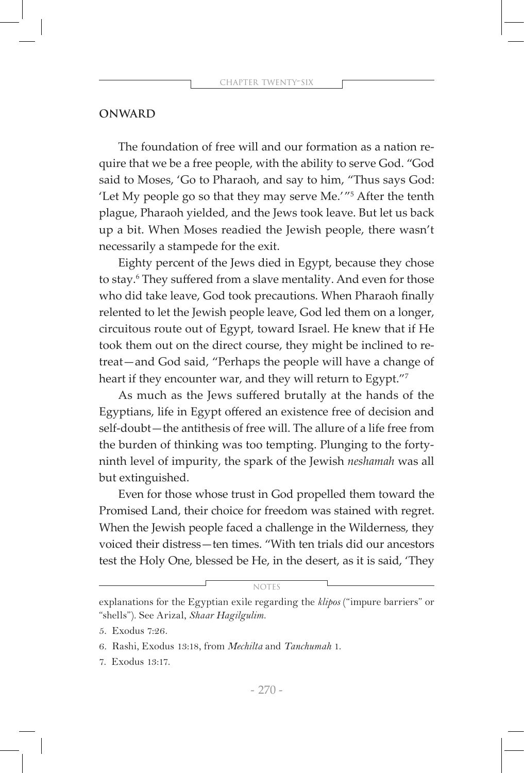#### **ONWARD**

The foundation of free will and our formation as a nation require that we be a free people, with the ability to serve God. "God said to Moses, 'Go to Pharaoh, and say to him, "Thus says God: Let My people go so that they may serve Me.<sup>115</sup> After the tenth plague, Pharaoh yielded, and the Jews took leave. But let us back up a bit. When Moses readied the Jewish people, there wasn't necessarily a stampede for the exit.

Eighty percent of the Jews died in Egypt, because they chose to stay.<sup>6</sup> They suffered from a slave mentality. And even for those who did take leave, God took precautions. When Pharaoh finally relented to let the Jewish people leave, God led them on a longer, circuitous route out of Egypt, toward Israel. He knew that if He took them out on the direct course, they might be inclined to retreat—and God said, "Perhaps the people will have a change of heart if they encounter war, and they will return to Egypt."7

As much as the Jews suffered brutally at the hands of the Egyptians, life in Egypt offered an existence free of decision and self-doubt—the antithesis of free will. The allure of a life free from the burden of thinking was too tempting. Plunging to the fortyninth level of impurity, the spark of the Jewish *neshamah* was all but extinguished.

Even for those whose trust in God propelled them toward the Promised Land, their choice for freedom was stained with regret. When the Jewish people faced a challenge in the Wilderness, they voiced their distress—ten times. "With ten trials did our ancestors test the Holy One, blessed be He, in the desert, as it is said, 'They

notes

7. Exodus 13:17.

explanations for the Egyptian exile regarding the *klipos* ("impure barriers" or "shells"). See Arizal, *Shaar Hagilgulim*.

<sup>5.</sup> Exodus 7:26.

<sup>6.</sup> Rashi, Exodus 13:18, from *Mechilta* and *Tanchumah* 1.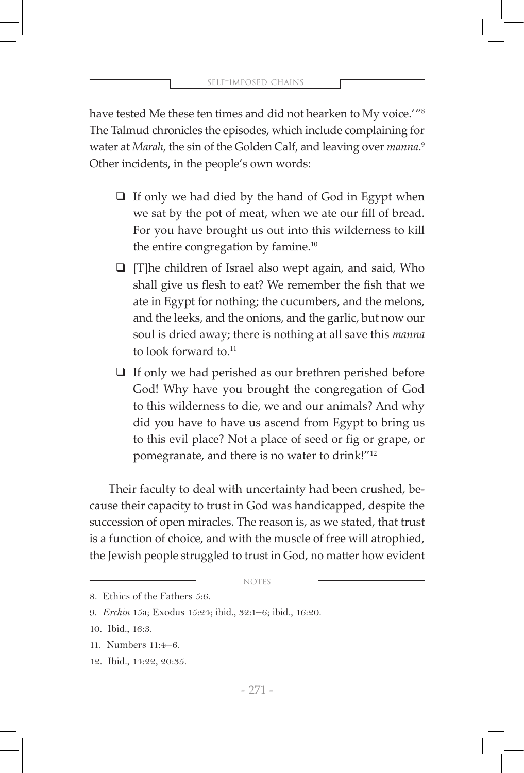have tested Me these ten times and did not hearken to My voice.' "<sup>8</sup> The Talmud chronicles the episodes, which include complaining for water at *Marah*, the sin of the Golden Calf, and leaving over *manna*. 9 Other incidents, in the people's own words:

- ❑ If only we had died by the hand of God in Egypt when we sat by the pot of meat, when we ate our fill of bread. For you have brought us out into this wilderness to kill the entire congregation by famine. $10$
- ❑ [T]he children of Israel also wept again, and said, Who shall give us flesh to eat? We remember the fish that we ate in Egypt for nothing; the cucumbers, and the melons, and the leeks, and the onions, and the garlic, but now our soul is dried away; there is nothing at all save this *manna* to look forward to.<sup>11</sup>
- ❑ If only we had perished as our brethren perished before God! Why have you brought the congregation of God to this wilderness to die, we and our animals? And why did you have to have us ascend from Egypt to bring us to this evil place? Not a place of seed or fig or grape, or pomegranate, and there is no water to drink!"12

Their faculty to deal with uncertainty had been crushed, because their capacity to trust in God was handicapped, despite the succession of open miracles. The reason is, as we stated, that trust is a function of choice, and with the muscle of free will atrophied, the Jewish people struggled to trust in God, no matter how evident

<sup>8.</sup> Ethics of the Fathers 5:6.

<sup>9.</sup> *Erchin* 15a; Exodus 15:24; ibid., 32:1–6; ibid., 16:20.

<sup>10.</sup> Ibid., 16:3.

<sup>11.</sup> Numbers 11:4–6.

<sup>12.</sup> Ibid., 14:22, 20:35.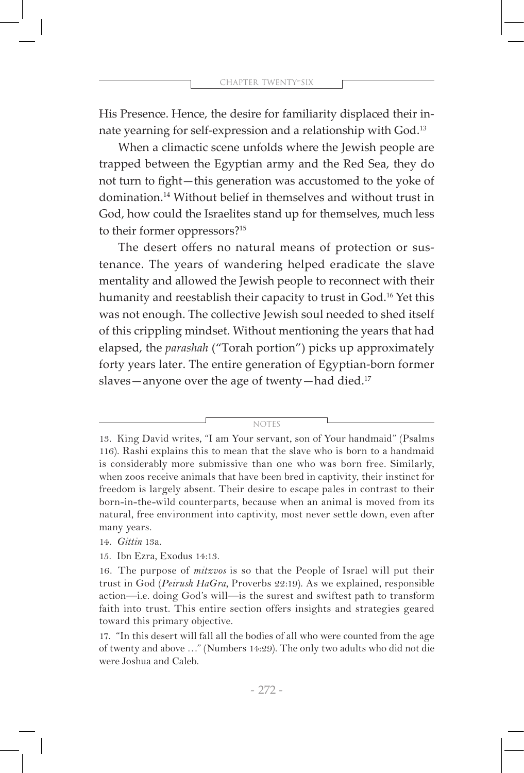His Presence. Hence, the desire for familiarity displaced their innate yearning for self-expression and a relationship with God.13

When a climactic scene unfolds where the Jewish people are trapped between the Egyptian army and the Red Sea, they do not turn to fight—this generation was accustomed to the yoke of domination.14 Without belief in themselves and without trust in God, how could the Israelites stand up for themselves, much less to their former oppressors?<sup>15</sup>

The desert offers no natural means of protection or sustenance. The years of wandering helped eradicate the slave mentality and allowed the Jewish people to reconnect with their humanity and reestablish their capacity to trust in God.<sup>16</sup> Yet this was not enough. The collective Jewish soul needed to shed itself of this crippling mindset. Without mentioning the years that had elapsed, the *parashah* ("Torah portion") picks up approximately forty years later. The entire generation of Egyptian-born former slaves—anyone over the age of twenty—had died.<sup>17</sup>

#### notes

13. King David writes, "I am Your servant, son of Your handmaid" (Psalms 116). Rashi explains this to mean that the slave who is born to a handmaid is considerably more submissive than one who was born free. Similarly, when zoos receive animals that have been bred in captivity, their instinct for freedom is largely absent. Their desire to escape pales in contrast to their born-in-the-wild counterparts, because when an animal is moved from its natural, free environment into captivity, most never settle down, even after many years.

14. *Gittin* 13a.

15. Ibn Ezra, Exodus 14:13.

<sup>16.</sup> The purpose of *mitzvos* is so that the People of Israel will put their trust in God (*Peirush HaGra,* Proverbs 22:19). As we explained, responsible action—i.e. doing God's will—is the surest and swiftest path to transform faith into trust. This entire section offers insights and strategies geared toward this primary objective.

<sup>17.</sup> "In this desert will fall all the bodies of all who were counted from the age of twenty and above …" (Numbers 14:29). The only two adults who did not die were Joshua and Caleb.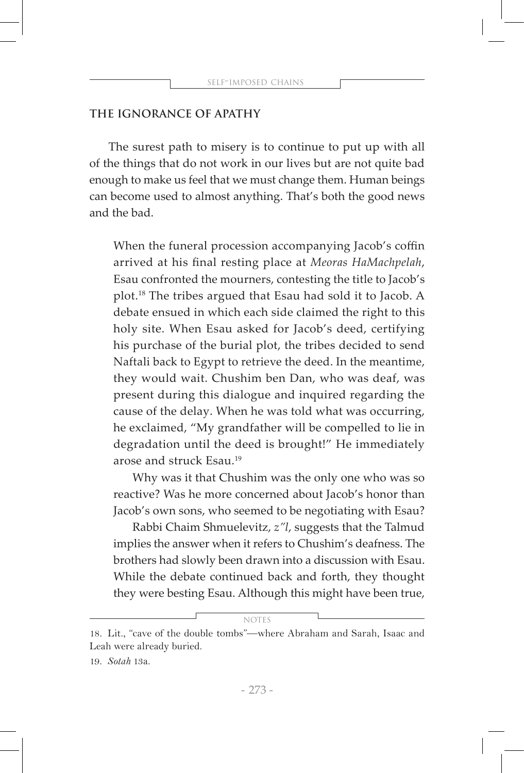#### **THE IGNORANCE OF APATHY**

The surest path to misery is to continue to put up with all of the things that do not work in our lives but are not quite bad enough to make us feel that we must change them. Human beings can become used to almost anything. That's both the good news and the bad.

When the funeral procession accompanying Jacob's coffin arrived at his final resting place at *Meoras HaMachpelah*, Esau confronted the mourners, contesting the title to Jacob's plot.18 The tribes argued that Esau had sold it to Jacob. A debate ensued in which each side claimed the right to this holy site. When Esau asked for Jacob's deed, certifying his purchase of the burial plot, the tribes decided to send Naftali back to Egypt to retrieve the deed. In the meantime, they would wait. Chushim ben Dan, who was deaf, was present during this dialogue and inquired regarding the cause of the delay. When he was told what was occurring, he exclaimed, "My grandfather will be compelled to lie in degradation until the deed is brought!" He immediately arose and struck Esau.19

Why was it that Chushim was the only one who was so reactive? Was he more concerned about Jacob's honor than Jacob's own sons, who seemed to be negotiating with Esau?

Rabbi Chaim Shmuelevitz, *z"l*, suggests that the Talmud implies the answer when it refers to Chushim's deafness. The brothers had slowly been drawn into a discussion with Esau. While the debate continued back and forth, they thought they were besting Esau. Although this might have been true,

#### notes

19. *Sotah* 13a.

<sup>18.</sup> Lit., "cave of the double tombs"—where Abraham and Sarah, Isaac and Leah were already buried.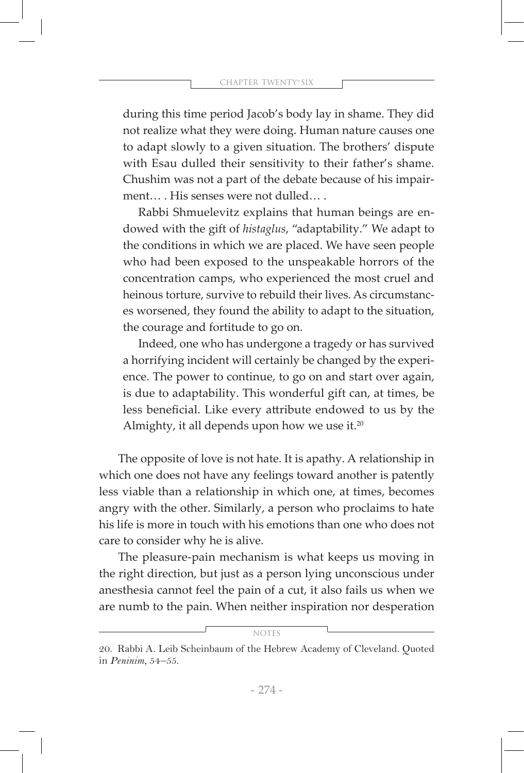during this time period Jacob's body lay in shame. They did not realize what they were doing. Human nature causes one to adapt slowly to a given situation. The brothers' dispute with Esau dulled their sensitivity to their father's shame. Chushim was not a part of the debate because of his impairment… . His senses were not dulled… .

Rabbi Shmuelevitz explains that human beings are endowed with the gift of *histaglus*, "adaptability." We adapt to the conditions in which we are placed. We have seen people who had been exposed to the unspeakable horrors of the concentration camps, who experienced the most cruel and heinous torture, survive to rebuild their lives. As circumstances worsened, they found the ability to adapt to the situation, the courage and fortitude to go on.

Indeed, one who has undergone a tragedy or has survived a horrifying incident will certainly be changed by the experience. The power to continue, to go on and start over again, is due to adaptability. This wonderful gift can, at times, be less beneficial. Like every attribute endowed to us by the Almighty, it all depends upon how we use it.<sup>20</sup>

The opposite of love is not hate. It is apathy. A relationship in which one does not have any feelings toward another is patently less viable than a relationship in which one, at times, becomes angry with the other. Similarly, a person who proclaims to hate his life is more in touch with his emotions than one who does not care to consider why he is alive.

The pleasure-pain mechanism is what keeps us moving in the right direction, but just as a person lying unconscious under anesthesia cannot feel the pain of a cut, it also fails us when we are numb to the pain. When neither inspiration nor desperation

<sup>20.</sup> Rabbi A. Leib Scheinbaum of the Hebrew Academy of Cleveland. Quoted in *Peninim*, 54–55.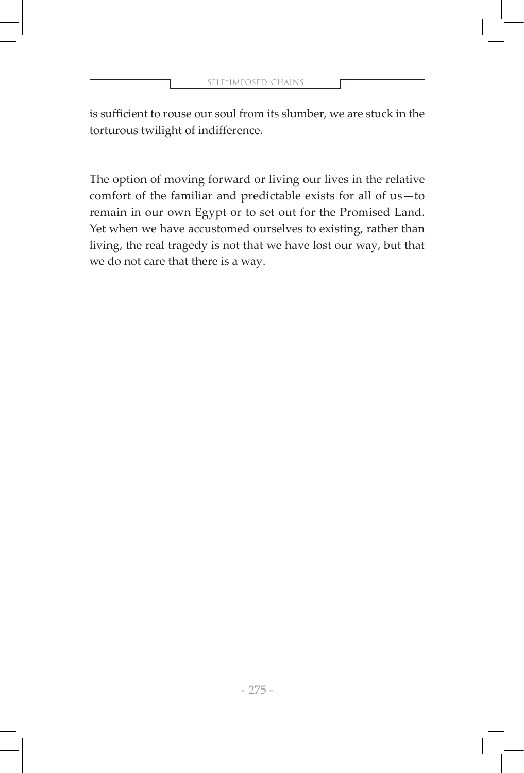is sufficient to rouse our soul from its slumber, we are stuck in the torturous twilight of indifference.

The option of moving forward or living our lives in the relative comfort of the familiar and predictable exists for all of us—to remain in our own Egypt or to set out for the Promised Land. Yet when we have accustomed ourselves to existing, rather than living, the real tragedy is not that we have lost our way, but that we do not care that there is a way.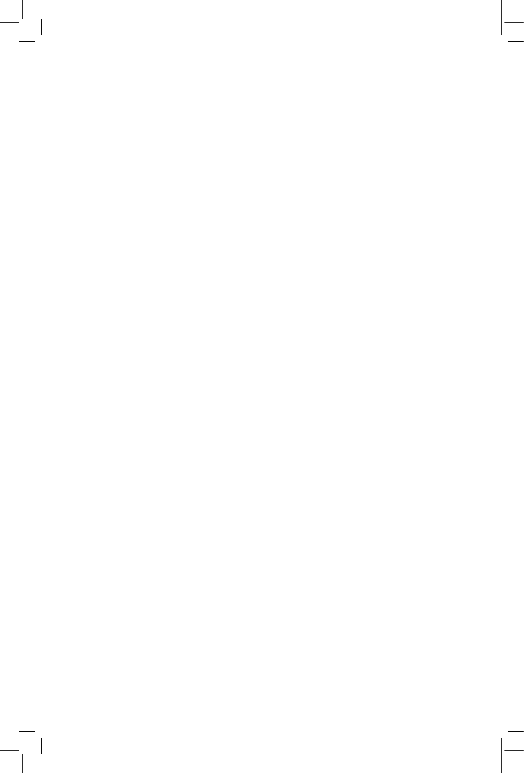$\begin{array}{ccc} \begin{array}{ccc} \end{array} & \begin{array}{ccc} \end{array} & \end{array}$  $\frac{1}{\sqrt{2}}$ 

Ξ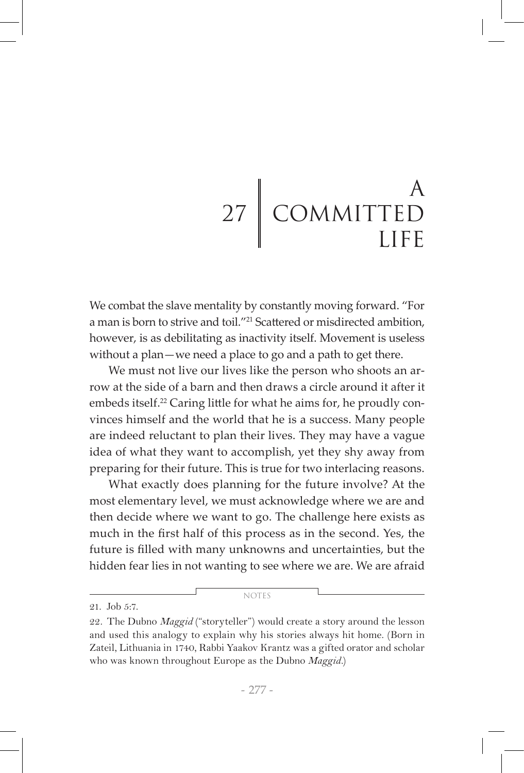### A COMMITTED **LIFE**  $27$

We combat the slave mentality by constantly moving forward. "For a man is born to strive and toil."21 Scattered or misdirected ambition, however, is as debilitating as inactivity itself. Movement is useless without a plan—we need a place to go and a path to get there.

We must not live our lives like the person who shoots an arrow at the side of a barn and then draws a circle around it after it embeds itself.<sup>22</sup> Caring little for what he aims for, he proudly convinces himself and the world that he is a success. Many people are indeed reluctant to plan their lives. They may have a vague idea of what they want to accomplish, yet they shy away from preparing for their future. This is true for two interlacing reasons.

What exactly does planning for the future involve? At the most elementary level, we must acknowledge where we are and then decide where we want to go. The challenge here exists as much in the first half of this process as in the second. Yes, the future is filled with many unknowns and uncertainties, but the hidden fear lies in not wanting to see where we are. We are afraid

<sup>21.</sup> Job 5:7.

<sup>22.</sup> The Dubno *Maggid* ("storyteller") would create a story around the lesson and used this analogy to explain why his stories always hit home. (Born in Zateil, Lithuania in 1740, Rabbi Yaakov Krantz was a gifted orator and scholar who was known throughout Europe as the Dubno *Maggid.*)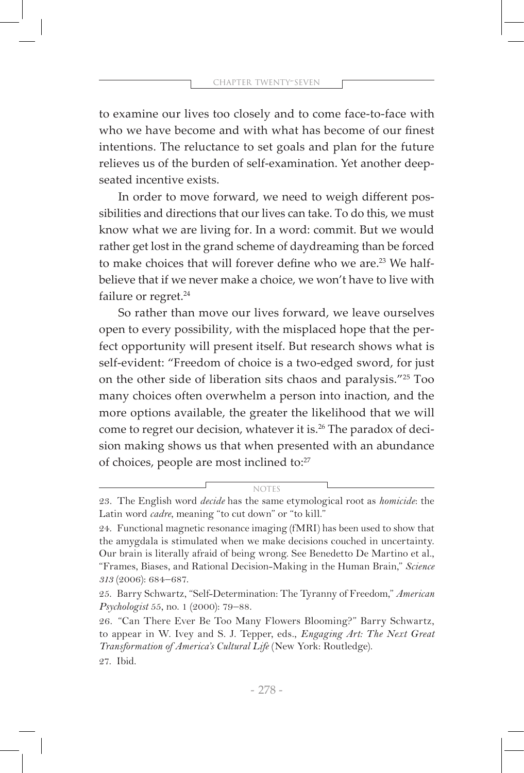#### chapter twenty-seven

to examine our lives too closely and to come face-to-face with who we have become and with what has become of our finest intentions. The reluctance to set goals and plan for the future relieves us of the burden of self-examination. Yet another deepseated incentive exists.

In order to move forward, we need to weigh different possibilities and directions that our lives can take. To do this, we must know what we are living for. In a word: commit. But we would rather get lost in the grand scheme of daydreaming than be forced to make choices that will forever define who we are.<sup>23</sup> We halfbelieve that if we never make a choice, we won't have to live with failure or regret.<sup>24</sup>

So rather than move our lives forward, we leave ourselves open to every possibility, with the misplaced hope that the perfect opportunity will present itself. But research shows what is self-evident: "Freedom of choice is a two-edged sword, for just on the other side of liberation sits chaos and paralysis."25 Too many choices often overwhelm a person into inaction, and the more options available, the greater the likelihood that we will come to regret our decision, whatever it is.<sup>26</sup> The paradox of decision making shows us that when presented with an abundance of choices, people are most inclined to:<sup>27</sup>

<sup>23.</sup> The English word *decide* has the same etymological root as *homicide*: the Latin word *cadre*, meaning "to cut down" or "to kill."

<sup>24.</sup> Functional magnetic resonance imaging (fMRI) has been used to show that the amygdala is stimulated when we make decisions couched in uncertainty. Our brain is literally afraid of being wrong. See Benedetto De Martino et al., "Frames, Biases, and Rational Decision-Making in the Human Brain," *Science 313* (2006): 684–687.

<sup>25.</sup> Barry Schwartz, "Self-Determination: The Tyranny of Freedom," *American Psychologist* 55, no. 1 (2000): 79–88.

<sup>26.</sup> "Can There Ever Be Too Many Flowers Blooming?" Barry Schwartz, to appear in W. Ivey and S. J. Tepper, eds., *Engaging Art: The Next Great Transformation of America's Cultural Life* (New York: Routledge). 27. Ibid.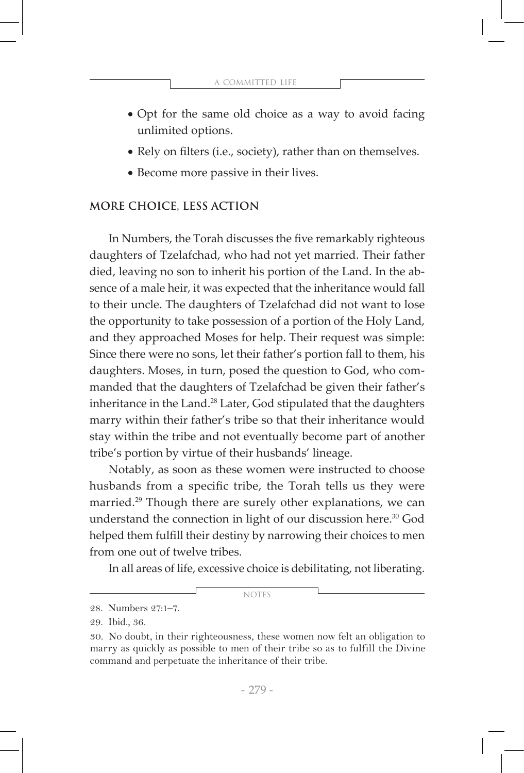- Opt for the same old choice as a way to avoid facing unlimited options.
- Rely on filters (i.e., society), rather than on themselves.
- Become more passive in their lives.

## **MORE CHOICE, LESS ACTION**

In Numbers, the Torah discusses the five remarkably righteous daughters of Tzelafchad, who had not yet married. Their father died, leaving no son to inherit his portion of the Land. In the absence of a male heir, it was expected that the inheritance would fall to their uncle. The daughters of Tzelafchad did not want to lose the opportunity to take possession of a portion of the Holy Land, and they approached Moses for help. Their request was simple: Since there were no sons, let their father's portion fall to them, his daughters. Moses, in turn, posed the question to God, who commanded that the daughters of Tzelafchad be given their father's inheritance in the Land.<sup>28</sup> Later, God stipulated that the daughters marry within their father's tribe so that their inheritance would stay within the tribe and not eventually become part of another tribe's portion by virtue of their husbands' lineage.

Notably, as soon as these women were instructed to choose husbands from a specific tribe, the Torah tells us they were married.<sup>29</sup> Though there are surely other explanations, we can understand the connection in light of our discussion here.<sup>30</sup> God helped them fulfill their destiny by narrowing their choices to men from one out of twelve tribes.

In all areas of life, excessive choice is debilitating, not liberating.

<sup>28.</sup> Numbers 27:1–7.

<sup>29.</sup> Ibid., 36.

<sup>30.</sup> No doubt, in their righteousness, these women now felt an obligation to marry as quickly as possible to men of their tribe so as to fulfill the Divine command and perpetuate the inheritance of their tribe.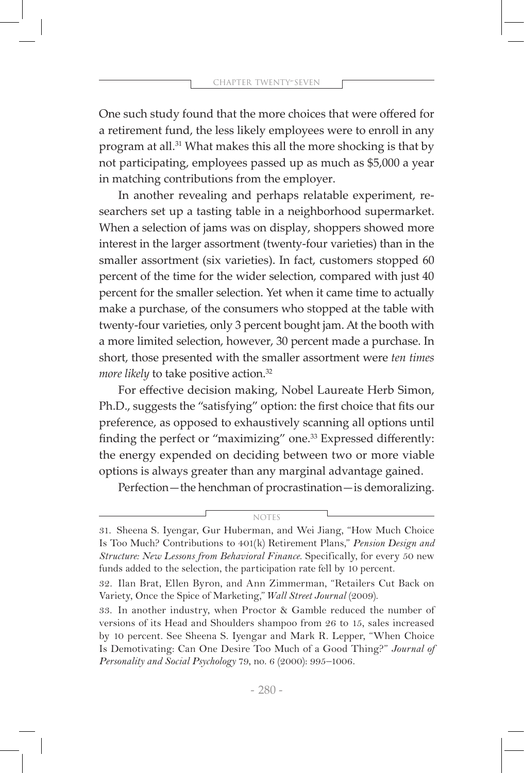One such study found that the more choices that were offered for a retirement fund, the less likely employees were to enroll in any program at all.31 What makes this all the more shocking is that by not participating, employees passed up as much as \$5,000 a year in matching contributions from the employer.

In another revealing and perhaps relatable experiment, researchers set up a tasting table in a neighborhood supermarket. When a selection of jams was on display, shoppers showed more interest in the larger assortment (twenty-four varieties) than in the smaller assortment (six varieties). In fact, customers stopped 60 percent of the time for the wider selection, compared with just 40 percent for the smaller selection. Yet when it came time to actually make a purchase, of the consumers who stopped at the table with twenty-four varieties, only 3 percent bought jam. At the booth with a more limited selection, however, 30 percent made a purchase. In short, those presented with the smaller assortment were *ten times more likely* to take positive action.<sup>32</sup>

For effective decision making, Nobel Laureate Herb Simon, Ph.D., suggests the "satisfying" option: the first choice that fits our preference, as opposed to exhaustively scanning all options until finding the perfect or "maximizing" one.<sup>33</sup> Expressed differently: the energy expended on deciding between two or more viable options is always greater than any marginal advantage gained.

Perfection—the henchman of procrastination—is demoralizing.

<sup>31.</sup> Sheena S. Iyengar, Gur Huberman, and Wei Jiang, "How Much Choice Is Too Much? Contributions to 401(k) Retirement Plans," *Pension Design and Structure: New Lessons from Behavioral Finance*. Specifically, for every 50 new funds added to the selection, the participation rate fell by 10 percent.

<sup>32.</sup> Ilan Brat, Ellen Byron, and Ann Zimmerman, "Retailers Cut Back on Variety, Once the Spice of Marketing," *Wall Street Journal* (2009).

<sup>33.</sup> In another industry, when Proctor & Gamble reduced the number of versions of its Head and Shoulders shampoo from 26 to 15, sales increased by 10 percent. See Sheena S. Iyengar and Mark R. Lepper, "When Choice Is Demotivating: Can One Desire Too Much of a Good Thing?" *Journal of Personality and Social Psychology* 79, no. 6 (2000): 995–1006.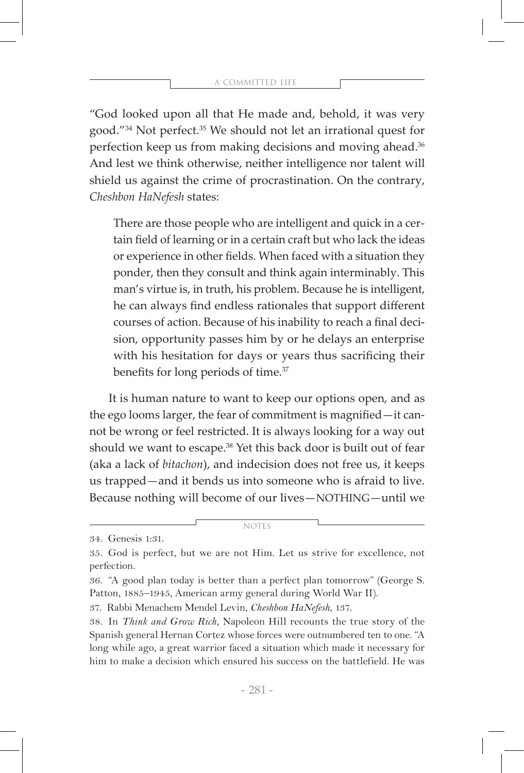| A COMMITTED LIFE |  |
|------------------|--|
|                  |  |

"God looked upon all that He made and, behold, it was very good."34 Not perfect.35 We should not let an irrational quest for perfection keep us from making decisions and moving ahead.36 And lest we think otherwise, neither intelligence nor talent will shield us against the crime of procrastination. On the contrary, *Cheshbon HaNefesh* states:

There are those people who are intelligent and quick in a certain field of learning or in a certain craft but who lack the ideas or experience in other fields. When faced with a situation they ponder, then they consult and think again interminably. This man's virtue is, in truth, his problem. Because he is intelligent, he can always find endless rationales that support different courses of action. Because of his inability to reach a final decision, opportunity passes him by or he delays an enterprise with his hesitation for days or years thus sacrificing their benefits for long periods of time.<sup>37</sup>

It is human nature to want to keep our options open, and as the ego looms larger, the fear of commitment is magnified—it cannot be wrong or feel restricted. It is always looking for a way out should we want to escape.<sup>38</sup> Yet this back door is built out of fear (aka a lack of *bitachon*), and indecision does not free us, it keeps us trapped—and it bends us into someone who is afraid to live. Because nothing will become of our lives—NOTHING—until we

34. Genesis 1:31.

<sup>35.</sup> God is perfect, but we are not Him. Let us strive for excellence, not perfection.

<sup>36.</sup> "A good plan today is better than a perfect plan tomorrow" (George S. Patton, 1885–1945, American army general during World War II).

<sup>37.</sup> Rabbi Menachem Mendel Levin, *Cheshbon HaNefesh*, 137.

<sup>38.</sup> In *Think and Grow Rich*, Napoleon Hill recounts the true story of the Spanish general Hernan Cortez whose forces were outnumbered ten to one. "A long while ago, a great warrior faced a situation which made it necessary for him to make a decision which ensured his success on the battlefield. He was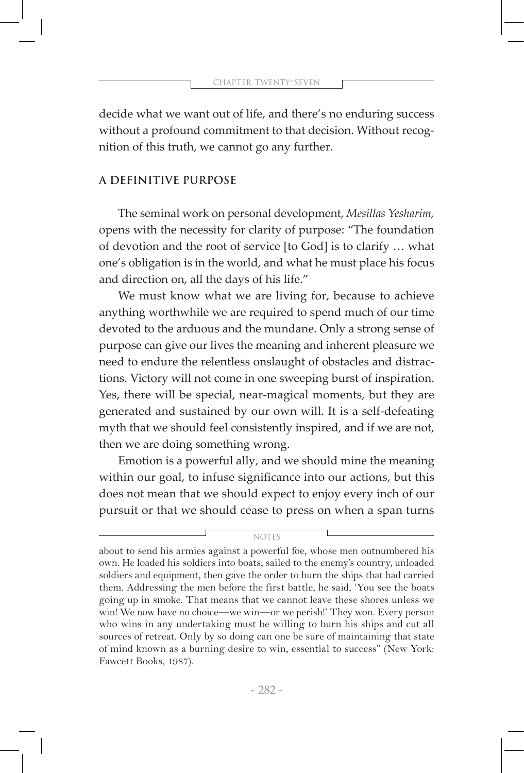decide what we want out of life, and there's no enduring success without a profound commitment to that decision. Without recognition of this truth, we cannot go any further.

#### **A DEFINITIVE PURPOSE**

The seminal work on personal development, *Mesillas Yesharim,* opens with the necessity for clarity of purpose: "The foundation of devotion and the root of service [to God] is to clarify … what one's obligation is in the world, and what he must place his focus and direction on, all the days of his life."

We must know what we are living for, because to achieve anything worthwhile we are required to spend much of our time devoted to the arduous and the mundane. Only a strong sense of purpose can give our lives the meaning and inherent pleasure we need to endure the relentless onslaught of obstacles and distractions. Victory will not come in one sweeping burst of inspiration. Yes, there will be special, near-magical moments, but they are generated and sustained by our own will. It is a self-defeating myth that we should feel consistently inspired, and if we are not, then we are doing something wrong.

Emotion is a powerful ally, and we should mine the meaning within our goal, to infuse significance into our actions, but this does not mean that we should expect to enjoy every inch of our pursuit or that we should cease to press on when a span turns

#### notes

about to send his armies against a powerful foe, whose men outnumbered his own. He loaded his soldiers into boats, sailed to the enemy's country, unloaded soldiers and equipment, then gave the order to burn the ships that had carried them. Addressing the men before the first battle, he said, 'You see the boats going up in smoke. That means that we cannot leave these shores unless we win! We now have no choice—we win—or we perish!' They won. Every person who wins in any undertaking must be willing to burn his ships and cut all sources of retreat. Only by so doing can one be sure of maintaining that state of mind known as a burning desire to win, essential to success" (New York: Fawcett Books, 1987).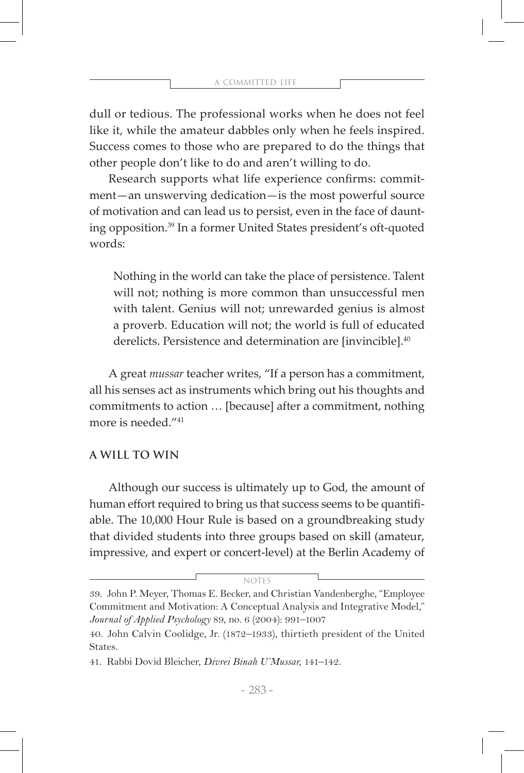dull or tedious. The professional works when he does not feel like it, while the amateur dabbles only when he feels inspired. Success comes to those who are prepared to do the things that other people don't like to do and aren't willing to do.

Research supports what life experience confirms: commitment—an unswerving dedication—is the most powerful source of motivation and can lead us to persist, even in the face of daunting opposition.39 In a former United States president's oft-quoted words:

Nothing in the world can take the place of persistence. Talent will not; nothing is more common than unsuccessful men with talent. Genius will not; unrewarded genius is almost a proverb. Education will not; the world is full of educated derelicts. Persistence and determination are [invincible].<sup>40</sup>

A great *mussar* teacher writes, "If a person has a commitment, all his senses act as instruments which bring out his thoughts and commitments to action … [because] after a commitment, nothing more is needed."41

## **A WILL TO WIN**

Although our success is ultimately up to God, the amount of human effort required to bring us that success seems to be quantifiable. The 10,000 Hour Rule is based on a groundbreaking study that divided students into three groups based on skill (amateur, impressive, and expert or concert-level) at the Berlin Academy of

notes

<sup>39.</sup> John P. Meyer, Thomas E. Becker, and Christian Vandenberghe, "Employee Commitment and Motivation: A Conceptual Analysis and Integrative Model," *Journal of Applied Psychology* 89, no. 6 (2004): 991–1007

<sup>40.</sup> John Calvin Coolidge, Jr. (1872–1933), thirtieth president of the United States.

<sup>41.</sup> Rabbi Dovid Bleicher, *Divrei Binah U'Mussar*, 141–142.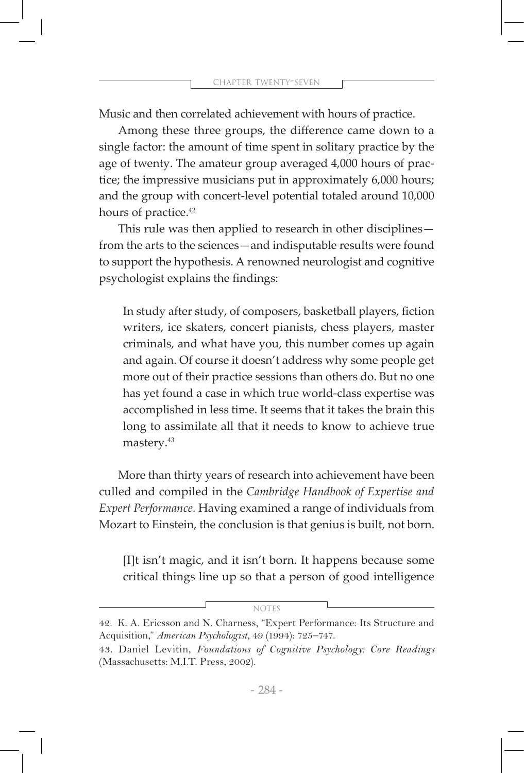Music and then correlated achievement with hours of practice.

Among these three groups, the difference came down to a single factor: the amount of time spent in solitary practice by the age of twenty. The amateur group averaged 4,000 hours of practice; the impressive musicians put in approximately 6,000 hours; and the group with concert-level potential totaled around 10,000 hours of practice.<sup>42</sup>

This rule was then applied to research in other disciplines from the arts to the sciences—and indisputable results were found to support the hypothesis. A renowned neurologist and cognitive psychologist explains the findings:

In study after study, of composers, basketball players, fiction writers, ice skaters, concert pianists, chess players, master criminals, and what have you, this number comes up again and again. Of course it doesn't address why some people get more out of their practice sessions than others do. But no one has yet found a case in which true world-class expertise was accomplished in less time. It seems that it takes the brain this long to assimilate all that it needs to know to achieve true mastery.<sup>43</sup>

More than thirty years of research into achievement have been culled and compiled in the *Cambridge Handbook of Expertise and Expert Performance*. Having examined a range of individuals from Mozart to Einstein, the conclusion is that genius is built, not born.

[I]t isn't magic, and it isn't born. It happens because some critical things line up so that a person of good intelligence

**NOTES** 

<sup>42.</sup> K. A. Ericsson and N. Charness, "Expert Performance: Its Structure and Acquisition," *American Psychologist,* 49 (1994): 725–747.

<sup>43.</sup> Daniel Levitin, *Foundations of Cognitive Psychology: Core Readings* (Massachusetts: M.I.T. Press, 2002).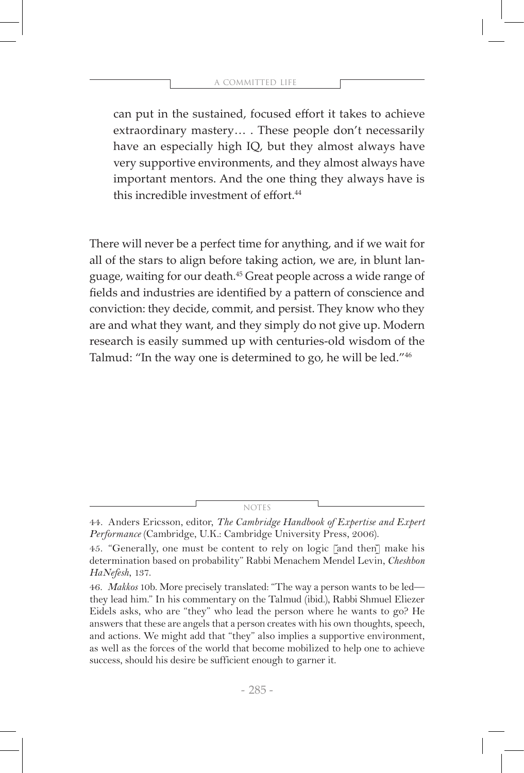#### a committed life

can put in the sustained, focused effort it takes to achieve extraordinary mastery… . These people don't necessarily have an especially high IQ, but they almost always have very supportive environments, and they almost always have important mentors. And the one thing they always have is this incredible investment of effort.<sup>44</sup>

There will never be a perfect time for anything, and if we wait for all of the stars to align before taking action, we are, in blunt language, waiting for our death.45 Great people across a wide range of fields and industries are identified by a pattern of conscience and conviction: they decide, commit, and persist. They know who they are and what they want, and they simply do not give up. Modern research is easily summed up with centuries-old wisdom of the Talmud: "In the way one is determined to go, he will be led."46

<sup>44.</sup> Anders Ericsson, editor, *The Cambridge Handbook of Expertise and Expert Performance* (Cambridge, U.K.: Cambridge University Press, 2006).

<sup>45.</sup> "Generally, one must be content to rely on logic [and then] make his determination based on probability" Rabbi Menachem Mendel Levin, *Cheshbon HaNefesh*, 137.

<sup>46.</sup> *Makkos* 10b. More precisely translated: "The way a person wants to be led they lead him." In his commentary on the Talmud (ibid.), Rabbi Shmuel Eliezer Eidels asks, who are "they" who lead the person where he wants to go? He answers that these are angels that a person creates with his own thoughts, speech, and actions. We might add that "they" also implies a supportive environment, as well as the forces of the world that become mobilized to help one to achieve success, should his desire be sufficient enough to garner it.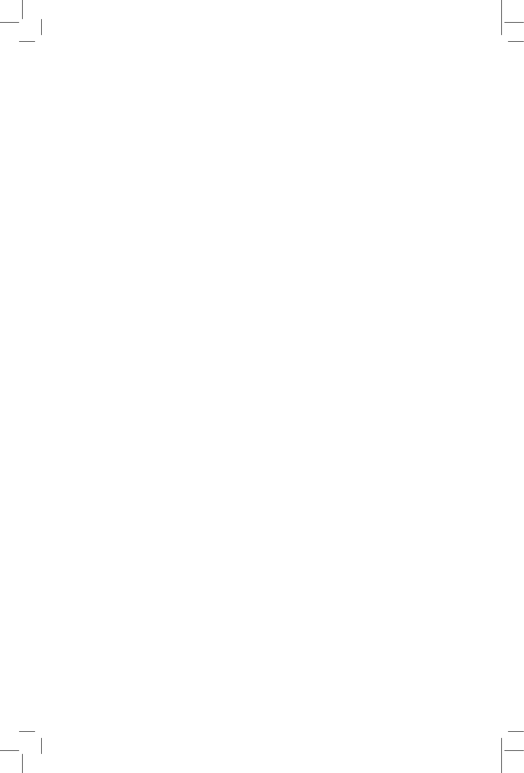$\begin{array}{ccc} \begin{array}{ccc} \end{array} & \begin{array}{ccc} \end{array} \end{array}$  $\frac{1}{\sqrt{2}}$ 

Ξ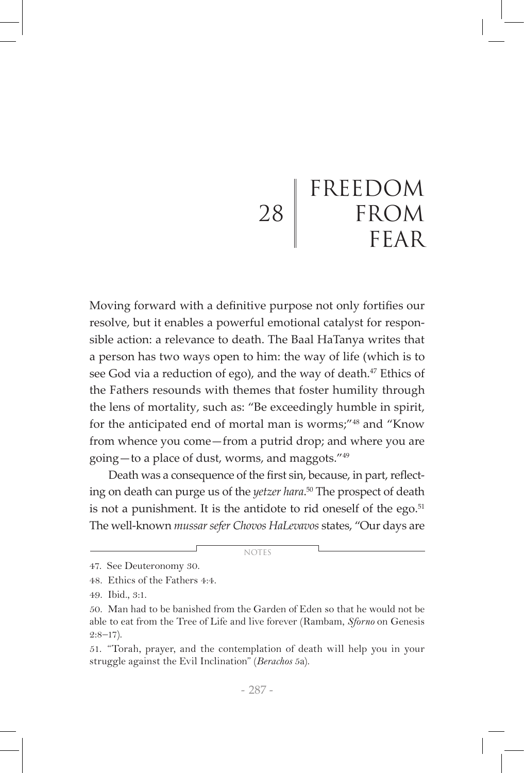# Freedom from **FEAR** 28

Moving forward with a definitive purpose not only fortifies our resolve, but it enables a powerful emotional catalyst for responsible action: a relevance to death. The Baal HaTanya writes that a person has two ways open to him: the way of life (which is to see God via a reduction of ego), and the way of death.<sup>47</sup> Ethics of the Fathers resounds with themes that foster humility through the lens of mortality, such as: "Be exceedingly humble in spirit, for the anticipated end of mortal man is worms;"48 and "Know from whence you come—from a putrid drop; and where you are going—to a place of dust, worms, and maggots."<sup>49</sup>

Death was a consequence of the first sin, because, in part, reflecting on death can purge us of the *yetzer hara*. 50 The prospect of death is not a punishment. It is the antidote to rid oneself of the ego. $51$ The well-known *mussar sefer Chovos HaLevavos* states, "Our days are

<sup>47.</sup> See Deuteronomy 30.

<sup>48.</sup> Ethics of the Fathers 4:4.

<sup>49.</sup> Ibid., 3:1.

<sup>50.</sup> Man had to be banished from the Garden of Eden so that he would not be able to eat from the Tree of Life and live forever (Rambam, *Sforno* on Genesis  $2:8-17$ ).

<sup>51.</sup> "Torah, prayer, and the contemplation of death will help you in your struggle against the Evil Inclination" (*Berachos* 5a).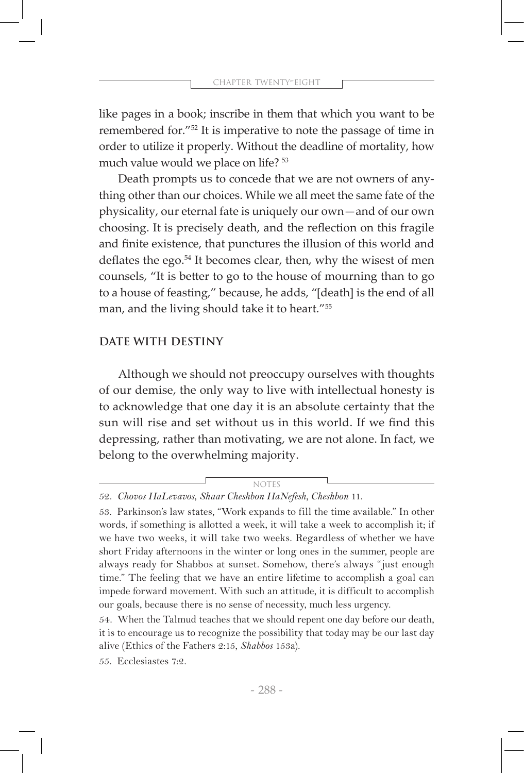like pages in a book; inscribe in them that which you want to be remembered for."52 It is imperative to note the passage of time in order to utilize it properly. Without the deadline of mortality, how much value would we place on life? <sup>53</sup>

Death prompts us to concede that we are not owners of anything other than our choices. While we all meet the same fate of the physicality, our eternal fate is uniquely our own—and of our own choosing. It is precisely death, and the reflection on this fragile and finite existence, that punctures the illusion of this world and deflates the ego.<sup>54</sup> It becomes clear, then, why the wisest of men counsels, "It is better to go to the house of mourning than to go to a house of feasting," because, he adds, "[death] is the end of all man, and the living should take it to heart."55

### **DATE WITH DESTINY**

Although we should not preoccupy ourselves with thoughts of our demise, the only way to live with intellectual honesty is to acknowledge that one day it is an absolute certainty that the sun will rise and set without us in this world. If we find this depressing, rather than motivating, we are not alone. In fact, we belong to the overwhelming majority.

55. Ecclesiastes 7:2.

notes

<sup>52.</sup> *Chovos HaLevavos*, *Shaar Cheshbon HaNefesh, Cheshbon* 11.

<sup>53.</sup> Parkinson's law states, "Work expands to fill the time available." In other words, if something is allotted a week, it will take a week to accomplish it; if we have two weeks, it will take two weeks. Regardless of whether we have short Friday afternoons in the winter or long ones in the summer, people are always ready for Shabbos at sunset. Somehow, there's always "just enough time." The feeling that we have an entire lifetime to accomplish a goal can impede forward movement. With such an attitude, it is difficult to accomplish our goals, because there is no sense of necessity, much less urgency.

<sup>54.</sup> When the Talmud teaches that we should repent one day before our death, it is to encourage us to recognize the possibility that today may be our last day alive (Ethics of the Fathers 2:15, *Shabbos* 153a).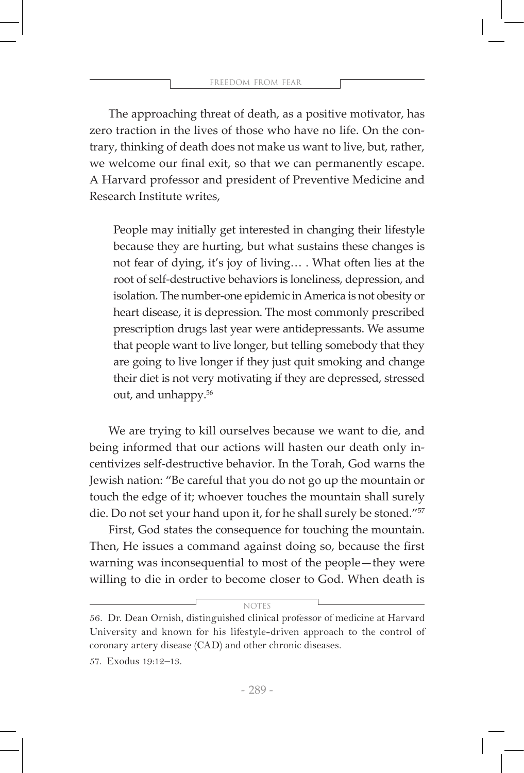The approaching threat of death, as a positive motivator, has zero traction in the lives of those who have no life. On the contrary, thinking of death does not make us want to live, but, rather, we welcome our final exit, so that we can permanently escape. A Harvard professor and president of Preventive Medicine and Research Institute writes,

People may initially get interested in changing their lifestyle because they are hurting, but what sustains these changes is not fear of dying, it's joy of living… . What often lies at the root of self-destructive behaviors is loneliness, depression, and isolation. The number-one epidemic in America is not obesity or heart disease, it is depression. The most commonly prescribed prescription drugs last year were antidepressants. We assume that people want to live longer, but telling somebody that they are going to live longer if they just quit smoking and change their diet is not very motivating if they are depressed, stressed out, and unhappy.56

We are trying to kill ourselves because we want to die, and being informed that our actions will hasten our death only incentivizes self-destructive behavior. In the Torah, God warns the Jewish nation: "Be careful that you do not go up the mountain or touch the edge of it; whoever touches the mountain shall surely die. Do not set your hand upon it, for he shall surely be stoned."57

First, God states the consequence for touching the mountain. Then, He issues a command against doing so, because the first warning was inconsequential to most of the people—they were willing to die in order to become closer to God. When death is

#### notes

57. Exodus 19:12–13.

<sup>56.</sup> Dr. Dean Ornish, distinguished clinical professor of medicine at Harvard University and known for his lifestyle-driven approach to the control of coronary artery disease (CAD) and other chronic diseases.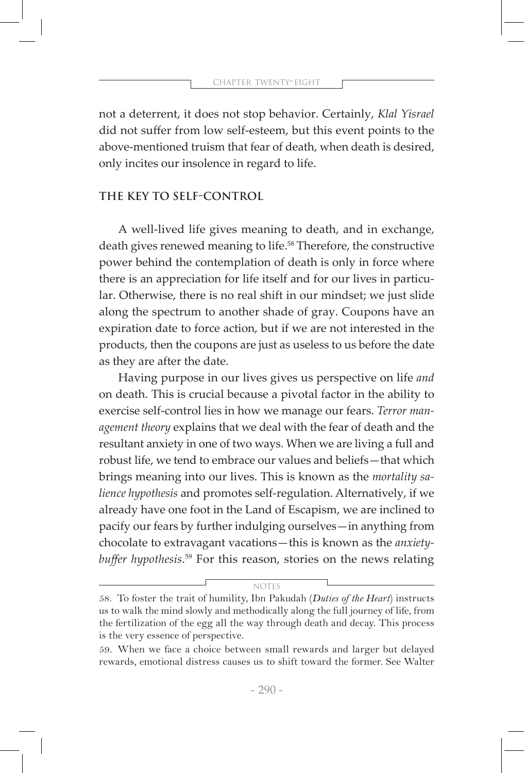not a deterrent, it does not stop behavior. Certainly, *Klal Yisrael* did not suffer from low self-esteem, but this event points to the above-mentioned truism that fear of death, when death is desired, only incites our insolence in regard to life.

### **THE KEY TO SELF-CONTROL**

A well-lived life gives meaning to death, and in exchange, death gives renewed meaning to life.<sup>58</sup> Therefore, the constructive power behind the contemplation of death is only in force where there is an appreciation for life itself and for our lives in particular. Otherwise, there is no real shift in our mindset; we just slide along the spectrum to another shade of gray. Coupons have an expiration date to force action, but if we are not interested in the products, then the coupons are just as useless to us before the date as they are after the date.

Having purpose in our lives gives us perspective on life *and* on death. This is crucial because a pivotal factor in the ability to exercise self-control lies in how we manage our fears. *Terror management theory* explains that we deal with the fear of death and the resultant anxiety in one of two ways. When we are living a full and robust life, we tend to embrace our values and beliefs—that which brings meaning into our lives. This is known as the *mortality salience hypothesis* and promotes self-regulation. Alternatively, if we already have one foot in the Land of Escapism, we are inclined to pacify our fears by further indulging ourselves—in anything from chocolate to extravagant vacations—this is known as the *anxietybuffer hypothesis*. 59 For this reason, stories on the news relating

<sup>58.</sup> To foster the trait of humility, Ibn Pakudah (*Duties of the Heart*) instructs us to walk the mind slowly and methodically along the full journey of life, from the fertilization of the egg all the way through death and decay. This process is the very essence of perspective.

<sup>59.</sup> When we face a choice between small rewards and larger but delayed rewards, emotional distress causes us to shift toward the former. See Walter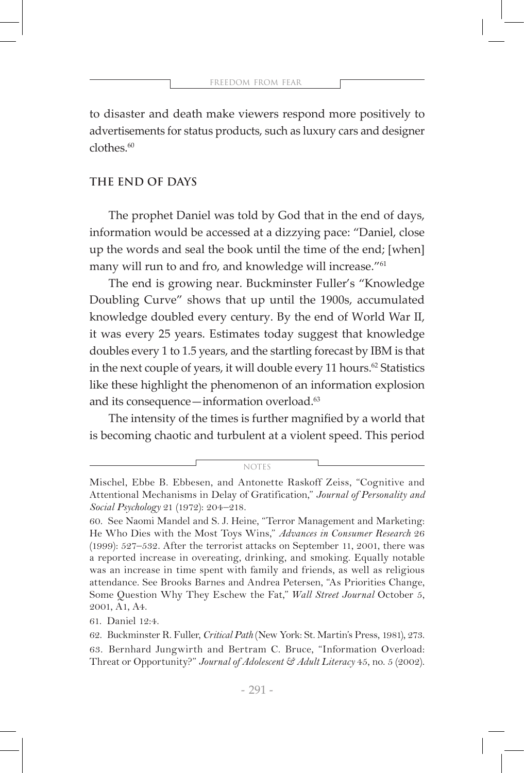to disaster and death make viewers respond more positively to advertisements for status products, such as luxury cars and designer clothes.<sup>60</sup>

### **THE END OF DAYS**

The prophet Daniel was told by God that in the end of days, information would be accessed at a dizzying pace: "Daniel, close up the words and seal the book until the time of the end; [when] many will run to and fro, and knowledge will increase."<sup>61</sup>

The end is growing near. Buckminster Fuller's "Knowledge Doubling Curve" shows that up until the 1900s, accumulated knowledge doubled every century. By the end of World War II, it was every 25 years. Estimates today suggest that knowledge doubles every 1 to 1.5 years, and the startling forecast by IBM is that in the next couple of years, it will double every 11 hours.<sup>62</sup> Statistics like these highlight the phenomenon of an information explosion and its consequence—information overload.<sup>63</sup>

The intensity of the times is further magnified by a world that is becoming chaotic and turbulent at a violent speed. This period

Mischel, Ebbe B. Ebbesen, and Antonette Raskoff Zeiss, "Cognitive and Attentional Mechanisms in Delay of Gratification," *Journal of Personality and Social Psychology* 21 (1972): 204–218.

<sup>60.</sup> See Naomi Mandel and S. J. Heine, "Terror Management and Marketing: He Who Dies with the Most Toys Wins," *Advances in Consumer Research* 26 (1999): 527–532. After the terrorist attacks on September 11, 2001, there was a reported increase in overeating, drinking, and smoking. Equally notable was an increase in time spent with family and friends, as well as religious attendance. See Brooks Barnes and Andrea Petersen, "As Priorities Change, Some Question Why They Eschew the Fat," *Wall Street Journal* October 5, 2001, A1, A4.

<sup>61.</sup> Daniel 12:4.

<sup>62.</sup> Buckminster R. Fuller, *Critical Path* (New York: St. Martin's Press, 1981), 273. 63. Bernhard Jungwirth and Bertram C. Bruce, "Information Overload:

Threat or Opportunity?" *Journal of Adolescent & Adult Literacy* 45, no. 5 (2002).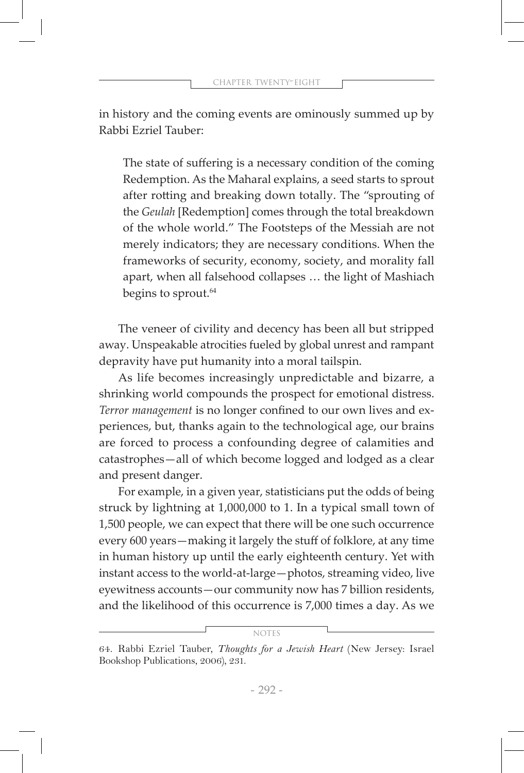in history and the coming events are ominously summed up by Rabbi Ezriel Tauber:

The state of suffering is a necessary condition of the coming Redemption. As the Maharal explains, a seed starts to sprout after rotting and breaking down totally. The "sprouting of the *Geulah* [Redemption] comes through the total breakdown of the whole world." The Footsteps of the Messiah are not merely indicators; they are necessary conditions. When the frameworks of security, economy, society, and morality fall apart, when all falsehood collapses … the light of Mashiach begins to sprout.<sup>64</sup>

The veneer of civility and decency has been all but stripped away. Unspeakable atrocities fueled by global unrest and rampant depravity have put humanity into a moral tailspin.

As life becomes increasingly unpredictable and bizarre, a shrinking world compounds the prospect for emotional distress. *Terror management* is no longer confined to our own lives and experiences, but, thanks again to the technological age, our brains are forced to process a confounding degree of calamities and catastrophes—all of which become logged and lodged as a clear and present danger.

For example, in a given year, statisticians put the odds of being struck by lightning at 1,000,000 to 1. In a typical small town of 1,500 people, we can expect that there will be one such occurrence every 600 years—making it largely the stuff of folklore, at any time in human history up until the early eighteenth century. Yet with instant access to the world-at-large—photos, streaming video, live eyewitness accounts—our community now has 7 billion residents, and the likelihood of this occurrence is 7,000 times a day. As we

notes

<sup>64.</sup> Rabbi Ezriel Tauber, *Thoughts for a Jewish Heart* (New Jersey: Israel Bookshop Publications, 2006), 231.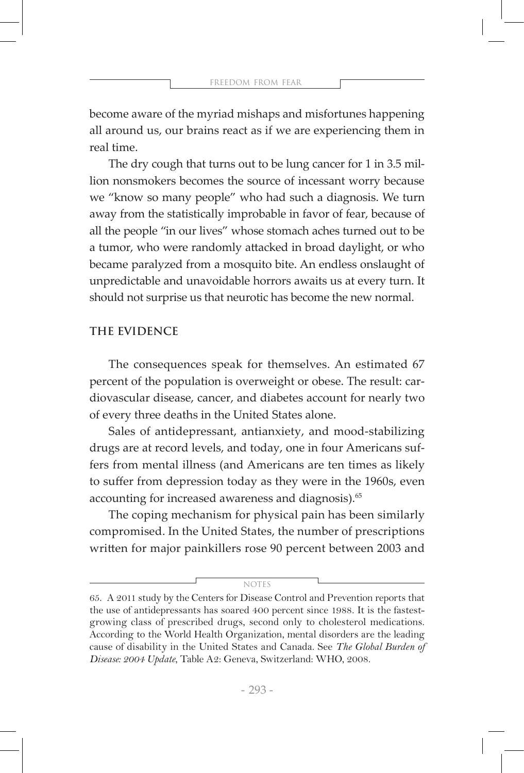become aware of the myriad mishaps and misfortunes happening all around us, our brains react as if we are experiencing them in real time.

The dry cough that turns out to be lung cancer for 1 in 3.5 million nonsmokers becomes the source of incessant worry because we "know so many people" who had such a diagnosis. We turn away from the statistically improbable in favor of fear, because of all the people "in our lives" whose stomach aches turned out to be a tumor, who were randomly attacked in broad daylight, or who became paralyzed from a mosquito bite. An endless onslaught of unpredictable and unavoidable horrors awaits us at every turn. It should not surprise us that neurotic has become the new normal.

### **THE EVIDENCE**

The consequences speak for themselves. An estimated 67 percent of the population is overweight or obese. The result: cardiovascular disease, cancer, and diabetes account for nearly two of every three deaths in the United States alone.

Sales of antidepressant, antianxiety, and mood-stabilizing drugs are at record levels, and today, one in four Americans suffers from mental illness (and Americans are ten times as likely to suffer from depression today as they were in the 1960s, even accounting for increased awareness and diagnosis).<sup>65</sup>

The coping mechanism for physical pain has been similarly compromised. In the United States, the number of prescriptions written for major painkillers rose 90 percent between 2003 and

<sup>65.</sup> A 2011 study by the Centers for Disease Control and Prevention reports that the use of antidepressants has soared 400 percent since 1988. It is the fastestgrowing class of prescribed drugs, second only to cholesterol medications. According to the World Health Organization, mental disorders are the leading cause of disability in the United States and Canada. See *The Global Burden of Disease: 2004 Update*, Table A2: Geneva, Switzerland: WHO, 2008.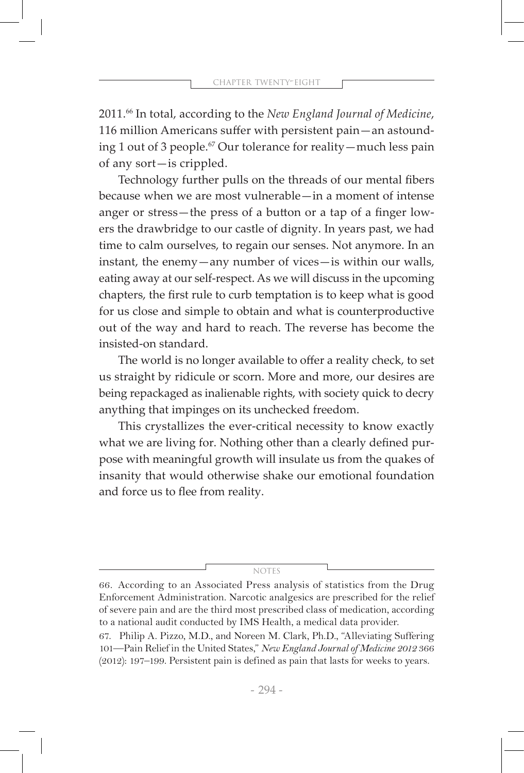2011.66 In total, according to the *New England Journal of Medicine*, 116 million Americans suffer with persistent pain—an astounding 1 out of 3 people.<sup>67</sup> Our tolerance for reality—much less pain of any sort—is crippled.

Technology further pulls on the threads of our mental fibers because when we are most vulnerable—in a moment of intense anger or stress—the press of a button or a tap of a finger lowers the drawbridge to our castle of dignity. In years past, we had time to calm ourselves, to regain our senses. Not anymore. In an instant, the enemy—any number of vices—is within our walls, eating away at our self-respect. As we will discuss in the upcoming chapters, the first rule to curb temptation is to keep what is good for us close and simple to obtain and what is counterproductive out of the way and hard to reach. The reverse has become the insisted-on standard.

The world is no longer available to offer a reality check, to set us straight by ridicule or scorn. More and more, our desires are being repackaged as inalienable rights, with society quick to decry anything that impinges on its unchecked freedom.

This crystallizes the ever-critical necessity to know exactly what we are living for. Nothing other than a clearly defined purpose with meaningful growth will insulate us from the quakes of insanity that would otherwise shake our emotional foundation and force us to flee from reality.

notes

66. According to an Associated Press analysis of statistics from the Drug Enforcement Administration. Narcotic analgesics are prescribed for the relief of severe pain and are the third most prescribed class of medication, according to a national audit conducted by IMS Health, a medical data provider.

<sup>67.</sup> Philip A. Pizzo, M.D., and Noreen M. Clark, Ph.D., "Alleviating Suffering 101—Pain Relief in the United States," *New England Journal of Medicine 2012* 366 (2012): 197–199. Persistent pain is defined as pain that lasts for weeks to years.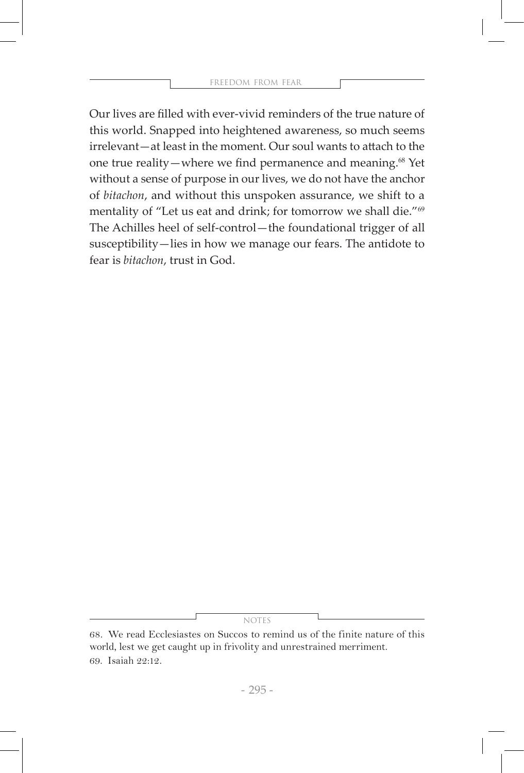Our lives are filled with ever-vivid reminders of the true nature of this world. Snapped into heightened awareness, so much seems irrelevant—at least in the moment. Our soul wants to attach to the one true reality—where we find permanence and meaning.68 Yet without a sense of purpose in our lives, we do not have the anchor of *bitachon*, and without this unspoken assurance, we shift to a mentality of "Let us eat and drink; for tomorrow we shall die."<sup>69</sup> The Achilles heel of self-control—the foundational trigger of all susceptibility—lies in how we manage our fears. The antidote to fear is *bitachon*, trust in God.

<sup>68.</sup> We read Ecclesiastes on Succos to remind us of the finite nature of this world, lest we get caught up in frivolity and unrestrained merriment. 69. Isaiah 22:12.